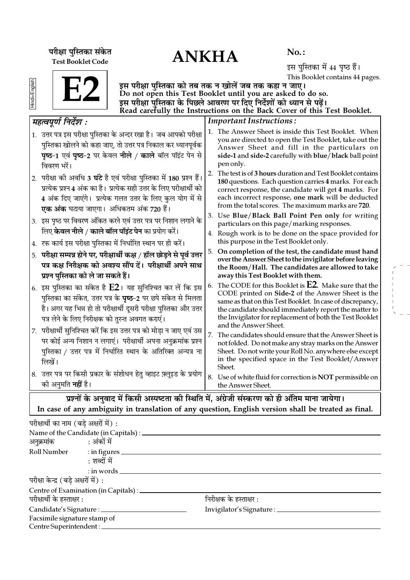ANKHA **¬⁄ˡÊÊ ¬ÈÁSÃ∑§Ê '¥∑§Ã** Test Booklet Code

No. :

इस पुस्तिका में 44 पृष्ठ हैं। This Booklet contains 44 pages.

|--|--|

Hindi+English

इस परीक्षा पुस्तिका को तब तक न खोलें जब तक कहा न जाए। Do not open this Test Booklet until you are asked to do so. इस परीक्षा पुस्तिका के पिछले आवरण पर दिए निर्देशों को ध्यान से पढ़ें। Read carefully the Instructions on the Back Cover of this Test Booklet.

| महत्वपूर्ण निर्देश :                                                                                                                                                                                                                                                    | <b>Important Instructions:</b>                                                                                                                                                                                                                                                                                                |
|-------------------------------------------------------------------------------------------------------------------------------------------------------------------------------------------------------------------------------------------------------------------------|-------------------------------------------------------------------------------------------------------------------------------------------------------------------------------------------------------------------------------------------------------------------------------------------------------------------------------|
| 1. उत्तर पत्र इस परीक्षा पुस्तिका के अन्दर रखा है। जब आपको परीक्षा<br>पुस्तिका खोलने को कहा जाए, तो उत्तर पत्र निकाल कर ध्यानपूर्वक<br>पृष्ठ-1 एवं पृष्ठ-2 पर केवल नीले / काले बॉल पॉइंट पेन से<br>विवरण भरें।                                                          | 1. The Answer Sheet is inside this Test Booklet. When<br>you are directed to open the Test Booklet, take out the<br>Answer Sheet and fill in the particulars on<br>side-1 and side-2 carefully with blue/black ball point<br>pen only.                                                                                        |
| 2.  परीक्षा की अवधि 3 <b>घंटे</b> है एवं परीक्षा पुस्तिका में 180 प्रश्न हैं।<br>प्रत्येक प्रश्न 4 अंक का है। प्रत्येक सही उत्तर के लिए परीक्षार्थी को<br>4 अंक दिए जाएंगे। प्रत्येक गलत उत्तर के लिए कुल योग में से<br><b>एक अंक</b> घटाया जाएगा।  अधिकतम अंक 720 हैं। | 2. The test is of 3 hours duration and Test Booklet contains<br>180 questions. Each question carries 4 marks. For each<br>correct response, the candidate will get 4 marks. For<br>each incorrect response, one mark will be deducted<br>from the total scores. The maximum marks are 720.                                    |
| 3. इस पृष्ठ पर विवरण अंकित करने एवं उत्तर पत्र पर निशान लगाने के                                                                                                                                                                                                        | 3. Use Blue/Black Ball Point Pen only for writing<br>particulars on this page/marking responses.                                                                                                                                                                                                                              |
| लिए <b>केवल नीले / काले बॉल पॉइंट पेन</b> का प्रयोग करें।<br>4. रफ कार्य इस परीक्षा पुस्तिका में निर्धारित स्थान पर ही करें।                                                                                                                                            | 4. Rough work is to be done on the space provided for<br>this purpose in the Test Booklet only.                                                                                                                                                                                                                               |
| 5. परीक्षा सम्पन्न होने पर, परीक्षार्थी कक्ष / हॉल छोड़ने से पूर्व उत्तर<br>पत्र कक्ष निरीक्षक को अवश्य सौंप दें। परीक्षार्थी अपने साथ<br>प्रश्न पुस्तिका को ले जा सकते हैं।                                                                                            | On completion of the test, the candidate must hand<br>5.<br>over the Answer Sheet to the invigilator before leaving<br>the Room/Hall. The candidates are allowed to take<br>away this Test Booklet with them.                                                                                                                 |
| 6. इस पुस्तिका का संकेत है $E2$ । यह सुनिश्चित कर लें कि इस<br>पुस्तिका का संकेत, उत्तर पत्र के <b>पृष्ठ</b> –2 पर छपे संकेत से मिलता<br>है। अगर यह भिन्न हो तो परीक्षार्थी दूसरी परीक्षा पुस्तिका और उत्तर<br>पत्र लेने के लिए निरीक्षक को तुरन्त अवगत कराएं।          | The CODE for this Booklet is $E2$ . Make sure that the<br>6.<br>CODE printed on Side-2 of the Answer Sheet is the<br>same as that on this Test Booklet. In case of discrepancy,<br>the candidate should immediately report the matter to<br>the Invigilator for replacement of both the Test Booklet<br>and the Answer Sheet. |
| 7. परीक्षार्थी सुनिश्चित करें कि इस उत्तर पत्र को मोड़ा न जाए एवं उस<br>पर कोई अन्य निशान न लगाएं।  परीक्षार्थी अपना अनुक्रमांक प्रश्न<br>पुस्तिका / उत्तर पत्र में निर्धारित स्थान के अतिरिक्त अन्यत्र ना<br>लिखें।                                                    | 7.<br>The candidates should ensure that the Answer Sheet is<br>not folded. Do not make any stray marks on the Answer<br>Sheet. Do not write your Roll No. anywhere else except<br>in the specified space in the Test Booklet/Answer<br>Sheet.                                                                                 |
| 8. उत्तर पत्र पर किसी प्रकार के संशोधन हेतु व्हाइट फ़्लूइड के प्रयोग<br>की अनुमति <b>नहीं</b> है।                                                                                                                                                                       | 8. Use of white fluid for correction is NOT permissible on<br>the Answer Sheet.                                                                                                                                                                                                                                               |
|                                                                                                                                                                                                                                                                         | प्रश्नों के अनुवाद में किसी अस्पष्टता की स्थिति में, अंग्रेजी संस्करण को ही अंतिम माना जायेगा।                                                                                                                                                                                                                                |

In case of any ambiguity in translation of any question, English version shall be treated as final.

| परीक्षार्थी का नाम (बडे अक्षरों में) : |                                                 |                                   |  |
|----------------------------------------|-------------------------------------------------|-----------------------------------|--|
|                                        | Name of the Candidate (in Capitals) : ________  |                                   |  |
| अनुक्रमांक : अंकों में                 |                                                 |                                   |  |
|                                        | Roll Number : in figures                        |                                   |  |
|                                        | : शब्दों में                                    |                                   |  |
|                                        | $:$ in words $\_\_$                             |                                   |  |
| परीक्षा केन्द्र (बड़े अक्षरों में) :   |                                                 |                                   |  |
|                                        | Centre of Examination (in Capitals) : _________ |                                   |  |
| परीक्षार्थी के हस्ताक्षर :             |                                                 | निरीक्षक के हस्ताक्षर :           |  |
|                                        | Candidate's Signature : _____________           | Invigilator's Signature : _______ |  |
| Facsimile signature stamp of           |                                                 |                                   |  |
| Centre Superintendent : ____           |                                                 |                                   |  |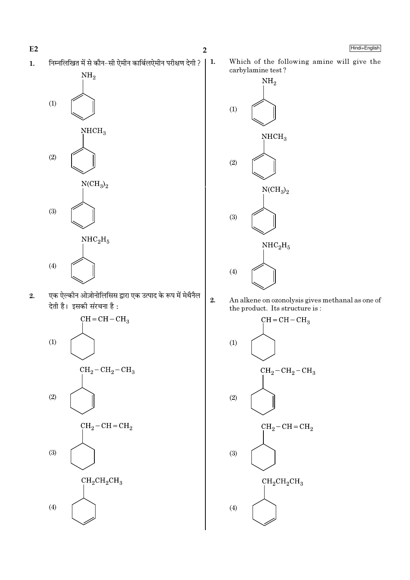निम्नलिखित में से कौन-सी ऐमीन कार्बिलऐमीन परीक्षण देगी ?  $\mathbf{1}$ .  $\vert$  1.



एक ऐल्कीन ओज़ोनोलिसिस द्वारा एक उत्पाद के रूप में मेथैनैल  $2.$ देती है। इसकी संरचना है:



 $2.$ 

Which of the following amine will give the carbylamine test?



- An alkene on ozonolysis gives methanal as one of the product. Its structure is:
	- $CH = CH CH<sub>3</sub>$  $(1)$  $CH_2-CH_2-CH_3$  $(2)$  $CH_2-CH=CH_2$  $(3)$  $CH_2CH_2CH_3$  $(4)$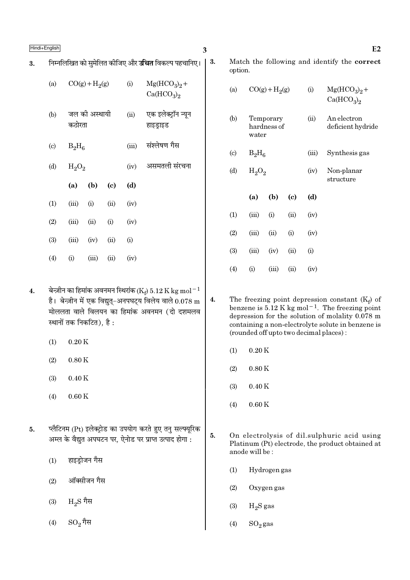$3.$ 

|                            |          |                 |                            |       | निम्नलिखित को सुमेलित कीजिए और <b>उचित</b> विकल्प पहचानिए। |
|----------------------------|----------|-----------------|----------------------------|-------|------------------------------------------------------------|
| (a)                        |          | $CO(g) + H2(g)$ |                            | (i)   | $Mg(HCO3)2 +$<br>Ca(HCO <sub>3</sub> ) <sub>2</sub>        |
| (b)                        | कठोरता   | जल की अस्थायी   |                            | (ii)  | एक इलेक्ट्रॉन न्यून<br>हाइड्राइड                           |
| $\left( \mathrm{c}\right)$ | $B_2H_6$ |                 |                            | (iii) | संश्लेषण गैस                                               |
| (d)                        | $H_2O_2$ |                 |                            | (iv)  | असमतली संरचना                                              |
|                            | (a)      | (b)             | $\left( \mathrm{c}\right)$ | (d)   |                                                            |
| (1)                        | (iii)    | (i)             | (ii)                       | (iv)  |                                                            |
| (2)                        | (iii)    | (ii)            | (i)                        | (iv)  |                                                            |
| (3)                        | (iii)    | (iv)            | (ii)                       | (i)   |                                                            |
| (4)                        | (i)      | (iii)           | (ii)                       | (iv)  |                                                            |

- बेन्ज़ीन का हिमांक अवनमन स्थिरांक (Ke) 5.12 K kg mol $^{-1}$  $\boldsymbol{4}$ . है। बेन्ज़ीन में एक विद्युत्-अनपघट्य विलेय वाले  $0.078 \text{ m}$ मोललता वाले विलयन का हिमांक अवनमन (दो दशमलव स्थानों तक निकटित), है :
	- $(1)$  $0.20K$
	- $0.80K$  $(2)$
	- $0.40K$  $(3)$
	- $0.60K$  $(4)$
- प्लैटिनम (Pt) इलेक्ट्रोड का उपयोग करते हुए तनु सल्फ्यूरिक 5. अम्ल के वैद्युत अपघटन पर, ऐनोड पर प्राप्त उत्पाद होगा :
	- $(1)$ हाइड़ोजन गैस
	- ऑक्सीजन गैस  $(2)$
	- $(3)$  $\rm{H}_{2}\rm{S}$  गैस
	- $SO_2$ गैस  $(4)$

3.

Match the following and identify the correct option.

| (a)                         |          | $CO(g) + H2(g)$          |                             | (i)   | $Mg(HCO3)2 +$<br>Ca(HCO <sub>3</sub> ) <sub>2</sub> |
|-----------------------------|----------|--------------------------|-----------------------------|-------|-----------------------------------------------------|
| (b)                         | water    | Temporary<br>hardness of |                             | (ii)  | An electron<br>deficient hydride                    |
| $\left( \mathrm{c} \right)$ | $B_2H_6$ |                          |                             | (iii) | Synthesis gas                                       |
| (d)                         | $H_2O_2$ |                          |                             | (iv)  | Non-planar<br>structure                             |
|                             | (a)      | (b)                      | $\left( \mathrm{c} \right)$ | (d)   |                                                     |
| (1)                         | (iii)    | (i)                      | (ii)                        | (iv)  |                                                     |
| (2)                         | (iii)    | (ii)                     | (i)                         | (iv)  |                                                     |
| (3)                         | (iii)    | (iv)                     | (ii)                        | (i)   |                                                     |
| (4)                         | (i)      | (iii)                    | (ii)                        | (iv)  |                                                     |

- $4.$ The freezing point depression constant  $(K_f)$  of benzene is  $5.12$  K kg mol<sup>-1</sup>. The freezing point depression for the solution of molality 0.078 m containing a non-electrolyte solute in benzene is (rounded off upto two decimal places):
	- $0.20K$  $(1)$
	- $(2)$  $0.80K$
	- $(3)$  $0.40K$
	- $0.60K$  $(4)$
- 5. On electrolysis of dil.sulphuric acid using Platinum (Pt) electrode, the product obtained at anode will be:
	- $(1)$ Hydrogen gas
	- $(2)$ Oxygen gas
	- $(3)$  $H_2S$  gas
	- $(4)$  $SO_2$ gas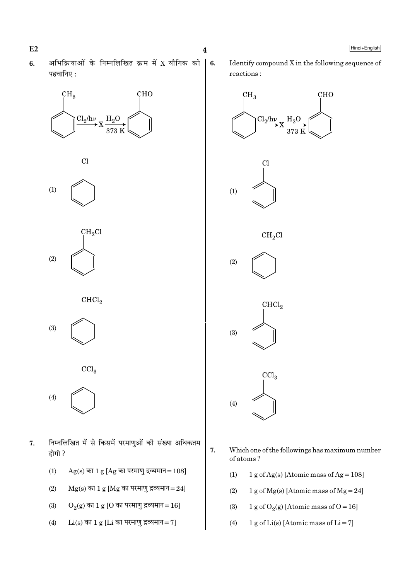- $E2$
- अभिक्रियाओं के निम्नलिखित क्रम में X यौगिक को  $6.$ पहचानिए:

 $\overline{\mathbf{4}}$ 

6.







 $CHCl<sub>2</sub>$  $(3)$ 

 $\overline{\text{CCl}}_3$  $(4)$ 

- निम्नलिखित में से किसमें परमाणुओं की संख्या अधिकतम 7. होगी ?
	- $(1)$  $Ag(s)$  का 1 g [Ag का परमाणु द्रव्यमान = 108]
	- $(2)$  $Mg(s)$  का 1 g [Mg का परमाणु द्रव्यमान=24]
	- $O_2(g)$  का 1 g [O का परमाणु द्रव्यमान=16]  $(3)$
	- $Li(s)$  का 1 g [Li का परमाणु द्रव्यमान=7]  $(4)$

Identify compound X in the following sequence of reactions:



- 7. Which one of the followings has maximum number of atoms?
	- $(1)$ 1 g of Ag(s) [Atomic mass of Ag =  $108$ ]
	- $(2)$ 1 g of  $Mg(s)$  [Atomic mass of  $Mg = 24$ ]
	- 1 g of O<sub>2</sub>(g) [Atomic mass of O = 16]  $(3)$
	- 1 g of Li(s) [Atomic mass of Li = 7]  $(4)$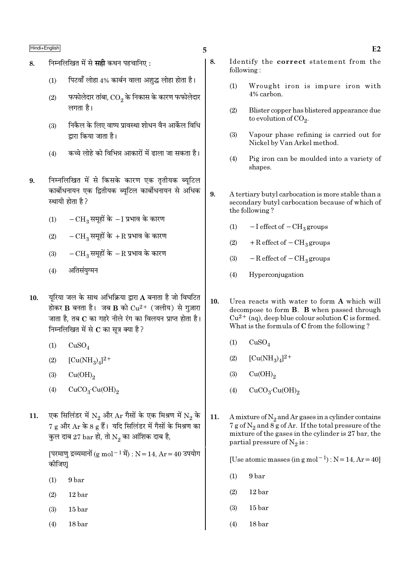- 8. Fमिलिखित में से सही कथन पहचानिए:
	- $(1)$  पिटवाँ लोहा 4% कार्बन वाला अशुद्ध लोहा होता है।
	- $\left( 2\right)$   $\equiv$  फफोलेदार तांबा,  $\overline{\text{CO}_{2}}$  के निकास के कारण फफोलेदार लगता है।
	- (3) ÁŸ∑Ò§‹ ∑§ Á‹∞ flÊc¬ ¬˝ÊflSÕÊ ‡ÊÊœŸ flÒŸ •Ê∑¸§‹ ÁflÁœ द्वारा किया जाता है।
	- $(4)$   $\frac{1}{2}$  कच्चे लोहे को विभिन्न आकारों में ढाला जा सकता है।
- 9. निम्नलिखित में से किसके कारण एक तृतीयक ब्युटिल कार्बोधनायन एक द्वितीयक ब्यटिल कार्बोधनायन से अधिक स्थायी होता है ?
	- $(1)$  −  $CH<sub>3</sub>$  समूहों के − I प्रभाव के कारण
	- (2)  $-CH_3$  समूहों के + $R$  प्रभाव के कारण
	- (3)  $-CH_3$  समूहों के −R प्रभाव के कारण
	- (4) अतिसंयुग्मन
- 10. यूरिया जल के साथ अभिक्रिया द्वारा A बनाता है जो विघटित होकर  $\bf{B}$  बनता है। जब  $\bf{B}$  को  $\rm Cu^{2+}$  (जलीय) से गुज़ारा जाता है, तब  $\bf C$  का गहरे नीले रंग का विलयन प्राप्त होता है। निम्नलिखित में से  $\bf c$  का सत्र क्या है ?
	- $(1)$   $CuSO<sub>4</sub>$
	- (2)  $[Cu(NH_3)_4]^{2+}$
	- $\text{Cu(OH)}_2$
	- (4)  $CuCO<sub>3</sub>·Cu(OH)<sub>2</sub>$
- $11. \quad$  एक सिलिंडर में  $\rm N_2$  और  $\rm Ar$  गैसों के एक मिश्रण में  $\rm N_2$  के  $7$  g और  $\rm{Ar}$  के 8 g हैं। यदि सिलिंडर में गैसों के मिश्रण का कुल दाब 27 bar हो, तो  $\mathrm{N}_2$  का आंशिक दाब है,

[परमाणु द्रव्यमानों (g mol<sup>-1</sup> में) : N = 14, Ar = 40 उपयोग कोजिए1

- (1) 9 bar
- (2) 12 bar
- (3) 15 bar
- (4) 18 bar
- 8. Identify the correct statement from the following :
	- (1) Wrought iron is impure iron with 4% carbon.
	- (2) Blister copper has blistered appearance due to evolution of CO<sub>2</sub>.
	- (3) Vapour phase refining is carried out for Nickel by Van Arkel method.
	- (4) Pig iron can be moulded into a variety of shapes.
- 9. A tertiary butyl carbocation is more stable than a secondary butyl carbocation because of which of the following ?
	- (1)  $-I$  effect of  $-CH_3$  groups
	- (2) + R effect of  $-CH_3$  groups
	- (3)  $-$  R effect of  $-$  CH<sub>3</sub> groups
	- (4) Hyperconjugation
- 10. Urea reacts with water to form A which will decompose to form B. B when passed through  $Cu^{2+}$  (aq), deep blue colour solution C is formed. What is the formula of C from the following ?
	- $(1)$   $CuSO<sub>4</sub>$
	- (2)  $[Cu(NH_3)_4]^{2+}$
	- $\text{Cu(OH)}_{2}$
	- (4)  $CuCO<sub>3</sub>·Cu(OH)<sub>2</sub>$
- 11. A mixture of  $N_2$  and Ar gases in a cylinder contains 7 g of  $\mathrm{N}_2$  and 8 g of Ar. If the total pressure of the mixture of the gases in the cylinder is 27 bar, the partial pressure of  $\mathrm{N}_2 \, \mathrm{is}$  :

[Use atomic masses (in g mol<sup>-1</sup>) : N = 14, Ar = 40]

- (1) 9 bar
- (2) 12 bar
- (3) 15 bar
- (4) 18 bar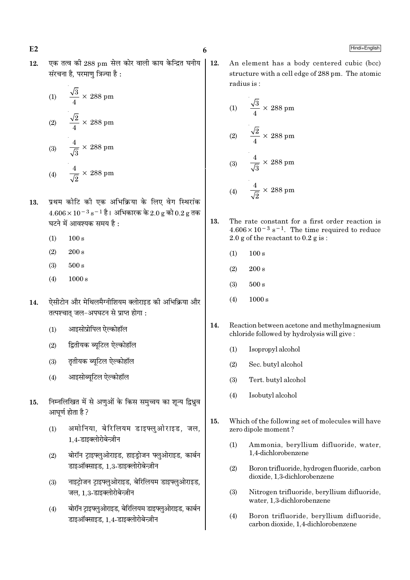एक तत्व की 288 pm सेल कोर वाली काय केन्द्रित घनीय  $12.$ संरचना है. परमाण त्रिज्या है :

(1) 
$$
\frac{\sqrt{3}}{4} \times 288 \text{ pm}
$$
  
(2) 
$$
\frac{\sqrt{2}}{4} \times 288 \text{ pm}
$$
  
(3) 
$$
\frac{4}{\sqrt{3}} \times 288 \text{ pm}
$$
  
(4) 
$$
\frac{4}{\sqrt{3}} \times 288 \text{ pm}
$$

 $\sqrt{2}$ 

- प्रथम कोटि की एक अभिक्रिया के लिए वेग स्थिरांक 13.  $4.606 \times 10^{-3}$  s<sup>-1</sup> है। अभिकारक के 2.0 g को 0.2 g तक घटने में आवश्यक समय है :
	- $100 s$  $(1)$
	- $(2)$  $200 s$
	- $500 s$  $(3)$
	- $(4)$  $1000 s$
- ऐसीटोन और मेथिलमैग्नीशियम क्लोराइड की अभिक्रिया और 14. तत्पश्चात् जल-अपघटन से प्राप्त होगा:
	- आइसोप्रोपिल ऐल्कोहॉल  $(1)$
	- द्वितीयक ब्यूटिल ऐल्कोहॉल  $(2)$
	- तृतीयक ब्यूटिल ऐल्कोहॉल  $(3)$
	- आइसोब्यटिल ऐल्कोहॉल  $(4)$
- निम्नलिखित में से अणुओं के किस समुच्चय का शून्य द्विध्नुव 15. आघर्ण होता है ?
	- अमोनिया, बेरिलियम डाइफ्लुओराइड, जल,  $(1)$ 1.4-डाइक्लोरोबेन्ज़ीन
	- बोरॉन ट्राइफ्लुओराइड, हाइड्रोजन फ्लुओराइड, कार्बन  $(2)$ डाइऑक्साइड, 1.3-डाइक्लोरोबेन्ज़ीन
	- नाइट्रोजन ट्राइफ्लुओराइड, बेरिलियम डाइफ्लुओराइड,  $(3)$ जल, 1.3-डाइक्लोरोबेन्ज़ीन
	- बोरॉन टाइफ्लओराइड, बेरिलियम डाइफ्लुओराइड, कार्बन  $(4)$ डाइऑक्साइड, 1,4-डाइक्लोरोबेन्ज़ीन

12. An element has a body centered cubic (bcc) structure with a cell edge of 288 pm. The atomic radius is:

(1) 
$$
\frac{\sqrt{3}}{4} \times 288 \text{ pm}
$$
  
(2) 
$$
\frac{\sqrt{2}}{4} \times 288 \text{ pm}
$$
  
(3) 
$$
\frac{4}{\sqrt{3}} \times 288 \text{ pm}
$$
  
(4) 
$$
\frac{4}{\sqrt{5}} \times 288 \text{ pm}
$$

- 13. The rate constant for a first order reaction is  $4.606 \times 10^{-3}$  s<sup>-1</sup>. The time required to reduce  $2.0 \text{ g}$  of the reactant to  $0.2 \text{ g}$  is:
	- $(1)$  $100 s$
	- $(2)$  $200 s$
	- $(3)$  $500 s$
	- $(4)$  $1000 s$
- 14. Reaction between acetone and methylmagnesium chloride followed by hydrolysis will give:
	- $(1)$ Isopropyl alcohol
	- $(2)$ Sec. butyl alcohol
	- $(3)$ Tert. butyl alcohol
	- $(4)$ Isobutyl alcohol
- 15. Which of the following set of molecules will have zero dipole moment?
	- Ammonia, beryllium difluoride, water,  $(1)$ 1,4-dichlorobenzene
	- $(2)$ Boron trifluoride, hydrogen fluoride, carbon dioxide, 1,3-dichlorobenzene
	- Nitrogen trifluoride, beryllium difluoride,  $(3)$ water, 1.3-dichlorobenzene
	- $(4)$ Boron trifluoride, beryllium difluoride, carbon dioxide, 1.4-dichlorobenzene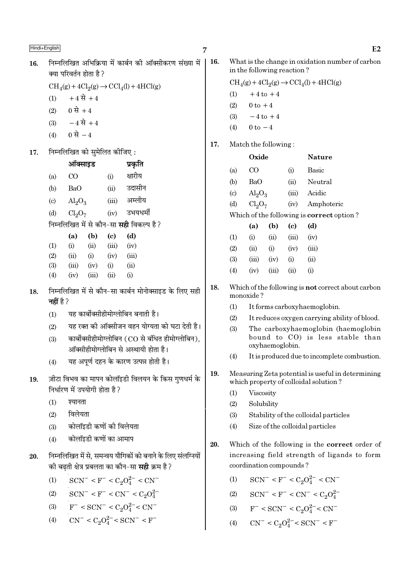निम्नलिखित अभिकिया में कार्बन की ऑक्सीकरण संख्या में 16. क्या परिवर्तन होता है ?  $\text{CH}_4(g) + 4\text{Cl}_2(g) \rightarrow \text{CCl}_4(l) + 4\text{HCl}(g)$  $+4 \vec{R} + 4$  $(1)$ 0 से +4  $(2)$  $-4 \vec{R} + 4$  $(3)$ 0 से  $-4$  $(4)$ निम्नलिखित को सुमेलित कीजिए: 17. ऑक्साइड प्रकति क्षारीय  $(a)$  $CO$  $(i)$ **BaO** उदासीन  $(b)$  $(ii)$ अम्लीय  $\left( \mathrm{c}\right)$  $\text{Al}_2\text{O}_3$  $(iii)$ उभयधर्मी  $Cl<sub>2</sub>O<sub>7</sub>$  $(iv)$  $(d)$ निम्नलिखित में से कौन–सा **सही** विकल्प है ?  $(a)$  $(b)$  $\left( \text{c} \right)$  $(d)$  $(1)$  $(i)$  $(ii)$  $(iii)$  $(iv)$  $(2)$  $(ii)$  $(iii)$  $(i)$  $(iv)$  $(3)$  $(iii)$  $(iv)$  $(i)$  $(ii)$  $(4)$  $(iv)$  $(iii)$  $(ii)$  $(i)$ निम्नलिखित में से कौन-सा कार्बन मोनोक्साइड के लिए सही 18. नहीं है ? यह कार्बोक्सीहीमोग्लोबिन बनाती है।  $(1)$ यह रक्त की ऑक्सीजन वहन योग्यता को घटा देती है।  $(2)$ कार्बोक्सीहीमोग्लोबिन (CO से बंधित हीमोग्लोबिन).  $(3)$ ऑक्सीहीमोग्लोबिन से अस्थायी होता है। यह अपर्ण दहन के कारण उत्पन्न होती है।  $(4)$ ज़ीटा विभव का मापन कोलॉइडी विलयन के किस गणधर्म के 19. निर्धारण में उपयोगी होता है ? श्यानता  $(1)$ विलेयता  $(2)$ कोलॉइडी कणों की विलेयता  $(3)$ कोलॉइडी कणों का आमाप  $(4)$ निम्नलिखित में से. समन्वय यौगिकों को बनाने के लिए संलग्नियों 20. की बढती क्षेत्र प्रबलता का कौन–सा **सही** क्रम है ?  $SCN^- < F^- < C_2O_4^{2-} < CN^ (1)$  $SCN^- < F^- < CN^- < C_2O_4^{2-}$  $(2)$  $F^{-} <$  SCN<sup>-</sup> < C<sub>2</sub>O<sub>4</sub><sup>2</sup><sup>-</sup> < CN<sup>-</sup>  $(3)$  $CN^{-} < C_2O_4^{2-} < SCN^{-} < F^{-}$  $(4)$ 

16. What is the change in oxidation number of carbon in the following reaction?

 $CH<sub>4</sub>(g) + 4Cl<sub>2</sub>(g) \rightarrow CCl<sub>4</sub>(l) + 4HCl(g)$  $+4$  to  $+4$  $(1)$  $0 \text{ to } +4$  $(2)$  $(3)$  $-4$  to  $+4$ 

- $0 \text{ to } -4$  $(4)$
- 17. Match the following:

|                             | Oxide                   |       | Nature                                          |
|-----------------------------|-------------------------|-------|-------------------------------------------------|
| (a)                         | (X)                     | (i)   | Basic                                           |
| (b)                         | BaO                     | (ii)  | Neutral                                         |
| $\left( \mathrm{c} \right)$ | $\text{Al}_2\text{O}_3$ | (iii) | Acidic                                          |
| (d)                         | $Cl_2O_7$               | (iv)  | Amphoteric                                      |
|                             |                         |       | Which of the following is <b>correct</b> option |

|                   | (a)   | (b)      | (c)   | (d)      |
|-------------------|-------|----------|-------|----------|
| $\rm(1)$          | (i)   | $\sin$   | (iii) | (iv)     |
| (2)               | (ii)  | $\rm(i)$ | (iv)  | (iii)    |
| <b>(3)</b>        | (iii) | (iv)     | (i)   | (ii)     |
| $\left( 4\right)$ | (iv)  | (iii)    | (ii)  | $\rm(i)$ |

18. Which of the following is **not** correct about carbon monoxide?

- $(1)$ It forms carboxyhaemoglobin.
- $(2)$ It reduces oxygen carrying ability of blood.
- The carboxyhaemoglobin (haemoglobin  $(3)$  $bound to CO$  is less stable than oxyhaemoglobin.
- It is produced due to incomplete combustion.  $(4)$
- Measuring Zeta potential is useful in determining 19. which property of colloidal solution?
	- Viscosity  $(1)$
	- $(2)$ Solubility
	- Stability of the colloidal particles  $(3)$
	- $(4)$ Size of the colloidal particles
- 20. Which of the following is the **correct** order of increasing field strength of ligands to form coordination compounds?
	- $SCN^- < F^- < C_2O_4^{2-} < CN^ (1)$
	- $SCN^- < F^- < CN^- < C_2O_4^{2-}$  $(2)$
	- (3)  $F^- < SCN^- < C_2O_4^{2-} < CN^-$
	- $CN^{-} < C_2O_4^{2-} < SCN^{-} < F^{-}$  $(4)$

 $\overline{?}$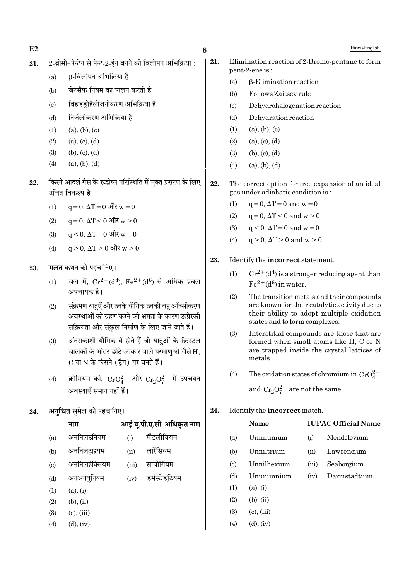$E2 \hspace{1.5cm} 8$ 

- $21.$  2-ब्रोमो-पेन्टेन से पेन्ट-2-ईन बनने की विलोपन अभिक्रिया :
	- (a)  $\beta$ -विलोपन अभिक्रिया है
	- (b) जेटसैफ नियम का पालन करती है
	- (c) विहाइडोहैलोजनीकरण अभिक्रिया है
	- (d) निर्जलीकरण अभिक्रिया है
	- $(1)$   $(a), (b), (c)$
	- $(2)$  (a), (c), (d)
	- $(3)$  (b),  $(c)$ ,  $(d)$
	- $(4)$   $(a), (b), (d)$
- $22.$  किसी आदर्श गैस के रुद्धोष्म परिस्थिति में मुक्त प्रसरण के लिए उचित विकल्प है $\,$  :
	- $(1)$   $q = 0$ , ΔT = 0 और w = 0
	- (2)  $q = 0$ , ∆T < 0 और w > 0
	- $(3)$  q < 0, ΔT = 0 और w = 0
	- $(4)$  q > 0, ΔT > 0 और w > 0
- 23. **गलत** कथन को पहचानिए।
	- (1) जल में,  $Cr^{2+}(d^4)$ ,  $Fe^{2+}(d^6)$  से अधिक प्रबल अपचायक है।
	- (2) संक्रमण धातएँ और उनके यौगिक उनकी बह ऑक्सीकरण अवस्थाओं को ग्रहण करने की क्षमता के कारण उत्प्रेरकी सक्रियता और संकुल निर्माण के लिए जाने जाते हैं।
	- (3) अंतराकाशी यौगिक वे होते हैं जो धातुओं के क्रिस्टल जालकों के भीतर छोटे आकार वाले परमाणओं जैसे H, C या N के फंसने (ट्रैप) पर बनते हैं।
	- (4) ज़्रोमियम की,  $CrO_4^{2-}$  और  $Cr_2O_7^{2-}$  में उपचयन अवस्थाएँ समान नहीं हैं।
- 24. **अनचित** समेल को पहचानिए।

**ŸÊ◊ •Ê߸.ÿÍ.¬Ë.∞.'Ë. •Áœ∑Χà ŸÊ◊**

- (a) अननिलउनियम (i) मैंडलीवियम
- (b) अननिलटाइयम (ii) लारेंसियम
- (c) अननिलहेक्सियम (iii) सीबोर्गियम
- (d) अनअनयुनियम (iv) डर्मस्टेडुटियम
- $(1)$   $(a)$ ,  $(i)$
- $(2)$  (b), (ii)
- $(3)$   $(c), (iii)$
- $(4)$   $(d), (iv)$
- 
- 21. Elimination reaction of 2-Bromo-pentane to form pent-2-ene is :
	- (a) β-Elimination reaction
	- (b) Follows Zaitsev rule
	- (c) Dehydrohalogenation reaction
	- (d) Dehydration reaction
	- $(1)$   $(a), (b), (c)$
	- $(2)$   $(a), (c), (d)$
	- $(3)$  (b),  $(c)$ ,  $(d)$
	- $(4)$   $(a), (b), (d)$
- 22. The correct option for free expansion of an ideal gas under adiabatic condition is :
	- (1)  $q = 0$ ,  $\Delta T = 0$  and  $w = 0$
	- (2)  $q=0$ ,  $\Delta T < 0$  and  $w > 0$
	- (3)  $q < 0$ ,  $\Delta T = 0$  and  $w = 0$
	- (4)  $q > 0$ ,  $\Delta T > 0$  and  $w > 0$
- 23. Identify the incorrect statement.
	- (1)  $Cr^{2+}(d^4)$  is a stronger reducing agent than  $Fe^{2+}(d^6)$  in water.
	- (2) The transition metals and their compounds are known for their catalytic activity due to their ability to adopt multiple oxidation states and to form complexes.
	- (3) Interstitial compounds are those that are formed when small atoms like H, C or N are trapped inside the crystal lattices of metals.
	- (4) The oxidation states of chromium in  $CrO_4^{2-}$ and  $Cr_2O_7^{2-}$  are not the same.
- 24. Identify the incorrect match.

# Name IUPAC Official Name (a) Unnilunium (i) Mendelevium

- (b) Unniltrium (ii) Lawrencium
- (c) Unnilhexium (iii) Seaborgium
- (d) Unununnium (iv) Darmstadtium
- $(1)$   $(a), (i)$
- $(2)$  (b), (ii)
- $(3)$   $(c)$ ,  $(iii)$
- $(4)$   $(d)$ ,  $(iv)$

Hindi+English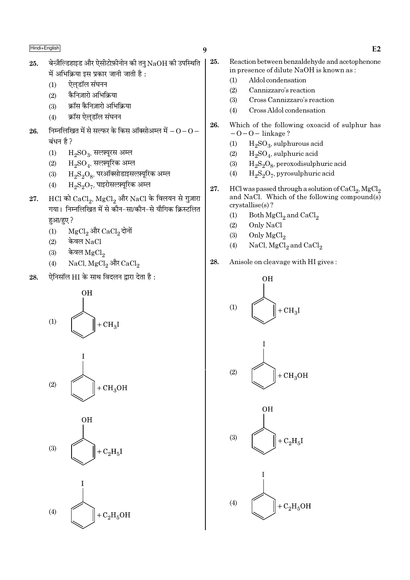| Hindi+English |
|---------------|
|---------------|

- $\boldsymbol{q}$
- बेन्ज़ैल्डिहाइड और ऐसीटोफ़ीनोन की तनु  $\mathrm{NaOH}$  की उपस्थिति 25. में अभिक्रिया इस प्रकार जानी जाती है :
	- ऐलडॉल संघनन  $(1)$
	- कैनिज़ारो अभिक्रिया  $(2)$
	- क्रॉस कैनिज़ारो अभिक्रिया  $(3)$
	- $(4)$ क्रॉस ऐलडॉल संघनन
- निम्नलिखित में से सल्फर के किस ऑक्सोअम्ल में  $\rm O$   $\rm O$   $-$ 26. ਕਂधन है ?
	- $(1)$  $H_2SO_3$ , सलम्यूरस अम्ल
	- $(2)$  $H_2SO_4$ , सल्फ़्यूरिक अम्ल
	- $\rm H_2S_2O_8$ , परऑक्सोडाइसल्फ़्यूरिक अम्ल  $(3)$
	- $\rm H_2S_2O_7$ , पाइरोसल्फ़्यूरिक अम्ल  $(4)$
- $\rm HCl$  को  $\rm CaCl_2$ ,  $\rm MgCl_2$  और  $\rm NaCl$  के विलयन से गुज़ारा 27. गया। निम्नलिखित में से कौन-सा/कौन-से यौगिक क्रिस्टलित हुआ/हुए?
	- MgCl<sub>2</sub> और CaCl<sub>2</sub> दोनों  $(1)$
	- केवल NaCl  $(2)$
	- केवल MgCl<sub>2</sub>  $(3)$
	- NaCl, MgCl<sub>2</sub> और CaCl<sub>2</sub>  $(4)$
- ऐनिसॉल HI के साथ विदलन द्वारा देता है: 28.







- 
- 25. Reaction between benzaldehyde and acetophenone in presence of dilute NaOH is known as:
	- $(1)$ Aldol condensation
	- $(2)$ Cannizzaro's reaction
	- $(3)$ Cross Cannizzaro's reaction
	- Cross Aldol condensation  $(4)$
- 26. Which of the following oxoacid of sulphur has  $-0-0$  – linkage?
	- $H<sub>2</sub>SO<sub>3</sub>$ , sulphurous acid  $(1)$
	- $(2)$  $H_2SO_4$ , sulphuric acid
	- $H_2S_2O_8$ , peroxodisulphuric acid  $(3)$
	- $H_2S_2O_7$ , pyrosulphuric acid  $(4)$
- 27. HCl was passed through a solution of  $\mathrm{CaCl}_2$ ,  $\mathrm{MgCl}_2$ and NaCl. Which of the following compound(s) crystallise(s)?
	- $(1)$ Both MgCl<sub>2</sub> and CaCl<sub>2</sub>
	- $(2)$ Only NaCl
	- $(3)$ Only MgCl<sub>2</sub>
	- $(4)$ NaCl,  $MgCl<sub>2</sub>$  and  $CaCl<sub>2</sub>$
- Anisole on cleavage with HI gives: 28.

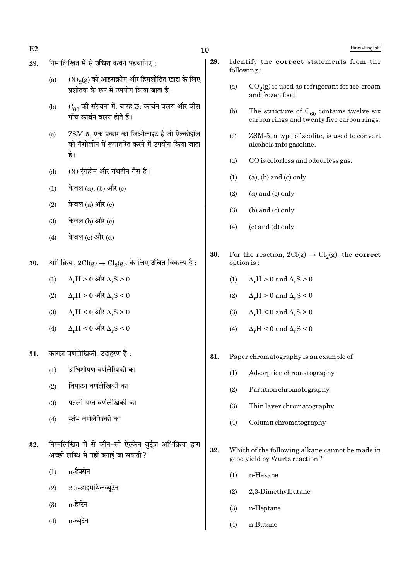$E2$ 

#### निम्नलिखित में से **उचित** कथन पहचानिए: 29.

- - $CO<sub>9</sub>(g)$  को आइसक्रीम और हिमशीतित खाद्य के लिए  $(a)$ प्रशीतक के रूप में उपयोग किया जाता है।
	- $\rm C_{60}$  की संरचना में, बारह छ: कार्बन वलय और बीस<br>पाँच कार्बन वलय होते हैं।  $(b)$
	- ZSM-5, एक प्रकार का जिओलाइट है जो ऐल्कोहॉल  $(c)$ को गैसोलीन में रूपांतरित करने में उपयोग किया जाता है।
	- CO रंगहीन और गंधहीन गैस है।  $(d)$
	- केवल (a), (b) और (c)  $(1)$
	- केवल  $(a)$  और  $(c)$  $(2)$
	- केवल (b) और (c)  $(3)$
	- केवल (c) और (d)  $(4)$
- अभिक्रिया,  $2\text{Cl}(g) \rightarrow \text{Cl}_2(g)$ , के लिए **उचित** विकल्प है : 30.
	- $\Delta_r H > 0$  और  $\Delta_r S > 0$  $(1)$
	- $\Delta_{\rm r}{\rm H}$  >  $0$  और  $\Delta_{\rm r}{\rm S}$  <  $0$  $(2)$
	- $\Delta_{r}H$  < 0 और  $\Delta_{r}S$  > 0  $(3)$
	- $\Delta_r H < 0$  और  $\Delta_r S < 0$  $(4)$
- कागज़ वर्णलेखिकी. उदाहरण है : 31.
	- अधिशोषण वर्णलेखिकी का  $(1)$
	- विपाटन वर्णलेखिको का  $(2)$
	- पतली परत वर्णलेखिकी का  $(3)$
	- स्तंभ वर्णलेखिकी का  $(4)$
- निम्नलिखित में से कौन-सी ऐल्केन वर्ट्ज़ अभिक्रिया द्वारा 32. अच्छी लब्धि में नहीं बनाई जा सकती ?
	- n-हैक्सेन  $(1)$
	- 2.3-डाइमेथिलब्यूटेन  $(2)$
	- n-हेप्टेन  $(3)$
	- n-ब्यटेन  $(4)$
- 29. Identify the correct statements from the following:
	- $CO<sub>2</sub>(g)$  is used as refrigerant for ice-cream  $(a)$ and frozen food.
	- The structure of  $C_{60}$  contains twelve six  $(b)$ carbon rings and twenty five carbon rings.
	- ZSM-5, a type of zeolite, is used to convert  $(c)$ alcohols into gasoline.
	- CO is colorless and odourless gas.  $(d)$
	- $(1)$  $(a)$ ,  $(b)$  and  $(c)$  only
	- $(2)$  $(a)$  and  $(c)$  only
	- $(b)$  and  $(c)$  only  $(3)$
	- $(c)$  and  $(d)$  only  $(4)$
- For the reaction,  $2Cl(g) \rightarrow Cl_2(g)$ , the **correct** 30. option is:
	- $(1)$  $\Delta_r H > 0$  and  $\Delta_r S > 0$
	- $\Delta_r H > 0$  and  $\Delta_r S < 0$  $(2)$
	- $\Delta_r H < 0$  and  $\Delta_r S > 0$  $(3)$
	- $\Delta H < 0$  and  $\Delta S < 0$  $(4)$
- 31. Paper chromatography is an example of:
	- $(1)$ Adsorption chromatography
	- $(2)$ Partition chromatography
	- $(3)$ Thin layer chromatography
	- Column chromatography  $(4)$
- 32. Which of the following alkane cannot be made in good yield by Wurtz reaction?
	- $(1)$ n-Hexane
	- $(2)$ 2,3-Dimethylbutane
	- $(3)$ n-Heptane
	- $(4)$ n-Butane

Hindi+English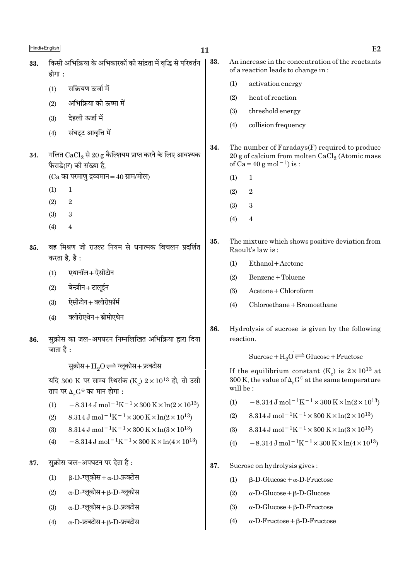| Hindi+English |           |                                                                                                               | 11  |           | E2                                                                                                                                           |
|---------------|-----------|---------------------------------------------------------------------------------------------------------------|-----|-----------|----------------------------------------------------------------------------------------------------------------------------------------------|
| 33.           | होगा :    | किसी अभिक्रिया के अभिकारकों की सांद्रता में वृद्धि से परिवर्तन                                                | 33. |           | An increase in the concentration of the reactants<br>of a reaction leads to change in:                                                       |
|               | (1)       | सक्रियण ऊर्जा में                                                                                             |     | (1)       | activation energy                                                                                                                            |
|               | (2)       | अभिक्रिया की ऊष्मा में                                                                                        |     | (2)       | heat of reaction                                                                                                                             |
|               |           | देहली ऊर्जा में                                                                                               |     | (3)       | threshold energy                                                                                                                             |
|               | (3)       |                                                                                                               |     | (4)       | collision frequency                                                                                                                          |
|               | (4)       | संघट्ट आवृत्ति में                                                                                            |     |           |                                                                                                                                              |
| 34.           |           | गलित $\mathrm{CaCl}_{2}$ से 20 g कैल्शियम प्राप्त करने के लिए आवश्यक<br>फैराडे(F) की संख्या है,               | 34. |           | The number of Faradays(F) required to produce<br>20 g of calcium from molten $CaCl2$ (Atomic mass<br>of $Ca = 40 g$ mol <sup>-1</sup> ) is : |
|               |           | $(Ca$ का परमाणु द्रव्यमान = 40 ग्राम/मोल)                                                                     |     | (1)       | $\mathbf{1}$                                                                                                                                 |
|               | (1)       | $\mathbf 1$                                                                                                   |     | (2)       | $\,2$                                                                                                                                        |
|               | (2)       | $\boldsymbol{2}$                                                                                              |     | (3)       | $\boldsymbol{3}$                                                                                                                             |
|               | (3)       | 3                                                                                                             |     | (4)       | 4                                                                                                                                            |
|               | (4)       | $\overline{4}$                                                                                                |     |           |                                                                                                                                              |
| 35.           |           | वह मिश्रण जो राउल्ट नियम से धनात्मक विचलन प्रदर्शित<br>करता है, है :                                          | 35. |           | The mixture which shows positive deviation from<br>Raoult's law is:                                                                          |
|               |           |                                                                                                               |     | (1)       | Ethanol + Acetone                                                                                                                            |
|               | (1)       | एथानॉल+ ऐसीटोन                                                                                                |     | (2)       | Benzene + Toluene                                                                                                                            |
|               | (2)       | बेन्ज़ीन+टालूईन                                                                                               |     | (3)       | Acetone + Chloroform                                                                                                                         |
|               | (3)       | ऐसीटोन+क्लोरोफ़ॉर्म                                                                                           |     | (4)       | Chloroethane + Bromoethane                                                                                                                   |
|               | (4)       | क्लोरोएथेन+ब्रोमोएथेन                                                                                         |     |           |                                                                                                                                              |
| 36.           | जाता है : | सुक्रोस का जल-अपघटन निम्नलिखित अभिक्रिया द्वारा दिया                                                          | 36. | reaction. | Hydrolysis of sucrose is given by the following                                                                                              |
|               |           |                                                                                                               |     |           | Sucrose + $H_2O \rightleftharpoons Glucose + Fructose$                                                                                       |
|               |           | सुक्रोस+ $H_2O \rightleftharpoons \overline{G}$ कोस+फ्रक्टोस                                                  |     |           | If the equilibrium constant $(K_c)$ is $2 \times 10^{13}$ at                                                                                 |
|               |           | यदि 300 K पर साम्य स्थिरांक (K ) $2 \times 10^{13}$ हो, तो उसी<br>ताप पर $\Delta_r G^{\ominus}$ का मान होगा : |     | will be:  | 300 K, the value of $\Delta_r G^{\ominus}$ at the same temperature                                                                           |
|               | (1)       | $-8.314 \,\mathrm{J}$ mol <sup>-1</sup> K <sup>-1</sup> ×300 K×ln(2×10 <sup>13</sup> )                        |     | (1)       | $-8.314 \,\mathrm{J}$ mol <sup>-1</sup> K <sup>-1</sup> ×300 K×ln(2×10 <sup>13</sup> )                                                       |
|               | (2)       | 8.314 J mol <sup>-1</sup> K <sup>-1</sup> × 300 K × ln(2 × 10 <sup>13</sup> )                                 |     | (2)       | 8.314 J mol <sup>-1</sup> K <sup>-1</sup> × 300 K × ln(2 × 10 <sup>13</sup> )                                                                |
|               | (3)       | 8.314 J mol <sup>-1</sup> K <sup>-1</sup> × 300 K × ln(3 × 10 <sup>13</sup> )                                 |     | (3)       | 8.314 J mol <sup>-1</sup> K <sup>-1</sup> × 300 K × ln(3 × 10 <sup>13</sup> )                                                                |
|               | (4)       | $-8.314 \,\mathrm{J}$ mol <sup>-1</sup> K <sup>-1</sup> ×300 K×ln(4×10 <sup>13</sup> )                        |     | (4)       | $-8.314 \,\mathrm{J} \,\mathrm{mol}^{-1} \mathrm{K}^{-1} \times 300 \,\mathrm{K} \times \ln(4 \times 10^{13})$                               |
| 37.           |           | सुक्रोस जल-अपघटन पर देता है :                                                                                 | 37. |           | Sucrose on hydrolysis gives:                                                                                                                 |
|               | (1)       | $\beta$ -D-ग्लूकोस+ $\alpha$ -D-फ्रक्टोस                                                                      |     | (1)       | $\beta$ -D-Glucose + $\alpha$ -D-Fructose                                                                                                    |
|               | (2)       | $\alpha$ -D-ग्लूकोस+ $\beta$ -D-ग्लूकोस                                                                       |     | (2)       | $\alpha$ -D-Glucose + $\beta$ -D-Glucose                                                                                                     |
|               | (3)       | $\alpha$ -D-ग्लूकोस+ $\beta$ -D-फ्रक्टोस                                                                      |     | (3)       | $\alpha$ -D-Glucose + $\beta$ -D-Fructose                                                                                                    |
|               | (4)       | $\alpha$ -D-फ्रक्टोस+ $\beta$ -D-फ्रक्टोस                                                                     |     | (4)       | $\alpha$ -D-Fructose + $\beta$ -D-Fructose                                                                                                   |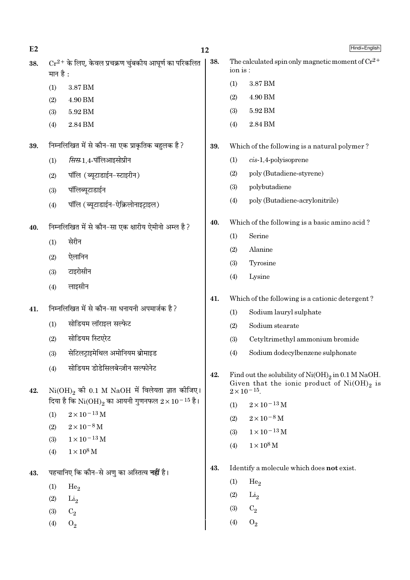| E2  |            |                                                                  | 12  |          | Hindi+English                                                                                           |
|-----|------------|------------------------------------------------------------------|-----|----------|---------------------------------------------------------------------------------------------------------|
| 38. | मान है :   | $Cr^{2+}$ के लिए, केवल प्रचक्रण चुंबकीय आघूर्ण का परिकलित        | 38. | ion is : | The calculated spin only magnetic moment of $Cr^{2+}$                                                   |
|     | (1)        | $3.87\,\mathrm{BM}$                                              |     | (1)      | 3.87 BM                                                                                                 |
|     | (2)        | 4.90 BM                                                          |     | (2)      | 4.90 BM                                                                                                 |
|     | (3)        | 5.92 BM                                                          |     | (3)      | $5.92\,\mathrm{BM}$                                                                                     |
|     | (4)        | 2.84 BM                                                          |     | (4)      | 2.84 BM                                                                                                 |
| 39. |            | निम्नलिखित में से कौन-सा एक प्राकृतिक बहुलक है?                  | 39. |          | Which of the following is a natural polymer?                                                            |
|     | (1)        | <i>सिस</i> -1,4-पॉलिआइसोप्रीन                                    |     | (1)      | $cis-1,4$ -polyisoprene                                                                                 |
|     | (2)        | पॉलि (ब्यूटाडाईन-स्टाइरीन)                                       |     | (2)      | poly (Butadiene-styrene)                                                                                |
|     | (3)        | पॉलिब्यूटाडाईन                                                   |     | (3)      | polybutadiene                                                                                           |
|     | (4)        | पॉलि (ब्यूटाडाईन-ऐक्रिलोनाइट्राइल)                               |     | (4)      | poly (Butadiene-acrylonitrile)                                                                          |
| 40. |            | निम्नलिखित में से कौन-सा एक क्षारीय ऐमीनो अम्ल है?               | 40. |          | Which of the following is a basic amino acid?                                                           |
|     | (1)        | सेरीन                                                            |     | (1)      | Serine                                                                                                  |
|     | (2)        | ऐलानिन                                                           |     | (2)      | Alanine                                                                                                 |
|     |            | टाइरोसीन                                                         |     | (3)      | Tyrosine                                                                                                |
|     | (3)        |                                                                  |     | (4)      | Lysine                                                                                                  |
|     | (4)        | लाइसीन                                                           | 41. |          | Which of the following is a cationic detergent?                                                         |
| 41. |            | निम्नलिखित में से कौन-सा धनायनी अपमार्जक है?                     |     | (1)      | Sodium lauryl sulphate                                                                                  |
|     | (1)        | सोडियम लॉराइल सल्फेट                                             |     | (2)      | Sodium stearate                                                                                         |
|     | (2)        | सोडियम स्टिएरेट                                                  |     | (3)      | Cetyltrimethyl ammonium bromide                                                                         |
|     | (3)        | सेटिलट्राइमेथिल अमोनियम ब्रोमाइड                                 |     | (4)      | Sodium dodecylbenzene sulphonate                                                                        |
|     | (4)        | सोडियम डोडेसिलबेन्ज़ीन सल्फोनेट                                  | 42. |          | Find out the solubility of $Ni(OH)_2$ in 0.1 M NaOH.<br>Given that the ionic product of $Ni(OH)_{2}$ is |
| 42. |            | $Ni(OH)_{2}$ की 0.1 M NaOH में विलेयता ज्ञात कीजिए।              |     |          | $2 \times 10^{-15}$ .                                                                                   |
|     |            | दिया है कि $\rm Ni(OH)_2$ का आयनी गुणनफल $2 \times 10^{-15}$ है। |     | (1)      | $2 \times 10^{-13}$ M                                                                                   |
|     | (1)        | $2\times10^{-13}\,\mathrm{M}$                                    |     | (2)      | $2\times10^{-8}$ M                                                                                      |
|     | (2)        | $2 \times 10^{-8}$ M<br>$1 \times 10^{-13}$ M                    |     | (3)      | $1\times10^{-13}\,\mathrm{M}$                                                                           |
|     | (3)<br>(4) | $1\times10^8\,\rm M$                                             |     | (4)      | $1 \times 10^8$ M                                                                                       |
| 43. |            | पहचानिए कि कौन-से अणु का अस्तित्व <b>नहीं</b> है।                | 43. |          | Identify a molecule which does not exist.                                                               |
|     | (1)        | He <sub>2</sub>                                                  |     | (1)      | He <sub>2</sub>                                                                                         |
|     | (2)        | Li <sub>2</sub>                                                  |     | (2)      | Li <sub>2</sub>                                                                                         |
|     | (3)        | $C_2$                                                            |     | (3)      | $C_2$                                                                                                   |
|     | (4)        | $O_2$                                                            |     | (4)      | $O_2$                                                                                                   |
|     |            |                                                                  |     |          |                                                                                                         |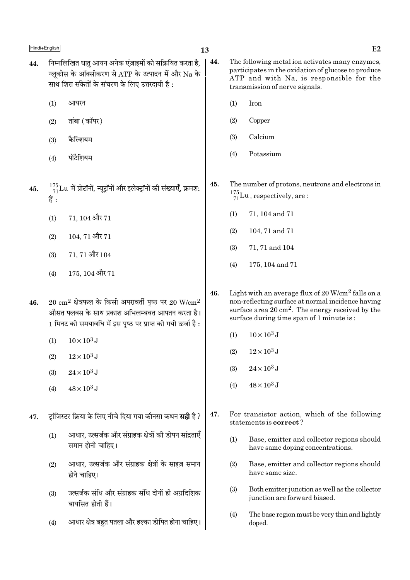- निम्नलिखित धातु आयन अनेक एंज़ाइमों को सक्रियित करता है,  $\vert$  44. 44. ग्लकोस के ऑक्सीकरण से ATP के उत्पादन में और Na के साथ शिरा संकेतों के संचरण के लिए उत्तरदायी है:
	- $(1)$ आयरन
	- तांबा (कॉपर)  $(2)$
	- कैल्शियम  $(3)$
	- पोटैशियम  $(4)$
	- $^{175}_{71}$ Lu में प्रोटॉनों, न्यूट्रॉनों और इलेक्ट्रॉनों की संख्याएँ, क्रमश: 45. हैं :
		- 71.104 और 71  $(1)$
		- $104, 71$  और  $71$  $(2)$
		- 71.71 और 104  $(3)$
		- 175, 104 और 71  $(4)$
	- $20 \text{ cm}^2$  क्षेत्रफल के किसी अपरावर्ती पृष्ठ पर  $20 \text{ W/cm}^2$ 46. औसत फ्लक्स के साथ प्रकाश अभिलम्बवत आपतन करता है। 1 मिनट की समयावधि में इस पृष्ठ पर प्राप्त की गयी ऊर्जा है :
		- $(1)$  $10 \times 10^3$  J
		- $(2)$  $12 \times 10^3$  J
		- $24 \times 10^3$  J  $(3)$
		- $48 \times 10^3$  J  $(4)$
	- ट़ॉजिस्टर क्रिया के लिए नीचे दिया गया कौनसा कथन **सही** है ? 47.
		- आधार, उत्सर्जक और संग्राहक क्षेत्रों की डोपन सांद्रताएँ  $(1)$ समान होनी चाहिए।
		- आधार, उत्सर्जक और संग्राहक क्षेत्रों के साइज़ समान  $(2)$ होने चाहिए।
		- उत्सर्जक संधि और संग्राहक संधि दोनों ही अग्रदिशिक  $(3)$ बायसित होती हैं।
		- आधार क्षेत्र बहुत पतला और हल्का डोपित होना चाहिए।  $(4)$
- The following metal ion activates many enzymes. participates in the oxidation of glucose to produce ATP and with Na, is responsible for the transmission of nerve signals.
	- $(1)$ Iron
	- $(2)$ Copper
	- Calcium  $(3)$
	- Potassium  $(4)$

45. The number of protons, neutrons and electrons in  $\frac{175}{71}$ Lu, respectively, are:

- $(1)$ 71, 104 and 71
- 104, 71 and 71  $(2)$
- $(3)$ 71, 71 and 104
- 175, 104 and 71  $(4)$
- Light with an average flux of 20 W/cm<sup>2</sup> falls on a 46. non-reflecting surface at normal incidence having surface area 20 cm<sup>2</sup>. The energy received by the surface during time span of 1 minute is:
	- $10 \times 10^3$  J  $(1)$
	- $12\times10^3$  J  $(2)$
	- $24 \times 10^3$  J  $(3)$
	- $48 \times 10^3$  J  $(4)$
- 47. For transistor action, which of the following statements is correct?
	- $(1)$ Base, emitter and collector regions should have same doping concentrations.
	- $(2)$ Base, emitter and collector regions should have same size.
	- Both emitter junction as well as the collector  $(3)$ junction are forward biased.
	- $(4)$ The base region must be very thin and lightly doped.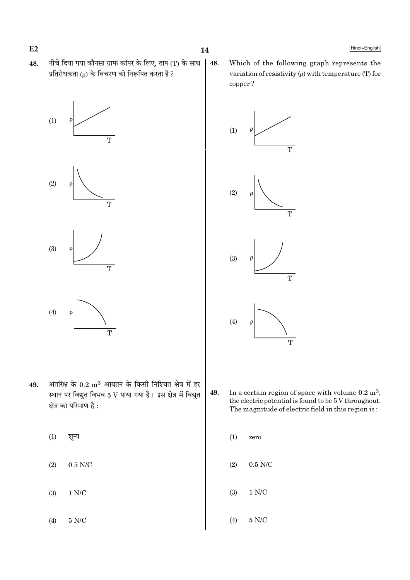$E2$ 

48. नीचे दिया गया कौनसा ग्राफ कॉपर के लिए, ताप (T) के साथ प्रतिरोधकता ( $\rho$ ) के विचरण को निरूपित करता है ?









- अंतरिक्ष के  $0.2\; \rm m^3$  आयतन के किसी निश्चित क्षेत्र में हर 49. स्थान पर विद्युत विभव 5 V पाया गया है। इस क्षेत्र में विद्युत क्षेत्र का परिमाण है :
	- $(1)$ शून्य
	- $0.5$  N/C  $(2)$
	- $(3)$  $1 N/C$
	- $(4)$  $5$  N/C  $\,$

48. Which of the following graph represents the variation of resistivity  $(\rho)$  with temperature (T) for copper?



- 49. In a certain region of space with volume  $0.2 \text{ m}^3$ , the electric potential is found to be 5 V throughout. The magnitude of electric field in this region is:
	- $(1)$ zero
	- $(2)$  $0.5$  N/C
	- $(3)$  $1 N/C$
	- $5$  N/C  $\,$  $(4)$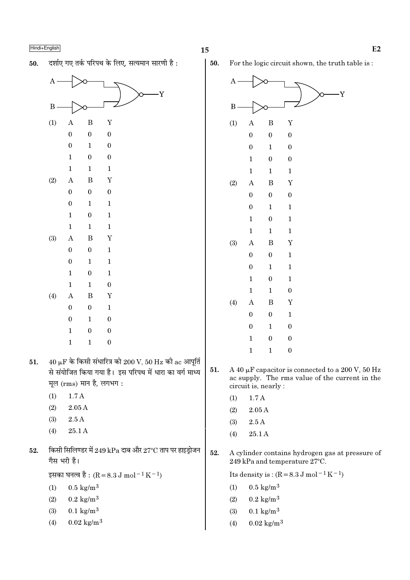दर्शाए गए तर्क परिपथ के लिए. सत्यमान सारणी है: 50.



- $40 \mu$ F के किसी संधारित्र को  $200 \text{ V}$ ,  $50 \text{ Hz}$  की ac आपूर्ति 51. से संयोजित किया गया है। इस परिपथ में धारा का वर्ग माध्य मूल (rms) मान है, लगभग:
	- $(1)$  $1.7A$
	- $(2)$  $2.05A$
	- $2.5A$  $(3)$
	- $(4)$ 25.1 A
- किसी सिलिण्डर में 249 kPa दाब और 27°C ताप पर हाइड़ोजन 52. गैस भरी है।

इसका घनत्व है : (R = 8.3 J mol<sup>-1</sup> K<sup>-1</sup>)

- $0.5 \text{ kg/m}^3$  $(1)$
- $0.2 \text{ kg/m}^3$  $(2)$
- $0.1 \text{ kg/m}^3$  $(3)$
- $0.02 \text{ kg/m}^3$  $(4)$

Ā

For the logic circuit shown, the truth table is:



Its density is:  $(R = 8.3 \text{ J mol}^{-1} \text{ K}^{-1})$ 

- $0.5 \text{ kg/m}^3$  $(1)$
- $0.2 \text{ kg/m}^3$  $(2)$
- $0.1 \text{ kg/m}^3$  $(3)$
- $(4)$  $0.02 \text{ kg/m}^3$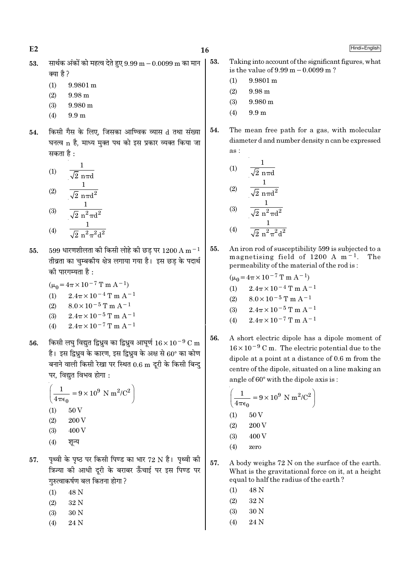$E<sub>2</sub>$ 

53.

Hindi+English

- सार्थक अंकों को महत्व देते हुए  $9.99 \text{ m} 0.0099 \text{ m}$  का मान 53. क्या है ?
	- $(1)$  $9.9801 m$
	- $(2)$ 9.98 m
	- $(3)$  $9.980 \text{ m}$
	- $(4)$  $9.9<sub>m</sub>$
- किसी गैस के लिए, जिसका आण्विक व्यास d तथा संख्या 54. घनत्व n है, माध्य मुक्त पथ को इस प्रकार व्यक्त किया जा सकता है :

(1) 
$$
\frac{1}{\sqrt{2} n \pi d}
$$
  
\n(2)  $\frac{1}{\sqrt{2} n \pi d^2}$   
\n(3)  $\frac{1}{\sqrt{2} n^2 \pi d^2}$ 

- $(4)$  $\sqrt{2} n^2 \pi^2 d^2$
- $599$  धारणशीलता की किसी लोहे की छड पर  $1200 \text{ A m}^{-1}$ 55. तीव्रता का चुम्बकीय क्षेत्र लगाया गया है। इस छड़ के पदार्थ की पारगम्यता है:
	- $(\mu_0 = 4\pi \times 10^{-7} \text{ T m A}^{-1})$
	- $2.4\pi \times 10^{-4}$  T m A<sup>-1</sup>  $(1)$
	- $8.0 \times 10^{-5}$  T m A<sup>-1</sup>  $(2)$
	- $2.4\pi \times 10^{-5}$  T m A<sup>-1</sup>  $(3)$
	- $2.4\pi \times 10^{-7}$  T m A<sup>-1</sup>  $(4)$
- किसी लघु विद्युत द्विध्रुव का द्विध्रुव आघूर्ण  $16 \times 10^{-9}$  C m 56. है। इस द्विध्रव के कारण, इस द्विध्रव के अक्ष से 60° का कोण बनाने वाली किसी रेखा पर स्थित 0.6 m दूरी के किसी बिन्दु पर. विद्यत विभव होगा :

$$
\left(\frac{1}{4\pi\epsilon_0} = 9 \times 10^9 \text{ N m}^2/\text{C}^2\right)
$$
  
(1) 50 V  
(2) 200 V  
(3) 400 V

- पथ्वी के पष्ठ पर किसी पिण्ड का भार 72 N है। पथ्वी की 57. त्रिज्या की आधी दूरी के बराबर ऊँचाई पर इस पिण्ड पर गुरुत्वाकर्षण बल कितना होगा ?
	- 48 N  $(1)$
	- 32 N  $(2)$
	- $(3)$ 30 N
	- $(4)$ 24 N

Taking into account of the significant figures, what is the value of  $9.99 \text{ m} - 0.0099 \text{ m}$ ?

- $9.9801 m$  $(1)$
- $(2)$ 9.98 m
- $9.980 \text{ m}$  $(3)$
- $9.9<sub>m</sub>$  $(4)$
- The mean free path for a gas, with molecular 54. diameter d and number density n can be expressed  $\overline{a}$  s :

(1) 
$$
\frac{1}{\sqrt{2} \text{ n} \pi d}
$$
  
\n(2)  $\frac{1}{\sqrt{2} \text{ n} \pi d^2}$   
\n(3)  $\frac{1}{\sqrt{2} \text{ n}^2 \pi d^2}$   
\n(4)  $\frac{1}{\sqrt{2} \text{ n}^2 \pi^2 d^2}$ 

- An iron rod of susceptibility 599 is subjected to a 55. magnetising field of 1200 A  $m^{-1}$ . The permeability of the material of the rod is:
	- $(\mu_0 = 4\pi \times 10^{-7} \text{ T m A}^{-1})$  $2.4\pi \times 10^{-4}$  T m A<sup>-1</sup>  $(1)$  $8.0\times10^{-5}$  T m A<sup>-1</sup>  $(2)$  $2.4\pi\times10^{-5}\,\mathrm{T}$  m  $\mathrm{A}^{-1}$  $(3)$
	- $2.4\pi \times 10^{-7}$  T m A<sup>-1</sup>  $(4)$
- A short electric dipole has a dipole moment of 56.  $16 \times 10^{-9}$  C m. The electric potential due to the dipole at a point at a distance of  $0.6$  m from the centre of the dipole, situated on a line making an angle of 60° with the dipole axis is:

$$
\left(\frac{1}{4\pi\epsilon_0} = 9 \times 10^9 \text{ N m}^2/\text{C}^2\right)
$$
  
(1) 50 V  
(2) 200 V  
(3) 400 V

- $(4)$ zero
- 57. A body weighs 72 N on the surface of the earth. What is the gravitational force on it, at a height equal to half the radius of the earth?
	- $(1)$ 48 N
	- $(2)$ 32 N
	- $(3)$ 30 N
	- 24 N  $(4)$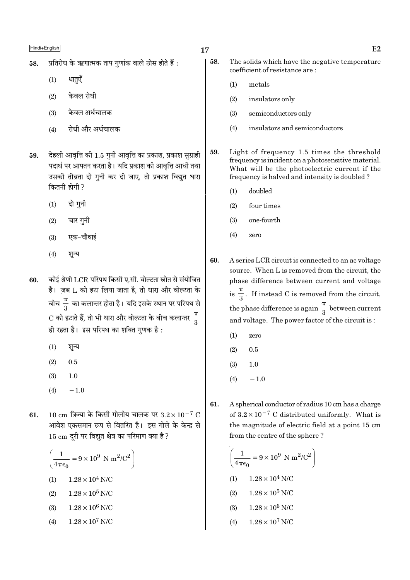- प्रतिरोध के ऋणात्मक ताप गुणांक वाले ठोस होते हैं : 58.
	- धातएँ  $(1)$
	- केवल रोधी  $(2)$
	- केवल अर्धचालक  $(3)$
	- रोधी और अर्धचालक  $(4)$
- देहली आवृत्ति की 1.5 गुनी आवृत्ति का प्रकाश, प्रकाश सुग्राही 59. पदार्थ पर आपतन करता है। यदि प्रकाश की आवृत्ति आधी तथा उसकी तीव्रता दो गुनी कर दी जाए, तो प्रकाश विद्युत धारा कितनी होगी ?
	- $(1)$ दो गनी
	- चार गुनी  $(2)$
	- एक-चौथाई  $(3)$
	- $(4)$ शन्य
- कोई श्रेणी LCR परिपथ किसी ए.सी. वोल्टता स्रोत से संयोजित 60. है। जब L को हटा लिया जाता है, तो धारा और वोल्टता के बीच $\frac{\pi}{3}$  का कलान्तर होता है। यदि इसके स्थान पर परिपथ से  $\mathrm{C}$  को हटाते हैं, तो भी धारा और वोल्टता के बीच कलान्तर  $\frac{\pi}{2}$ ही रहता है। इस परिपथ का शक्ति गुणक है:
	- $(1)$ शून्य
	- $(2)$  $0.5$
	- $(3)$  $1.0$
	- $(4)$  $-1.0$
- $10 \text{ cm}$  त्रिज्या के किसी गोलीय चालक पर  $3.2 \times 10^{-7} \text{ C}$  $61.$ आवेश एकसमान रूप से वितरित है। इस गोले के केन्द्र से 15 cm दूरी पर विद्युत क्षेत्र का परिमाण क्या है ?

$$
\left(\frac{1}{4\pi\epsilon_0} = 9 \times 10^9 \text{ N m}^2/\text{C}^2\right)
$$
  
(1) 1.28 × 10<sup>4</sup> N/C  
(2) 1.28 × 10<sup>5</sup> N/C  
(3) 1.28 × 10<sup>6</sup> N/C

 $1.28 \times 10^7$  N/C  $(4)$ 

- 58. The solids which have the negative temperature coefficient of resistance are:
	- $(1)$ metals
	- $(2)$ insulators only
	- $(3)$ semiconductors only
	- $(4)$ insulators and semiconductors
- 59. Light of frequency 1.5 times the threshold frequency is incident on a photosensitive material. What will be the photoelectric current if the frequency is halved and intensity is doubled?
	- $(1)$ doubled
	- $(2)$ four times
	- $(3)$ one-fourth
	- $(4)$ zero
- 60. A series LCR circuit is connected to an ac voltage source. When L is removed from the circuit, the phase difference between current and voltage is  $\frac{\pi}{3}$ . If instead C is removed from the circuit, the phase difference is again  $\frac{\pi}{3}$  between current and voltage. The power factor of the circuit is:
	- $(1)$ zero
	- $(2)$  $0.5$
	- $1.0$  $(3)$
	- $-1.0$  $(4)$
- A spherical conductor of radius 10 cm has a charge 61. of  $3.2 \times 10^{-7}$  C distributed uniformly. What is the magnitude of electric field at a point 15 cm from the centre of the sphere?

$$
\left(\frac{1}{4\pi\epsilon_0} = 9 \times 10^9 \text{ N m}^2/\text{C}^2\right)
$$

- $1.28\times10^4$  N/C  $(1)$
- $1.28\times10^5$  N/C  $(2)$
- $1.28 \times 10^6$  N/C  $(3)$
- $1.28 \times 10^7$  N/C  $(4)$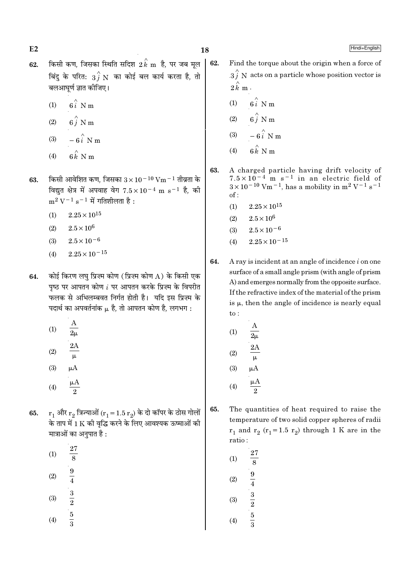$E2$ 

62.

Hindi+English

- किसी कण, जिसका स्थिति सदिश  $2\, {\overset{\wedge}{k}}$   ${\rm m}$  है, पर जब मूल 62. बिंदु के परित:  $\overrightarrow{3f}$  N का कोई बल कार्य करता है, तो बलआघर्ण ज्ञात कोजिए।
	- $6i$  N m  $(1)$
	- $6\hat{j}$  N m  $(2)$
	- $-6\hat{i}$  N m  $(3)$
	- $\hat{\bf g} \stackrel{\wedge}{\hat{\bf k}} {\bf N}$  m  $(4)$
- किसी आवेशित कण, जिसका  $3 \times 10^{-10}$  Vm  $^{-1}$  तीव्रता के 63. विद्युत क्षेत्र में अपवाह वेग  $7.5 \times 10^{-4}$  m s<sup>-1</sup> है, की  $m^2 V^{-1} s^{-1}$  में गतिशीलता है:
	- $(1)$  $2.25 \times 10^{15}$
	- $(2)$  $2.5 \times 10^{6}$
	- $2.5 \times 10^{-6}$  $(3)$
	- $2.25 \times 10^{-15}$  $(4)$
- कोई किरण लघ प्रिज्म कोण (प्रिज्म कोण A) के किसी एक 64. पृष्ठ पर आपतन कोण  $i$  पर आपतन करके प्रिज़्म के विपरीत फलक से अभिलम्बवत निर्गत होती है। यदि इस प्रिज्म के पदार्थ का अपवर्तनांक  $\mu$  है, तो आपतन कोण है, लगभग :
	- $(1)$  $\overline{2\mu}$
	- $(2)$
	- $(3)$
	-
	- $\mu A$  $(4)$
- $\mathbf{r}_1$  और  $\mathbf{r}_2$  त्रिज्याओं  $(\mathbf{r}_1 = 1.5 \; \mathbf{r}_2)$  के दो कॉपर के ठोस गोलों 65. के ताप में 1 K की वृद्धि करने के लिए आवश्यक ऊष्माओं की मात्राओं का अनुपात है :
	- 27  $(1)$  $\overline{8}$  $\frac{9}{4}$  $(2)$
	- $\frac{3}{2}$  $(3)$  $\overline{5}$  $(4)$
- Find the torque about the origin when a force of  $3\hat{j}$  N acts on a particle whose position vector is  $2\hat{k}$  m.
- $6\hat{i}$  N m  $(1)$
- $(2)$
- $(3)$
- $(4)$  $6k$  N m
- 63. A charged particle having drift velocity of  $7.5 \times 10^{-4}$  m s<sup>-1</sup> in an electric field of  $3 \times 10^{-10}$  Vm<sup>-1</sup>, has a mobility in m<sup>2</sup> V<sup>-1</sup> s<sup>-1</sup>  $of:$ 
	- $(1)$  $2.25 \times 10^{15}$
	- $2.5 \times 10^6$  $(2)$
	- $2.5 \times 10^{-6}$  $(3)$
	- $2.25 \times 10^{-15}$  $(4)$
- 64. A ray is incident at an angle of incidence  $i$  on one surface of a small angle prism (with angle of prism A) and emerges normally from the opposite surface. If the refractive index of the material of the prism is  $\mu$ , then the angle of incidence is nearly equal  $to$ :

(1) 
$$
\frac{A}{2\mu}
$$
  
\n(2)  $\frac{2A}{\mu}$   
\n(3)  $\mu A$   
\n(4)  $\frac{\mu A}{2}$ 

- 65. The quantities of heat required to raise the temperature of two solid copper spheres of radii  $r_1$  and  $r_2$  ( $r_1$ =1.5  $r_2$ ) through 1 K are in the ratio:
	- 27  $(1)$ 8  $\frac{9}{4}$ <br> $\frac{3}{2}$ <br> $\frac{5}{3}$  $(2)$  $(3)$  $(4)$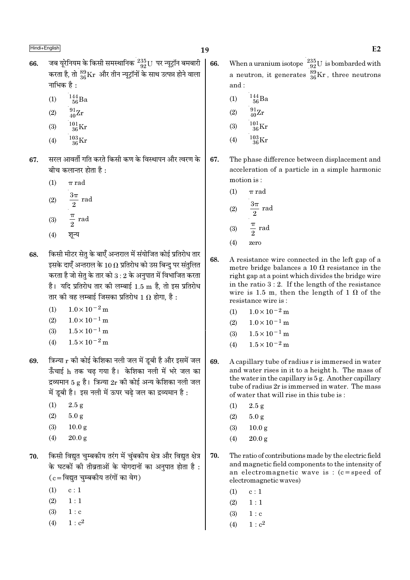- जब यूरेनियम के किसी समस्थानिक  $^{235}_{92}$ U पर न्यूट्रॉन बमबारी 66. करता है, तो  $^{89}_{36}\rm{Kr}$  और तीन न्यूट्रॉनों के साथ उत्पन्न होने वाला नाभिक है :
	- $^{144}_{\phantom{1}56}Ba$  $(1)$
	- $\frac{91}{40}Zr$  $(2)$
	- $^{101}_{36}\mathrm{Kr}$  $(3)$
	- $^{103}_{\ 36}{\rm Kr}$  $(4)$
- सरल आवर्ती गति करते किसी कण के विस्थापन और त्वरण के 67. बीच कलान्तर होता है :
	- $\pi$  rad  $(1)$
	- $\frac{3\pi}{2}$  rad  $(2)$
	- $rac{\pi}{2}$  rad  $(3)$
	- शून्य  $(4)$
- किसी मीटर सेत के बाएँ अन्तराल में संयोजित कोई प्रतिरोध तार 68. इसके दाएँ अन्तराल के 10  $\Omega$  प्रतिरोध को उस बिन्दु पर संतुलित करता है जो सेतृ के तार को  $3:2$  के अनुपात में विभाजित करता है। यदि प्रतिरोध तार की लम्बाई 1.5 m है, तो इस प्रतिरोध तार की वह लम्बाई जिसका प्रतिरोध 1  $\Omega$  होगा, है :
	- (1)  $1.0 \times 10^{-2}$  m
	- $(2)$  $1.0 \times 10^{-1}$  m
	- $(3)$  $1.5 \times 10^{-1}$  m
	- $1.5 \times 10^{-2}$  m  $(4)$
- त्रिज्या r की कोई केशिका नली जल में डूबी है और इसमें जल 69. ऊँचाई h तक चढ गया है। केशिका नली में भरे जल का द्रव्यमान 5 g है। त्रिज्या  $2r$  की कोई अन्य केशिका नली जल में डूबी है। इस नली में ऊपर चढ़े जल का द्रव्यमान है :
	- $(1)$  $2.5 g$
	- $(2)$  $5.0 g$
	- $(3)$  $10.0 g$
	- $(4)$  $20.0 \text{ g}$
- किसी विद्युत चुम्बकीय तरंग में चुंबकीय क्षेत्र और विद्युत क्षेत्र 70. के घटकों की तीव्रताओं के योगदानों का अनुपात होता है:  $(c = \bar{c}$ विद्युत चुम्बकीय तरंगों का वेग)
	- $(1)$  $c:1$
	- $(2)$  $1:1$
	- $1: c$  $(3)$
	- $(4)$  $1: c<sup>2</sup>$
- When a uranium isotope  $\frac{235}{92}U$  is bombarded with 66. a neutron, it generates  $\frac{89}{36}$ Kr, three neutrons and:
	- $\frac{144}{56}Ba$  $(1)$
	- $\frac{91}{40}Zr$  $(2)$
	- $^{101}_{36}$ Kr  $(3)$
	- $^{103}_{36}$ Kr  $(4)$

67. The phase difference between displacement and acceleration of a particle in a simple harmonic motion is:

- $(1)$  $\pi$  rad
- $\frac{3\pi}{2}$  rad  $(2)$  $rac{\pi}{2}$  rad  $(3)$
- $(4)$ zero
- 68. A resistance wire connected in the left gap of a metre bridge balances a 10  $\Omega$  resistance in the right gap at a point which divides the bridge wire in the ratio  $3:2$ . If the length of the resistance wire is 1.5 m, then the length of 1  $\Omega$  of the resistance wire is:
	- $1.0 \times 10^{-2}$  m  $(1)$
	- $1.0 \times 10^{-1}$  m  $(2)$
	- $1.5 \times 10^{-1}$  m  $(3)$
	- $1.5 \times 10^{-2}$  m  $(4)$
- 69. A capillary tube of radius r is immersed in water and water rises in it to a height h. The mass of the water in the capillary is 5 g. Another capillary tube of radius 2r is immersed in water. The mass of water that will rise in this tube is:
	- $(1)$  $2.5g$
	- $(2)$  $5.0 g$
	- $(3)$  $10.0 g$
	- $(4)$  $20.0 g$
- 70. The ratio of contributions made by the electric field and magnetic field components to the intensity of an electromagnetic wave is :  $(c = speed of$ electromagnetic waves)
	- $(1)$  $c:1$
	- $(2)$  $1:1$
	- $(3)$  $1 : c$
	- $(4)$  $1 : c<sup>2</sup>$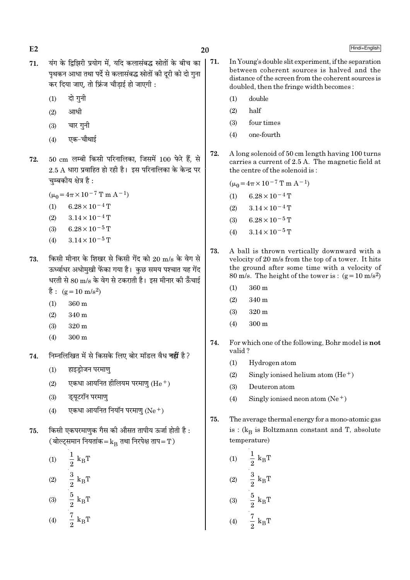- 71. यंग के द्विझिरी प्रयोग में. यदि कलासंबद्ध स्रोतों के बीच का पथकन आधा तथा पर्दे से कलासंबद्ध स्रोतों की दूरी को दो गुना कर दिया जाए, तो फ्रिंज चौडाई हो जाएगी :
	- $(1)$  दो गनी
	- $(2)$  आधी
	- $(3)$  चार गनी
	- (4) एक-चौथाई
- $72.$   $50 \text{ cm}$  लम्बी किसी परिनालिका, जिसमें  $100$  फेरे हैं, से  $2.5$   $\rm A$  धारा प्रवाहित हो रही है। इस परिनालिका के केन्द्र पर चम्बकीय क्षेत्र है:
	- $(\mu_0 = 4\pi \times 10^{-7} \text{ T m A}^{-1})$
	- (1) 6.28  $\times$  10<sup>-4</sup> T
	- $(2)$  3.14 × 10<sup>-4</sup> T
	- (3) 6.28  $\times$  10<sup>-5</sup> T
	- (4)  $3.14 \times 10^{-5}$  T
- $73.$  किसी मीनार के शिखर से किसी गेंद को  $20 \text{ m/s}$  के वेग से ऊर्ध्वाधर अधोमुखी फेंका गया है। कुछ समय पश्चात यह गेंद धरती से 80 m/s के वेग से टकराती है। इस मीनार की ऊँचाई
	- $\dot{\vec{g}}$  : (g = 10 m/s<sup>2</sup>)
	- (1) 360 m
	- (2) 340 m
	- (3) 320 m
	- (4) 300 m
- 74. निम्नलिखित में से किसके लिए बोर मॉडल वैध **नहीं** है ?
	- (1) हाइड़ोजन परमाण्
	- (2) एकधा आयनित हीलियम परमाण  $(He^+)$
	- $(3)$  इयुटरॉन परमाण
	- (4) एकधा आयनित नियॉन परमाण ( $Ne<sup>+</sup>$ )
- $75.$  किसी एकपरमाणक गैस की औसत तापीय ऊर्जा होती है: ( बोल्ट्समान नियतांक= $k_B$  तथा निरपेक्ष ताप=T)
	- (1)  $-\frac{1}{9}$  k<sub>B</sub>  $\frac{1}{2} k_B T$  $(2)$   $\frac{3}{8}$  k<sub>B</sub>  $\frac{3}{2}$  k<sub>B</sub>T
	- (3)  $\frac{3}{9}$  k<sub>B</sub>  $\frac{5}{2}$  k<sub>B</sub>T
	- (4)  $\frac{1}{9}$  k<sub>B</sub>  $rac{7}{2}$  k<sub>B</sub>T
- 71. In Young's double slit experiment, if the separation between coherent sources is halved and the distance of the screen from the coherent sources is doubled, then the fringe width becomes :
	- (1) double
	- (2) half
	- (3) four times
	- (4) one-fourth
- 72. A long solenoid of 50 cm length having 100 turns carries a current of 2.5 A. The magnetic field at the centre of the solenoid is :

 $(\mu_0 = 4\pi \times 10^{-7} \text{ T m A}^{-1})$ 

- (1) 6.28 × 10<sup>-4</sup> T
- $(2)$  3.14 × 10<sup>-4</sup> T
- (3) 6.28 × 10<sup>-5</sup> T
- (4)  $3.14 \times 10^{-5}$  T
- 73. A ball is thrown vertically downward with a velocity of 20 m/s from the top of a tower. It hits the ground after some time with a velocity of 80 m/s. The height of the tower is :  $(g=10 \text{ m/s}^2)$ 
	- (1) 360 m
	- (2) 340 m
	- (3) 320 m
	- $(4)$  300 m
- 74. For which one of the following, Bohr model is not valid ?
	- (1) Hydrogen atom
	- (2) Singly ionised helium atom  $(He<sup>+</sup>)$
	- (3) Deuteron atom
	- (4) Singly ionised neon atom  $(Ne^+)$
- 75. The average thermal energy for a mono-atomic gas is : ( $\rm{k_{B}}$  is Boltzmann constant and T, absolute temperature)
	- (1)  $\frac{1}{9} k_B T$ 1 2  $(2)$   $\frac{3}{8}$  k<sub>B</sub>  $\frac{3}{2}$  k<sub>B</sub>T (3)  $\frac{3}{9}$  k<sub>B</sub>  $\frac{5}{2}$  k<sub>B</sub>T 7

$$
(4) \qquad \frac{7}{2} \text{ k}_{\text{B}} \text{T}
$$

## $E2$  Hindi+English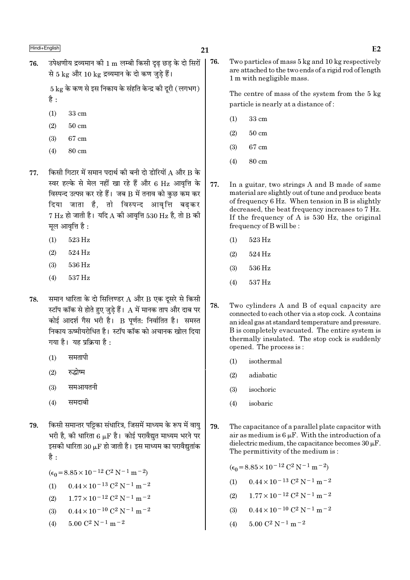उपेक्षणीय द्रव्यमान की 1 m लम्बी किसी दृढ छड के दो सिरों 76. 76. से 5 kg और 10 kg द्रव्यमान के दो कण जड़े हैं।

> $5 \text{ kg}$  के कण से इस निकाय के संहति केन्द्र की दरी ( लगभग) है:

- $(1)$ 33 cm
- $(2)$  $50 \text{ cm}$
- $(3)$ 67 cm
- 80 cm  $(4)$
- किसी गिटार में समान पदार्थ की बनी दो डोरियों A और B के 77 स्वर हल्के से मेल नहीं खा रहे हैं और 6 Hz आवृत्ति के विस्पन्द उत्पन्न कर रहे हैं। जब B में तनाव को कुछ कम कर दिया जाता है, तो विस्पन्द आवृत्ति बढ़कर  $7$  Hz हो जाती है। यदि A की आवृत्ति 530 Hz है, तो B की मल आवत्ति है :
	- 523 Hz  $(1)$
	- $(2)$ 524 Hz
	- 536 Hz  $(3)$
	- $(4)$ 537 Hz
- समान धारिता के दो सिलिण्डर A और B एक दूसरे से किसी 78. स्टॉप कॉक से होते हुए जुड़े हैं। A में मानक ताप और दाब पर कोई आदर्श गैस भरी है। B पर्णत: निर्वातित है। समस्त निकाय ऊष्मीयरोधित है। स्टॉप कॉक को अचानक खोल दिया गया है। यह प्रक्रिया है:
	- समतापी  $(1)$
	- रुद्धोष्म  $(2)$
	- $(3)$ समआयतनी
	- समदाबी  $(4)$
- किसी समान्तर पट्टिका संधारित्र, जिसमें माध्यम के रूप में वाय 79. भरी है, की धारिता 6  $\mu$ F है। कोई परावैद्युत माध्यम भरने पर इसकी धारिता 30  $\mu$ F हो जाती है। इस माध्यम का परावैद्युतांक है :

$$
(\epsilon_0 = 8.85 \times 10^{-12} \, \text{C}^2 \, \text{N}^{-1} \, \text{m}^{-2})
$$

(1) 
$$
0.44 \times 10^{-13} \text{ C}^2 \text{ N}^{-1} \text{ m}^{-2}
$$

- $1.77 \times 10^{-12}$  C<sup>2</sup> N<sup>-1</sup> m<sup>-2</sup>  $(2)$
- $0.44 \times 10^{-10}$  C<sup>2</sup> N<sup>-1</sup> m<sup>-2</sup>  $(3)$
- $5.00 C^2 N^{-1} m^{-2}$  $(4)$

Two particles of mass 5 kg and 10 kg respectively are attached to the two ends of a rigid rod of length 1 m with negligible mass.

The centre of mass of the system from the 5 kg particle is nearly at a distance of:

- 33 cm  $(1)$
- $50 \text{ cm}$  $(2)$
- $(3)$ 67 cm
- $(4)$ 80 cm
- 77. In a guitar, two strings A and B made of same material are slightly out of tune and produce beats of frequency 6 Hz. When tension in B is slightly decreased, the beat frequency increases to 7 Hz. If the frequency of A is 530 Hz, the original frequency of B will be:
	- $(1)$ 523 Hz
	- $(2)$ 524 Hz
	- $(3)$ 536 Hz
	- $(4)$ 537 Hz
- 78. Two cylinders A and B of equal capacity are connected to each other via a stop cock. A contains an ideal gas at standard temperature and pressure. B is completely evacuated. The entire system is thermally insulated. The stop cock is suddenly opened. The process is:
	- $(1)$ isothermal
	- $(2)$ adiabatic
	- $(3)$ isochoric
	- $(4)$ isobaric
- 79. The capacitance of a parallel plate capacitor with air as medium is  $6 \mu F$ . With the introduction of a dielectric medium, the capacitance becomes  $30 \mu$ F. The permittivity of the medium is:

 $(\epsilon_0 = 8.85 \times 10^{-12} \text{ C}^2 \text{ N}^{-1} \text{ m}^{-2})$ 

- $0.44 \times 10^{-13}$  C<sup>2</sup> N<sup>-1</sup> m<sup>-2</sup>  $(1)$
- $1.77 \times 10^{-12}$  C<sup>2</sup> N<sup>-1</sup> m<sup>-2</sup>  $(2)$
- $0.44 \times 10^{-10}$  C<sup>2</sup> N<sup>-1</sup> m<sup>-2</sup>  $(3)$
- $5.00 \text{ C}^2 \text{ N}^{-1} \text{ m}^{-2}$  $(4)$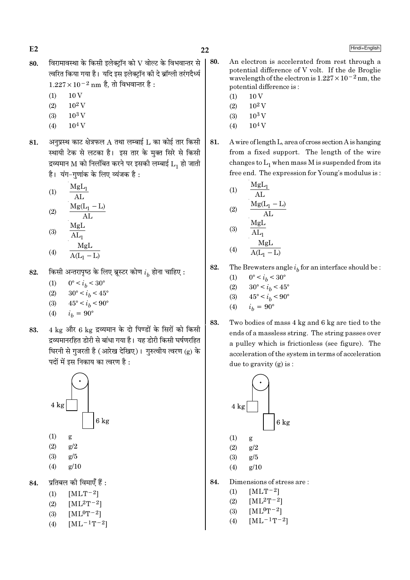$E2$ 

- विरामावस्था के किसी इलेक्टॉन को  ${\rm V}$  वोल्ट के विभवान्तर से 80. त्वरित किया गया है। यदि इस इलेक्टॉन की दे ब्रॉग्ली तरंगदैर्ध्य  $1.227 \times 10^{-2}$  nm है, तो विभवान्तर है:
	- $(1)$  $10V$
	- $10^2$  V  $(2)$
	- $10^3$  V  $(3)$
	- $10<sup>4</sup>$  V  $(4)$
- अनुप्रस्थ काट क्षेत्रफल A तथा लम्बाई  $\tt L$  का कोई तार किसी 81. स्थायी टेक से लटका है। इस तार के मुक्त सिरे से किसी द्रव्यमान M को निलंबित करने पर इसकी लम्बाई  $\mathrm{L_{1}}$  हो जाती है। यंग-गुणांक के लिए व्यंजक है:
	- $MgL_1$  $(1)$  $AL$
	- $Mg(L_1 L)$  $(2)$  $AT<sub>1</sub>$ MgL
	- $(3)$  $AL_1$
	- $\frac{MgL}{A(L_1 L)}$  $(4)$
- किसी अन्तरापृष्ठ के लिए ब्रूस्टर कोण  $i_h$  होना चाहिए : 82.
	- $0^{\circ} < i_h < 30^{\circ}$  $(1)$
	- $30^{\circ} < i_h < 45^{\circ}$  $(2)$
	- $45^{\circ} < i_b < 90^{\circ}$  $(3)$
	- $(4)$  $i_{\rm k} = 90^{\circ}$
- 4 kg और 6 kg द्रव्यमान के दो पिण्डों के सिरों को किसी 83. द्रव्यमानरहित डोरी से बांधा गया है। यह डोरी किसी घर्षणरहित घिरनी से गुजरती है (आरेख देखिए)। गुरुत्वीय त्वरण (g) के पदों में इस निकाय का त्वरण है :



- $(1)$ g
- $(2)$  $g/2$
- $(3)$  $\epsilon/5$
- $(4)$  $g/10$

प्रतिबल की विमाएँ हैं : 84.

- $[MLT-2]$  $(1)$
- $[ML^2T^{-2}]$  $(2)$
- $[ML^0T^{-2}]$  $(3)$
- $[ML^{-1}T^{-2}]$  $(4)$
- An electron is accelerated from rest through a 80. potential difference of V volt. If the de Broglie wavelength of the electron is  $1.227 \times 10^{-2}$  nm, the potential difference is:
	- $10V$  $(1)$
	- $10^2$  V  $(2)$
	- $10^3$  V  $(3)$
	- $10<sup>4</sup>$  V  $(4)$
- 81. A wire of length L, area of cross section A is hanging from a fixed support. The length of the wire changes to  $L_1$  when mass M is suspended from its free end. The expression for Young's modulus is:

(1) 
$$
\frac{MgL_1}{AL}
$$
  
\n(2)  $\frac{Mg(L_1 - L)}{AL}$   
\n(3)  $\frac{MgL}{AL_1}$ 

$$
(4) \qquad \frac{MgL}{A(L_1 - L)}
$$

82. The Brewsters angle  $i_h$  for an interface should be :

(1) 
$$
0^{\circ} < i_b < 30^{\circ}
$$

- $30^{\circ} < i_h < 45^{\circ}$  $(2)$
- $(3)$  $45^{\circ} < i_h < 90^{\circ}$
- $i_h = 90^{\circ}$  $(4)$
- 83. Two bodies of mass 4 kg and 6 kg are tied to the ends of a massless string. The string passes over a pulley which is frictionless (see figure). The acceleration of the system in terms of acceleration due to gravity  $(g)$  is:



- 84. Dimensions of stress are:
	- $[MLT^{-2}]$  $(1)$
	- $(2)$  $[ML^{2}T^{-2}]$
	- $[ML^0T^{-2}]$  $(3)$
	- $[ML^{-1}T^{-2}]$  $(4)$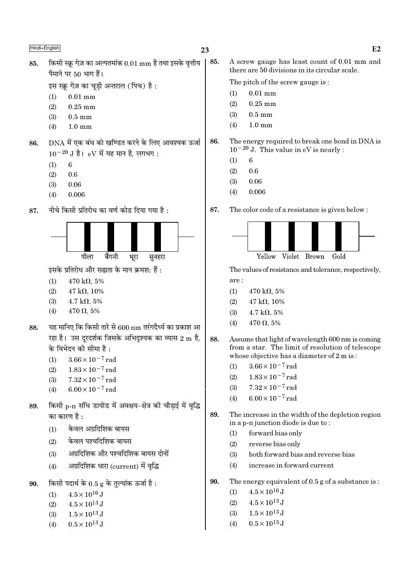इस स्क्रू गेज़ का चूड़ी अन्तराल (पिच) है:

- $0.01 \text{ mm}$  $(1)$
- $0.25$  mm  $(2)$
- $0.5 \text{ mm}$  $(3)$
- $(4)$  $1.0 \text{ mm}$
- DNA में एक बंध को खण्डित करने के लिए आवश्यक ऊर्जा 86.  $10^{-20}$  J है। eV में यह मान है, लगभग:
	- $(1)$ 6
	- $(2)$ 0.6
	- $0.06$  $(3)$
	- $0.006$  $(4)$
- नीचे किसी प्रतिरोध का वर्ण कोड दिया गया है : 87.



इसके प्रतिरोध और सह्यता के मान क्रमश: हैं :

- $(1)$  $470 \text{ k}\Omega$ , 5%
- $(2)$  $47 k\Omega$ , 10%
- $(3)$  $4.7 \text{ k}\Omega, 5\%$
- $470 \Omega, 5\%$  $(4)$
- यह मानिए कि किसी तारे से 600 nm तरंगदैर्ध्य का प्रकाश आ 88. रहा है। उस दुरदर्शक जिसके अभिदुश्यक का व्यास 2 m है, के विभेदन की सीमा है :
	- $3.66 \times 10^{-7}$  rad  $(1)$
	- $(2)$  $1.83 \times 10^{-7}$  rad
	- $(3)$  $7.32\times10^{-7}$  rad
	- $(4)$ 6.00 $\times$ 10<sup>-7</sup> rad
- किसी p-n संधि डायोड में अवक्षय-क्षेत्र की चौड़ाई में वृद्धि 89. का कारण है :
	- केवल अग्रदिशिक बायस  $(1)$
	- केवल पश्चदिशिक बायस  $(2)$
	- अग्रदिशिक और पश्चदिशिक बायस दोनों  $(3)$
	- अग्रदिशिक धारा (current) में वृद्धि  $(4)$
- किसी पदार्थ के  $0.5$  g के तुल्यांक ऊर्जा है: 90.
	- $4.5 \times 10^{16}$  J  $(1)$
	- $(2)$  $4.5 \times 10^{13}$  J
	- $1.5 \times 10^{13}$  J  $(3)$
	- $0.5 \times 10^{13}$  J  $(4)$

85. A screw gauge has least count of 0.01 mm and there are 50 divisions in its circular scale.

The pitch of the screw gauge is:

- $0.01$  mm  $(1)$
- $(2)$  $0.25$  mm
- $0.5$  mm  $(3)$
- $1.0 \text{ mm}$  $(4)$
- 86. The energy required to break one bond in DNA is  $10^{-20}$  J. This value in eV is nearly:
	- 6  $(1)$
	- $(2)$  $0.6$
	- 0.06  $(3)$
	- $0.006$  $(4)$

87. The color code of a resistance is given below :



The values of resistance and tolerance, respectively, are:

- $470 \text{ k}\Omega$ , 5%  $(1)$
- $47 \text{ k}\Omega$ , 10%  $(2)$
- $(3)$  $4.7 \text{ k}\Omega, 5\%$
- $470 \Omega, 5\%$  $(4)$
- 88. Assume that light of wavelength 600 nm is coming from a star. The limit of resolution of telescope whose objective has a diameter of 2 m is:
	- $3.66 \times 10^{-7}$  rad  $(1)$
	- $1.83 \times 10^{-7}$  rad  $(2)$
	- $7.32 \times 10^{-7}$  rad  $(3)$
	- $6.00 \times 10^{-7}$  rad  $(4)$
- 89. The increase in the width of the depletion region in a p-n junction diode is due to:
	- forward bias only  $(1)$
	- $(2)$ reverse bias only
	- both forward bias and reverse bias  $(3)$
	- $(4)$ increase in forward current
- 90. The energy equivalent of  $0.5$  g of a substance is:
	- $4.5 \times 10^{16}$  J  $(1)$
	- $4.5 \times 10^{13}$  J  $(2)$
	- $1.5 \times 10^{13}$  J  $(3)$
	- $0.5 \times 10^{13}$  J  $(4)$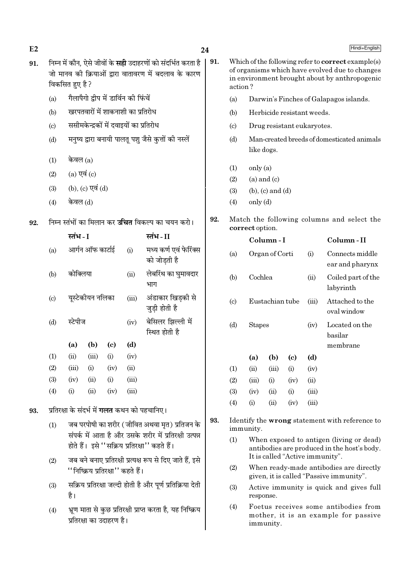| E2  |                                                                                                        |                                                                                        |                  |                                        |       |                                                                                                                             | 24  |                            |                                                                                                                                                       |                                                          |      |                                                                                    | Hindi+English                                                                                                              |  |
|-----|--------------------------------------------------------------------------------------------------------|----------------------------------------------------------------------------------------|------------------|----------------------------------------|-------|-----------------------------------------------------------------------------------------------------------------------------|-----|----------------------------|-------------------------------------------------------------------------------------------------------------------------------------------------------|----------------------------------------------------------|------|------------------------------------------------------------------------------------|----------------------------------------------------------------------------------------------------------------------------|--|
| 91. |                                                                                                        | विकसित हुए है ?                                                                        |                  |                                        |       | निम्न में कौन, ऐसे जीवों के <b>सही</b> उदाहरणों को संदर्भित करता है<br>जो मानव की क्रियाओं द्वारा वातावरण में बदलाव के कारण | 91. | action?                    | Which of the following refer to correct example(s)<br>of organisms which have evolved due to changes<br>in environment brought about by anthropogenic |                                                          |      |                                                                                    |                                                                                                                            |  |
|     | (a)                                                                                                    |                                                                                        |                  | गैलापैगो द्वीप में डार्विन की फिंचें   |       |                                                                                                                             |     | (a)                        |                                                                                                                                                       | Darwin's Finches of Galapagos islands.                   |      |                                                                                    |                                                                                                                            |  |
|     | (b)                                                                                                    |                                                                                        |                  | खरपतवारों में शाकनाशी का प्रतिरोध      |       |                                                                                                                             |     | (b)                        |                                                                                                                                                       | Herbicide resistant weeds.                               |      |                                                                                    |                                                                                                                            |  |
|     | (c)                                                                                                    |                                                                                        |                  | ससीमकेन्द्रकों में दवाइयों का प्रतिरोध |       |                                                                                                                             |     | $\left( \circ \right)$     |                                                                                                                                                       | Drug resistant eukaryotes.                               |      |                                                                                    |                                                                                                                            |  |
|     | (d)                                                                                                    |                                                                                        |                  |                                        |       | मनुष्य द्वारा बनायी पालतू पशु जैसे कुत्तों की नस्लें                                                                        |     | (d)                        |                                                                                                                                                       | Man-created breeds of domesticated animals<br>like dogs. |      |                                                                                    |                                                                                                                            |  |
|     | (1)                                                                                                    | केवल $(a)$                                                                             |                  |                                        |       |                                                                                                                             |     |                            | only (a)                                                                                                                                              |                                                          |      |                                                                                    |                                                                                                                            |  |
|     | (2)                                                                                                    | $(a)$ एवं $(c)$                                                                        |                  |                                        |       |                                                                                                                             |     | (1)<br>(2)                 |                                                                                                                                                       | $(a)$ and $(c)$                                          |      |                                                                                    |                                                                                                                            |  |
|     | (3)                                                                                                    | (b), (c) एवं (d)                                                                       |                  |                                        |       |                                                                                                                             |     | (3)                        |                                                                                                                                                       | $(b)$ , $(c)$ and $(d)$                                  |      |                                                                                    |                                                                                                                            |  |
|     | (4)                                                                                                    | केवल (d)                                                                               |                  |                                        |       |                                                                                                                             |     | (4)                        | only (d)                                                                                                                                              |                                                          |      |                                                                                    |                                                                                                                            |  |
| 92. |                                                                                                        |                                                                                        |                  |                                        |       | निम्न स्तंभों का मिलान कर <b>उचित</b> विकल्प का चयन करो।                                                                    | 92. |                            | correct option.                                                                                                                                       |                                                          |      |                                                                                    | Match the following columns and select the                                                                                 |  |
|     |                                                                                                        | स्तंभ - I                                                                              |                  |                                        |       | स्तंभ-II                                                                                                                    |     |                            |                                                                                                                                                       | Column-I                                                 |      |                                                                                    | Column-II                                                                                                                  |  |
|     | (a)                                                                                                    |                                                                                        | आर्गन ऑफ कार्टाई |                                        | (i)   | मध्य कर्ण एवं फेरिंक्स<br>को जोडती है                                                                                       |     | (a)                        |                                                                                                                                                       | Organ of Corti                                           |      | (i)                                                                                | Connects middle<br>ear and pharynx                                                                                         |  |
|     | (b)                                                                                                    | कोक्लिया                                                                               |                  |                                        | (ii)  | लेबरिंथ का घुमावदार<br>भाग                                                                                                  |     | (b)                        | Cochlea                                                                                                                                               |                                                          |      | (ii)                                                                               | Coiled part of the<br>labyrinth                                                                                            |  |
|     | $\left( \circ \right)$                                                                                 |                                                                                        | यूस्टेकीयन नलिका |                                        | (iii) | अंडाकार खिड़की से<br>जुड़ी होती है                                                                                          |     | $\left( \mathrm{c}\right)$ |                                                                                                                                                       | Eustachian tube                                          |      | (iii)                                                                              | Attached to the<br>oval window                                                                                             |  |
|     | (d)                                                                                                    | स्टेपीज                                                                                |                  |                                        | (iv)  | बेसिलर झिल्ली में<br>स्थित होती है                                                                                          |     | (d)                        | <b>Stapes</b>                                                                                                                                         |                                                          |      | (iv)                                                                               | Located on the<br>basilar                                                                                                  |  |
|     |                                                                                                        | (a)                                                                                    | (b)              | $\left( \mathrm{c}\right)$             | (d)   |                                                                                                                             |     |                            |                                                                                                                                                       |                                                          |      |                                                                                    | membrane                                                                                                                   |  |
|     | (1)                                                                                                    | (ii)                                                                                   | (iii)            | (i)                                    | (iv)  |                                                                                                                             |     |                            | (a)                                                                                                                                                   | (b)                                                      | (c)  | (d)                                                                                |                                                                                                                            |  |
|     | (2)                                                                                                    | (iii)                                                                                  | (i)              | (iv)                                   | (ii)  |                                                                                                                             |     | (1)                        | (ii)                                                                                                                                                  | (iii)                                                    | (i)  | (iv)                                                                               |                                                                                                                            |  |
|     | (3)                                                                                                    | (iv)                                                                                   | (ii)             | (i)                                    | (iii) |                                                                                                                             |     | (2)                        | (iii)                                                                                                                                                 | (i)                                                      | (iv) | (ii)                                                                               |                                                                                                                            |  |
|     | (4)                                                                                                    | (i)                                                                                    | (ii)             | (iv)                                   | (iii) |                                                                                                                             |     | (3)                        | (iv)                                                                                                                                                  | (ii)                                                     | (i)  | (iii)                                                                              |                                                                                                                            |  |
| 93. |                                                                                                        |                                                                                        |                  |                                        |       | प्रतिरक्षा के संदर्भ में <b>गलत</b> कथन को पहचानिए।                                                                         |     | (4)                        | (i)                                                                                                                                                   | (ii)                                                     | (iv) | (iii)                                                                              |                                                                                                                            |  |
|     | (1)                                                                                                    |                                                                                        |                  |                                        |       | जब परपोषी का शरीर (जीवित अथवा मृत) प्रतिजन के<br>संपर्क में आता है और उसके शरीर में प्रतिरक्षी उत्पन्न                      | 93. |                            | immunity.                                                                                                                                             |                                                          |      |                                                                                    | Identify the wrong statement with reference to                                                                             |  |
|     |                                                                                                        |                                                                                        |                  |                                        |       | होते हैं। इसे "सक्रिय प्रतिरक्षा" कहते हैं।                                                                                 |     | (1)                        |                                                                                                                                                       |                                                          |      |                                                                                    | When exposed to antigen (living or dead)<br>antibodies are produced in the host's body.<br>It is called "Active immunity". |  |
|     | जब बने बनाए प्रतिरक्षी प्रत्यक्ष रूप से दिए जाते हैं, इसे<br>(2)<br>''निष्क्रिय प्रतिरक्षा'' कहते हैं। |                                                                                        |                  |                                        |       |                                                                                                                             | (2) |                            |                                                                                                                                                       |                                                          |      | When ready-made antibodies are directly<br>given, it is called "Passive immunity". |                                                                                                                            |  |
|     | (3)                                                                                                    | है।                                                                                    |                  |                                        |       | सक्रिय प्रतिरक्षा जल्दी होती है और पूर्ण प्रतिक्रिया देती                                                                   |     | (3)                        | response.                                                                                                                                             |                                                          |      |                                                                                    | Active immunity is quick and gives full                                                                                    |  |
|     | (4)                                                                                                    | भ्रूण माता से कुछ प्रतिरक्षी प्राप्त करता है, यह निष्क्रिय<br>प्रतिरक्षा का उदाहरण है। |                  |                                        |       |                                                                                                                             |     | (4)                        |                                                                                                                                                       | immunity.                                                |      |                                                                                    | Foetus receives some antibodies from<br>mother, it is an example for passive                                               |  |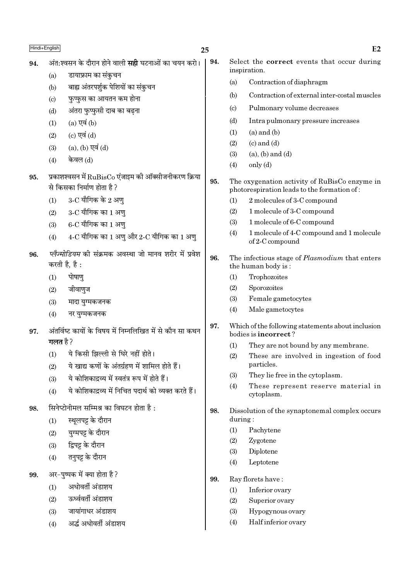Hindi+English  $E2$ 25 अंत:श्वसन के दौरान होने वाली **सद्दी** घटनाओं का चयन करो। 94. Select the **correct** events that occur during 94. inspiration. डायाफ्राम का संकुचन  $(a)$  $(a)$ Contraction of diaphragm बाह्य अंतरपर्शुक पेशियों का संकुचन  $(b)$ Contraction of external inter-costal muscles  $(b)$ फुप्फुस का आयतन कम होना  $(c)$  $(c)$ Pulmonary volume decreases अंतरा फुप्फुसी दाब का बढ़ना  $(d)$  $(d)$ Intra pulmonary pressure increases  $(a)$  एवं  $(b)$  $(1)$  $(a)$  and  $(b)$  $(1)$  $(c)$  एवं  $(d)$  $(2)$  $(2)$  $(c)$  and  $(d)$ (a), (b) एवं (d)  $(3)$  $(a)$ ,  $(b)$  and  $(d)$  $(3)$ केवल (d)  $(4)$  $(4)$  $only (d)$ प्रकाशश्वसन में  $\mathrm{RuBisCo}$  एंजाइम की ऑक्सीजनीकरण क्रिया 95. 95. The oxygenation activity of RuBisCo enzyme in से किसका निर्माण होता है? photorespiration leads to the formation of:  $3$ -C यौगिक के 2 अण  $(1)$  $(1)$ 2 molecules of 3-C compound  $(2)$  $3$ - $C$  यौगिक का  $1$  अण्  $(2)$ 1 molecule of 3-C compound  $(3)$ 1 molecule of 6-C compound  $6$ - $C$  यौगिक का  $1$  अण  $(3)$ 1 molecule of 4-C compound and 1 molecule  $(4)$  $4$ -C यौगिक का 1 अणु और 2-C यौगिक का 1 अणु  $(4)$ of 2-C compound प्लैज्मोडियम की संक्रमक अवस्था जो मानव शरीर में प्रवेश 96. 96. The infectious stage of *Plasmodium* that enters करती है. है: the human body is: पोषाण  $(1)$  $(1)$ Trophozoites  $(2)$ Sporozoites जीवाणुज  $(2)$  $(3)$ Female gametocytes  $(3)$ मादा यग्मकजनक  $(4)$ Male gametocytes  $(4)$ नर यग्मकजनक 97. Which of the following statements about inclusion अंतर्विष्ट कार्यों के विषय में निम्नलिखित में से कौन सा कथन 97. bodies is incorrect? गलत है ? They are not bound by any membrane.  $(1)$ ये किसी झिल्ली से घिरे नहीं होते।  $(1)$  $(2)$ These are involved in ingestion of food ये खाद्य कणों के अंतर्ग्रहण में शामिल होते हैं। particles.  $(2)$  $(3)$ They lie free in the cytoplasm. ये कोशिकाद्रव्य में स्वतंत्र रूप में होते हैं।  $(3)$ These represent reserve material in  $(4)$ ये कोशिकादव्य में निचित पदार्थ को व्यक्त करते हैं।  $(4)$ cytoplasm. सिनेप्टोनीमल सम्मिश्र का विघटन होता है  $\cdot$ 98. 98. Dissolution of the synaptonemal complex occurs स्थलपट्ट के दौरान during:  $(1)$  $(1)$ Pachytene यग्मपट्ट के दौरान  $(2)$  $(2)$ Zygotene द्विपट्ट के दौरान  $(3)$  $(3)$ Diplotene तनुपट्ट के दौरान  $(4)$  $(4)$ Leptotene अर-पृष्पक में क्या होता है? 99. 99. Ray florets have: अधोवर्ती अंडाशय  $(1)$ Inferior ovary  $(1)$ ऊर्ध्ववर्ती अंडाशय  $(2)$  $(2)$ Superior ovary जायांगाधर अंडाशय  $(3)$  $(3)$ Hypogynous ovary

Half inferior ovary

 $(4)$ 

अर्द्ध अधोवर्ती अंडाशय  $(4)$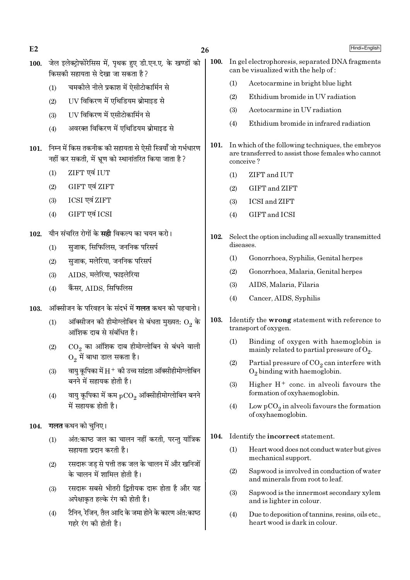$E<sub>2</sub>$ 

- 100. जेल इलेक्टोफोरेसिस में. पथक हुए डी.एन.ए. के खण्डों को किसकी सहायता से देखा जा सकता है ?
	- चमकीले नीले प्रकाश में ऐसीटोकार्मिन से  $(1)$
	- UV विकिरण में एथिडियम ब्रोमाइड से  $(2)$
	- UV विकिरण में एसीटोकार्मिन से  $(3)$
	- अवरक्त विकिरण में एथिडियम ब्रोमाइड से  $(4)$
- 101. निम्न में किस तकनीक की सहायता से ऐसी स्त्रियाँ जो गर्भधारण नहीं कर सकती, में भ्रुण को स्थानांतरित किया जाता है ?
	- ZIFT एवं IUT  $(1)$
	- $(2)$ GIFT एवं ZIFT
	- ICSI एवं ZIFT  $(3)$
	- GIFT एवं ICSI  $(4)$
- यौन संचरित रोगों के **सही** विकल्प का चयन करो।  $102.$ 
	- सजाक. सिफिलिस. जननिक परिसर्प  $(1)$
	- सजाक. मलेरिया. जननिक परिसर्प  $(2)$
	- AIDS. मलेरिया. फाइलेरिया  $(3)$
	- कैंसर. AIDS. सिफिलिस  $(4)$
- ऑक्सीजन के परिवहन के संदर्भ में **गलत** कथन को पहचानो। 103.
	- ऑक्सीजन की हीमोग्लोबिन से बंधता मुख्यत:  $\mathrm{O}_2$  के  $(1)$ आंशिक दाब से संबंधित है।
	- $\overline{\text{CO}_2}$  का आंशिक दाब हीमोग्लोबिन से बंधने वाली  $(2)$  $O<sub>2</sub>$  में बाधा डाल सकता है।
	- वाय कपिका में  $\rm H^+$  की उच्च सांद्रता ऑक्सीहीमोग्लोबिन  $(3)$ बनने में सहायक होती है।
	- वायु कूपिका में कम  $_{\rm pCO_2}$  ऑक्सीहीमोग्लोबिन बनने  $(4)$ .<br>में सहायक होती है।
- 104. गलत कथन को चुनिए।
	- अंत:काष्ठ जल का चालन नहीं करती, परन्तु यांत्रिक  $(1)$ सहायता प्रदान करती है।
	- रसदारू जड़ से पत्ती तक जल के चालन में और खनिजों  $(2)$ के चालन में शामिल होती है।
	- रसदारू सबसे भीतरी द्वितीयक दारू होता है और यह  $(3)$ अपेक्षाकृत हल्के रंग की होती है।
	- टैनिन, रेजिन, तैल आदि के जमा होने के कारण अंत:काष्ठ  $(4)$ गहरे रंग की होती है।
- 100. In gel electrophoresis, separated DNA fragments can be visualized with the help of:
	- Acetocarmine in bright blue light  $(1)$
	- Ethidium bromide in UV radiation  $(2)$
	- $(3)$ Acetocarmine in UV radiation
	- Ethidium bromide in infrared radiation  $(4)$
- 101. In which of the following techniques, the embryos are transferred to assist those females who cannot conceive?
	- ZIFT and IUT  $(1)$
	- **GIFT** and **ZIFT**  $(2)$
	- $(3)$ **ICSI and ZIFT**
	- GIFT and ICSI  $(4)$
- 102. Select the option including all sexually transmitted diseases.
	- $(1)$ Gonorrhoea, Syphilis, Genital herpes
	- $(2)$ Gonorrhoea, Malaria, Genital herpes
	- AIDS, Malaria, Filaria  $(3)$
	- $(4)$ Cancer, AIDS, Syphilis
- 103. Identify the wrong statement with reference to transport of oxygen.
	- Binding of oxygen with haemoglobin is  $(1)$ mainly related to partial pressure of  $O_2$ .
	- Partial pressure of  $CO_2$  can interfere with  $(2)$  $O_2$  binding with haemoglobin.
	- $(3)$ Higher  $H^+$  conc. in alveoli favours the formation of oxyhaemoglobin.
	- $\mathop{\rm Low} \mathop{\rm pCO}_2$  in alveoli favours the formation  $(4)$ of oxyhaemoglobin.
- 104. Identify the incorrect statement.
	- Heart wood does not conduct water but gives  $(1)$ mechanical support.
	- $(2)$ Sapwood is involved in conduction of water and minerals from root to leaf.
	- $(3)$ Sapwood is the innermost secondary xylem and is lighter in colour.
	- $(4)$ Due to deposition of tanning, resing, oils etc... heart wood is dark in colour.

Hindi+English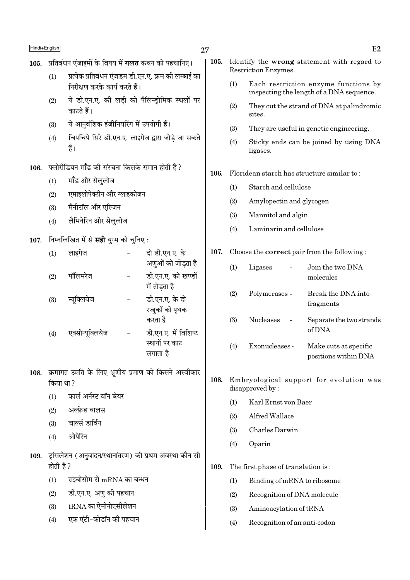| Hindi+English |
|---------------|
|---------------|

## 27

- 105. प्रतिबंधन एंजाइमों के विषय में गलत कथन को पहचानिए।
	- प्रत्येक प्रतिबंधन एंजाइम डी.एन.ए. क्रम की लम्बाई का  $(1)$ निरीक्षण करके कार्य करते हैं।
	- ये डी.एन.ए. की लडी को पैलिन्ड़ोमिक स्थलों पर  $(2)$ कारते हैं।
	- ये आनवंशिक इंजीनियरिंग में उपयोगी हैं।  $(3)$
	- चिपचिपे सिरे डी.एन.ए. लाइगेज द्वारा जोडे जा सकते  $(4)$ हैं।
- फ्लोरीडियन मॉॅंड की संरचना किसके समान होती है ? 106.
	- मॉॅंड और सेलुलोज  $(1)$
	- एमाइलोपेक्टीन और ग्लाइकोजन  $(2)$
	- मैनीटॉल और एल्जिन  $(3)$
	- लैमिनेरिन और सेललोज  $(4)$
- 107. निम्नलिखित में से सही युग्म को चुनिए:

| (1) | लाइगेज           | दो डी.एन.ए. के<br>अणुओं को जोडता है                |
|-----|------------------|----------------------------------------------------|
| (2) | पॉलिमरेज         | डी.एन.ए. को खण्डों<br>में तोडता है                 |
| (3) | न्यूक्लियेज      | डी.एन.ए. के दो<br>रज़ुकों को पृथक<br>करता है       |
| (4) | एक्सोन्यूक्लियेज | डी.एन.ए. में विशिष्ट<br>स्थानों पर काट<br>लगाता है |

- 108. क्रमागत उन्नति के लिए भ्रूणीय प्रमाण को किसने अस्वीकार किया था ?
	- कार्ल अर्नस्ट वॉन बेयर  $(1)$
	- अल्फ्रेड वालस  $(2)$
	- चार्ल्स डार्विन  $(3)$
	- ओपेरिन  $(4)$
- 109. ट्रांसलेशन (अनुवादन/स्थानांतरण) की प्रथम अवस्था कौन सी होती है ?
	- राइबोसोम से mRNA का बन्धन  $(1)$
	- डी.एन.ए. अणु की पहचान  $(2)$
	- $tRNA$  का ऐमीनोएसीलेशन  $(3)$
	- एक एंटी-कोडॉन की पहचान  $(4)$
- 105. Identify the wrong statement with regard to Restriction Enzymes.
	- Each restriction enzyme functions by  $(1)$ inspecting the length of a DNA sequence.
	- They cut the strand of DNA at palindromic  $(2)$ sites.
	- $(3)$ They are useful in genetic engineering.
	- $(4)$ Sticky ends can be joined by using DNA ligases.
- 106. Floridean starch has structure similar to:
	- $(1)$ Starch and cellulose
	- $(2)$ Amylopectin and glycogen
	- Mannitol and algin  $(3)$
	- $(4)$ Laminarin and cellulose
- 107. Choose the **correct** pair from the following:

| (1) | Ligases          | Join the two DNA<br>molecules                 |
|-----|------------------|-----------------------------------------------|
| (2) | Polymerases -    | Break the DNA into<br>fragments               |
| (3) | <b>Nucleases</b> | Separate the two strands<br>of DNA            |
| (4) | Exonucleases -   | Make cuts at specific<br>positions within DNA |

- 108. Embryological support for evolution was disapproved by:
	- $(1)$ Karl Ernst von Baer
	- $(2)$ Alfred Wallace
	- Charles Darwin  $(3)$
	- $(4)$ Oparin
- 109. The first phase of translation is:
	- $(1)$ Binding of mRNA to ribosome
	- $(2)$ Recognition of DNA molecule
	- $(3)$ Aminoacylation of tRNA
	- $(4)$ Recognition of an anti-codon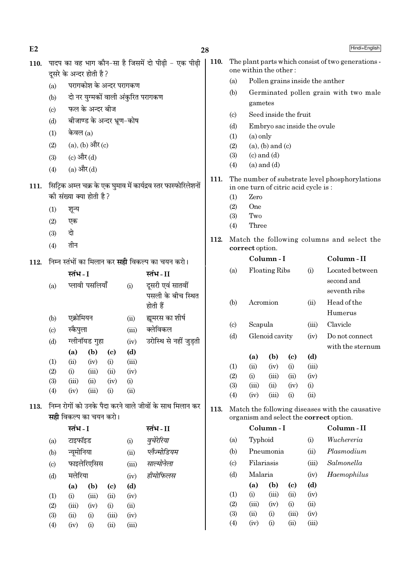| E2   |                           |                                                         |                               |                            |                                    | 28                                                              |      |                                    |                                                                             |                                      |                            |             | Hindi+English                                                                              |
|------|---------------------------|---------------------------------------------------------|-------------------------------|----------------------------|------------------------------------|-----------------------------------------------------------------|------|------------------------------------|-----------------------------------------------------------------------------|--------------------------------------|----------------------------|-------------|--------------------------------------------------------------------------------------------|
| 110. |                           |                                                         |                               |                            |                                    | पादप का वह भाग कौन-सा है जिसमें दो पीढ़ी - एक पीढ़ी             | 110. |                                    | The plant parts which consist of two generations -<br>one within the other: |                                      |                            |             |                                                                                            |
|      |                           |                                                         | दूसरे के अन्दर होती है ?      |                            |                                    |                                                                 |      |                                    |                                                                             |                                      |                            |             |                                                                                            |
|      | (a)                       |                                                         | परागकोश के अन्दर परागकण       |                            |                                    |                                                                 |      | (a)                                |                                                                             |                                      |                            |             | Pollen grains inside the anther                                                            |
|      | (b)                       |                                                         |                               |                            | दो नर युग्मकों वाली अंकुरित परागकण |                                                                 |      | (b)                                | gametes                                                                     |                                      |                            |             | Germinated pollen grain with two male                                                      |
|      | (c)                       |                                                         | फल के अन्दर बीज               |                            |                                    |                                                                 |      | (c)                                |                                                                             | Seed inside the fruit                |                            |             |                                                                                            |
|      | (d)                       |                                                         | बीजाण्ड के अन्दर भ्रूण-कोष    |                            |                                    |                                                                 |      | (d)                                |                                                                             | Embryo sac inside the ovule          |                            |             |                                                                                            |
|      | (1)                       | केवल $(a)$                                              |                               |                            |                                    |                                                                 |      | (1)                                | $(a)$ only                                                                  |                                      |                            |             |                                                                                            |
|      | (2)                       |                                                         | $(a)$ , $(b)$ और $(c)$        |                            |                                    |                                                                 |      | (2)                                |                                                                             | $(a)$ , $(b)$ and $(c)$              |                            |             |                                                                                            |
|      | (3)                       | (c) और $(d)$                                            |                               |                            |                                    |                                                                 |      | (3)                                |                                                                             | $(c)$ and $(d)$                      |                            |             |                                                                                            |
|      | (4)                       | $(a)$ और $(d)$                                          |                               |                            |                                    |                                                                 |      | (4)                                |                                                                             | $(a)$ and $(d)$                      |                            |             |                                                                                            |
|      |                           |                                                         |                               |                            |                                    |                                                                 | 111. |                                    |                                                                             |                                      |                            |             | The number of substrate level phosphorylations                                             |
| 111. |                           |                                                         | की संख्या क्या होती है?       |                            |                                    | सिट्रिक अम्ल चक्र के एक घुमाव में कार्यद्रव स्तर फास्फोरिलेशनों |      |                                    | Zero                                                                        | in one turn of citric acid cycle is: |                            |             |                                                                                            |
|      |                           |                                                         |                               |                            |                                    |                                                                 |      | (1)<br>(2)                         | One                                                                         |                                      |                            |             |                                                                                            |
|      | (1)                       | शून्य                                                   |                               |                            |                                    |                                                                 |      | (3)                                | Two                                                                         |                                      |                            |             |                                                                                            |
|      | (2)                       | एक                                                      |                               |                            |                                    |                                                                 |      | (4)                                | Three                                                                       |                                      |                            |             |                                                                                            |
|      | (3)                       | दो                                                      |                               |                            |                                    |                                                                 | 112. |                                    |                                                                             |                                      |                            |             | Match the following columns and select the                                                 |
|      | (4)                       | तीन                                                     |                               |                            |                                    |                                                                 |      |                                    | correct option.                                                             |                                      |                            |             |                                                                                            |
| 112. |                           | निम्न स्तंभों का मिलान कर <b>सही</b> विकल्प का चयन करो। |                               |                            |                                    |                                                                 |      |                                    |                                                                             | Column-I                             |                            |             | Column-II                                                                                  |
|      |                           | स्तंभ - I                                               |                               |                            |                                    | स्तंभ-II                                                        |      | (a)                                |                                                                             | <b>Floating Ribs</b>                 |                            | (i)         | Located between                                                                            |
|      | (a)                       |                                                         | प्लावी पसलियाँ                |                            | (i)                                | दूसरी एवं सातवीं                                                |      |                                    |                                                                             |                                      |                            |             | second and                                                                                 |
|      |                           |                                                         |                               |                            |                                    | पसली के बीच स्थित                                               |      |                                    |                                                                             |                                      |                            |             | seventh ribs                                                                               |
|      |                           |                                                         |                               |                            |                                    | होती हैं                                                        |      | (b)                                |                                                                             | Acromion                             |                            | (ii)        | Head of the<br>Humerus                                                                     |
|      | (b)                       | एक्रोमियन                                               |                               |                            | (ii)                               | ह्यमरस का शीर्ष                                                 |      |                                    | Scapula                                                                     |                                      |                            | (iii)       | Clavicle                                                                                   |
|      | $\left( \text{c} \right)$ | स्कैपुला                                                |                               |                            | (iii)                              | क्लेविकल                                                        |      | $\left( \mathrm{c} \right)$<br>(d) |                                                                             | Glenoid cavity                       |                            | (iv)        | Do not connect                                                                             |
|      | (d)                       |                                                         | ग्लीनॉयड गुहा                 |                            |                                    | (iv) उरोस्थि से नहीं जुड़ती                                     |      |                                    |                                                                             |                                      |                            |             | with the sternum                                                                           |
|      |                           |                                                         | (a) (b) (c)                   |                            | (d)                                |                                                                 |      |                                    | (a)                                                                         | (b)                                  | $\left( \mathrm{c}\right)$ | (d)         |                                                                                            |
|      | (1)<br>(2)                | (ii)<br>(i)                                             | (iv)<br>(iii)                 | (i)<br>(ii)                | (iii)<br>(iv)                      |                                                                 |      | (1)                                | (ii)                                                                        | (iv)                                 | (i)                        | (iii)       |                                                                                            |
|      | (3)                       | (iii)                                                   | (ii)                          | (iv)                       | (i)                                |                                                                 |      | (2)                                | (i)                                                                         | (iii)                                | (ii)                       | (iv)        |                                                                                            |
|      | (4)                       | (iv)                                                    | (iii)                         | (i)                        | (ii)                               |                                                                 |      | (3)<br>(4)                         | (iii)<br>(iv)                                                               | (ii)<br>(iii)                        | (iv)<br>(i)                | (i)<br>(ii) |                                                                                            |
| 113. |                           |                                                         |                               |                            |                                    | निम्न रोगों को उनके पैदा करने वाले जीवों के साथ मिलान कर        |      |                                    |                                                                             |                                      |                            |             |                                                                                            |
|      |                           |                                                         | <b>सही</b> विकल्प का चयन करो। |                            |                                    |                                                                 | 113. |                                    |                                                                             |                                      |                            |             | Match the following diseases with the causative<br>organism and select the correct option. |
|      |                           | स्तंभ - I                                               |                               |                            |                                    | स्तंभ - II                                                      |      |                                    |                                                                             | Column-I                             |                            |             | Column-II                                                                                  |
|      | (a)                       | टाइफॉइड                                                 |                               |                            | (i)                                | वृचेरेरिया                                                      |      | (a)                                | Typhoid                                                                     |                                      |                            | (i)         | Wuchereria                                                                                 |
|      | (b)                       | न्यूमोनिया                                              |                               |                            | (ii)                               | प्लैज्मोडियम                                                    |      | (b)                                |                                                                             | Pneumonia                            |                            | (ii)        | Plasmodium                                                                                 |
|      | (c)                       |                                                         | फाइलेरिएसिस                   |                            | (iii)                              | साल्मोनेला                                                      |      | (c)                                | Filariasis                                                                  |                                      |                            | (iii)       | Salmonella                                                                                 |
|      | (d)                       | मलेरिया                                                 |                               |                            | (iv)                               | हीमोफिलस                                                        |      | (d)                                | Malaria                                                                     |                                      |                            | (iv)        | Haemophilus                                                                                |
|      |                           | (a)                                                     | (b)                           | $\left( \mathrm{c}\right)$ | (d)                                |                                                                 |      |                                    | (a)                                                                         | (b)                                  | (c)                        | (d)         |                                                                                            |
|      | (1)                       | (i)                                                     | (iii)                         | (ii)                       | (iv)                               |                                                                 |      | (1)                                | (i)                                                                         | (iii)                                | (ii)                       | (iv)        |                                                                                            |
|      | (2)                       | (iii)                                                   | (iv)                          | (i)                        | (ii)                               |                                                                 |      | (2)                                | (iii)                                                                       | (iv)                                 | (i)                        | (ii)        |                                                                                            |
|      | (3)                       | (ii)                                                    | (i)                           | (iii)                      | (iv)                               |                                                                 |      | (3)                                | (ii)                                                                        | (i)                                  | (iii)                      | (iv)        |                                                                                            |
|      | (4)                       | (iv)                                                    | (i)                           | (ii)                       | (iii)                              |                                                                 |      | (4)                                | (iv)                                                                        | (i)                                  | (ii)                       | (iii)       |                                                                                            |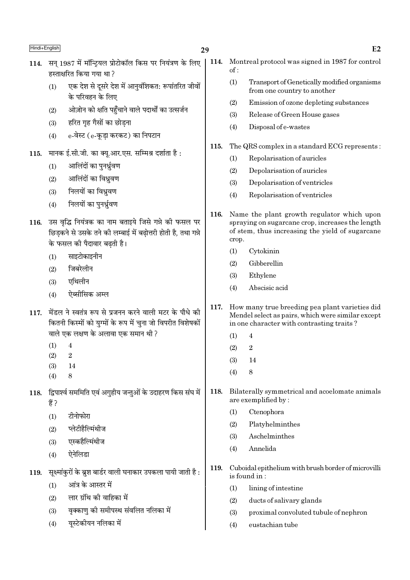## 29

- 114. सन 1987 में मॉन्टियल प्रोटोकॉल किस पर नियंत्रण के लिए हस्ताक्षरित किया गया था ?
	- एक देश से दूसरे देश में आनुवंशिकत: रूपांतरित जीवों  $(1)$ के परिवहन के लिए
	- ओज़ोन को क्षति पहुँचाने वाले पदार्थों का उत्सर्जन  $(2)$
	- हरित गृह गैसों का छोडना  $(3)$
	- e-वेस्ट (e-कडा करकट) का निपटान  $(4)$
- मानक ई.सी.जी. का क्यु.आर.एस. सम्मिश्र दर्शाता है: 115.
	- आलिंदों का पनर्ध्रवण  $(1)$
	- आलिंदों का विध्रवण  $(2)$
	- $(3)$ निलयों का विध्रवण
	- निलयों का पुनर्ध्रुवण  $(4)$
- 116. उस वृद्धि नियंत्रक का नाम बताइये जिसे गन्ने की फसल पर छिडकने से उसके तने की लम्बाई में बढोत्तरी होती है. तथा गन्ने के फसल की पैदावार बढती है।
	- साइटोकाइनीन  $(1)$
	- जिबरेलीन  $(2)$
	- $(3)$ एथिलीन
	- ऐब्सीसिक अम्ल  $(4)$
- 117. मेंडल ने स्वतंत्र रूप से प्रजनन करने वाली मटर के पौधे की कितनी किस्मों को यग्मों के रूप में चना जो विपरीत विशेषकों वाले एक लक्षण के अलावा एक समान थी ?
	- $\overline{4}$  $(1)$
	- $(2)$  $\overline{2}$
	- $(3)$ 14
	- $\mathbf{8}$  $(4)$
- द्विपार्श्व सममिति एवं अगुहीय जन्तुओं के उदाहरण किस संघ में 118. हैं ?
	- $(1)$ टीनोफोरा
	- प्लेटीहैल्मिंथीज  $(2)$
	- एस्कहैल्मिंथीज  $(3)$
	- ऐनेलिडा  $(4)$
- सुक्ष्मांकुरों के ब्रुश बार्डर वाली घनाकार उपकला पायी जाती है : 119.
	- आंत्र के आस्तर में  $(1)$
	- लार ग्रंथि की वाहिका में  $(2)$
	- वृक्काण को समीपस्थ संवलित नलिका में  $(3)$
	- यस्टेकीयन नलिका में  $(4)$
- 114. Montreal protocol was signed in 1987 for control  $\alpha$ f ·
	- $(1)$ Transport of Genetically modified organisms from one country to another
	- $(2)$ Emission of ozone depleting substances
	- $(3)$ Release of Green House gases
	- $(4)$ Disposal of e-wastes
- The QRS complex in a standard ECG represents: 115.
	- Repolarisation of auricles  $(1)$
	- $(2)$ Depolarisation of auricles
	- $(3)$ Depolarisation of ventricles
	- Repolarisation of ventricles  $(4)$
- 116. Name the plant growth regulator which upon spraying on sugarcane crop, increases the length of stem, thus increasing the yield of sugarcane crop.
	- $(1)$ Cytokinin
	- $(2)$ Gibberellin
	- Ethylene  $(3)$
	- Abscisic acid  $(4)$
- 117. How many true breeding pea plant varieties did Mendel select as pairs, which were similar except in one character with contrasting traits?
	- $\overline{4}$  $(1)$
	- $\overline{2}$  $(2)$
	- $(3)$ 14
	- $(4)$  $\mathbf{8}$
- Bilaterally symmetrical and acoelomate animals 118. are exemplified by:
	- Ctenophora  $(1)$
	- $(2)$ Platyhelminthes
	- $(3)$ Aschelminthes
	- Annelida  $(4)$
- Cuboidal epithelium with brush border of microvilli 119. is found in:
	- $(1)$ lining of intestine
	- $(2)$ ducts of salivary glands
	- $(3)$ proximal convoluted tubule of nephron
	- eustachian tube  $(4)$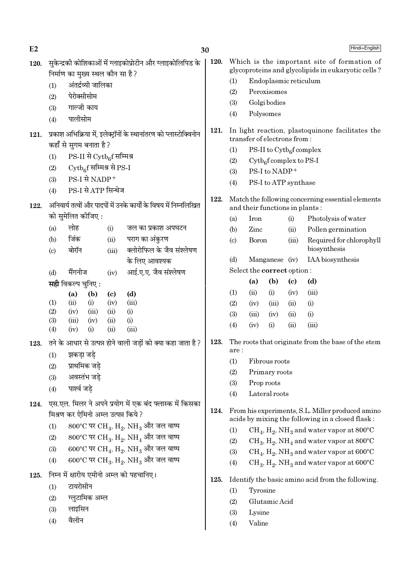| E2   |                        |                                          |                            |                                                                         | 30   |                                                    |                                   |                                       | Hindi+English              |                                                                                                      |
|------|------------------------|------------------------------------------|----------------------------|-------------------------------------------------------------------------|------|----------------------------------------------------|-----------------------------------|---------------------------------------|----------------------------|------------------------------------------------------------------------------------------------------|
| 120. |                        | निर्माण का मुख्य स्थल कौन सा है ?        |                            | सुकेन्द्रकी कोशिकाओं में ग्लाइकोप्रोटीन और ग्लाइकोलिपिड के              | 120. |                                                    |                                   |                                       |                            | Which is the important site of formation of<br>glycoproteins and glycolipids in eukaryotic cells?    |
|      | (1)                    | अंतर्द्रव्यी जालिका                      |                            |                                                                         |      | (1)                                                |                                   | Endoplasmic reticulum                 |                            |                                                                                                      |
|      | (2)                    | पेरोक्सीसोम                              |                            |                                                                         |      | (2)                                                |                                   | Peroxisomes                           |                            |                                                                                                      |
|      | (3)                    | गाल्जी काय                               |                            |                                                                         |      | (3)                                                |                                   | Golgi bodies                          |                            |                                                                                                      |
|      | (4)                    | पालीसोम                                  |                            |                                                                         |      | (4)                                                |                                   | Polysomes                             |                            |                                                                                                      |
| 121. |                        | कहाँ से सुगम बनाता है ?                  |                            | प्रकाश अभिक्रिया में, इलेक्ट्रॉनों के स्थानांतरण को प्लास्टोक्विनोन     | 121. |                                                    |                                   | transfer of electrons from:           |                            | In light reaction, plastoquinone facilitates the                                                     |
|      | (1)                    | $PS-II \nrightarrow$ $Cytb_6f$ सम्मिश्र  |                            |                                                                         |      | (1)                                                |                                   | PS-II to $\mathrm{Cytb}_6$ f complex  |                            |                                                                                                      |
|      | (2)                    | Cytb <sub>6</sub> f सम्मिश्र से PS-I     |                            |                                                                         |      | (2)                                                |                                   | $\mathrm{Cytb}_{6}$ f complex to PS-I |                            |                                                                                                      |
|      | (3)                    | PS-I से NADP+                            |                            |                                                                         |      | (3)                                                |                                   | PS-I to NADP+                         |                            |                                                                                                      |
|      | (4)                    | PS-I से ATP सिन्थेज                      |                            |                                                                         |      | (4)                                                |                                   | PS-I to ATP synthase                  |                            |                                                                                                      |
| 122. |                        |                                          |                            | अनिवार्य तत्वों और पादपों में उनके कार्यों के विषय में निम्नलिखित       | 122. |                                                    |                                   | and their functions in plants:        |                            | Match the following concerning essential elements                                                    |
|      |                        | को सुमेलित कीजिए :                       |                            |                                                                         |      | (a)                                                | Iron                              |                                       | (i)                        | Photolysis of water                                                                                  |
|      | (a)                    | लोह                                      | (i)                        | जल का प्रकाश अपघटन                                                      |      | (b)                                                | Zinc                              |                                       | (ii)                       | Pollen germination                                                                                   |
|      | (b)                    | जिंक<br>बोरॉन                            | (ii)                       | पराग का अंकुरण<br>क्लोरोफिल के जैव संश्लेषण                             |      | $\left( \mathrm{c}\right)$                         | <b>Boron</b>                      |                                       | (iii)                      | Required for chlorophyll<br>biosynthesis                                                             |
|      | $\left( \circ \right)$ |                                          | (iii)                      | के लिए आवश्यक                                                           |      | (d)                                                |                                   | Manganese (iv)                        |                            | IAA biosynthesis                                                                                     |
|      | (d)                    | मैंगनीज                                  | (iv)                       | आई.ए.ए. जैव संश्लेषण                                                    |      |                                                    | Select the <b>correct</b> option: |                                       |                            |                                                                                                      |
|      |                        | <b>सही</b> विकल्प चुनिए :                |                            |                                                                         |      |                                                    | (a)                               | (b)                                   | $\left( \mathrm{c}\right)$ | (d)                                                                                                  |
|      |                        | (a)<br>(b)                               | $\left( \mathrm{c}\right)$ | (d)                                                                     |      | (1)                                                | (ii)                              | (i)                                   | (iv)                       | (iii)                                                                                                |
|      | (1)                    | (ii)<br>(i)                              | (iv)                       | (iii)                                                                   |      | (2)                                                | (iv)                              | (iii)                                 | (ii)                       | (i)                                                                                                  |
|      | (2)                    | (iv)<br>(iii)                            | (ii)                       | (i)                                                                     |      | (3)                                                | (iii)                             | (iv)                                  | (ii)                       | (i)                                                                                                  |
|      | (3)                    | (iii)<br>(iv)                            | (ii)                       | (i)                                                                     |      | (4)                                                | (iv)                              | (i)                                   | (ii)                       | (iii)                                                                                                |
|      | (4)                    | (iv)<br>(i)                              | (ii)                       | (iii)<br>तने के आधार से उत्पन्न होने वाली जड़ों को क्या कहा जाता है ?   | 123. | The roots that originate from the base of the stem |                                   |                                       |                            |                                                                                                      |
| 123. |                        |                                          |                            |                                                                         |      | are :                                              |                                   |                                       |                            |                                                                                                      |
|      |                        | $(1)$ झकड़ा जड़े                         |                            |                                                                         |      | (1)                                                | Fibrous roots                     |                                       |                            |                                                                                                      |
|      | (2)                    | प्राथमिक जड़े                            |                            |                                                                         |      | (2)                                                |                                   | Primary roots                         |                            |                                                                                                      |
|      | (3)                    | अवस्तंभ जडे<br>पार्श्व जडे               |                            |                                                                         |      | (3)                                                |                                   | Prop roots                            |                            |                                                                                                      |
|      | (4)                    |                                          |                            |                                                                         |      | (4)                                                |                                   | Lateral roots                         |                            |                                                                                                      |
| 124. |                        |                                          |                            | एस.एल. मिलर ने अपने प्रयोग में एक बंद फ्लास्क में किसका                 |      |                                                    |                                   |                                       |                            |                                                                                                      |
|      |                        | मिश्रण कर ऐमिनो अम्ल उत्पन्न किये ?      |                            |                                                                         | 124. |                                                    |                                   |                                       |                            | From his experiments, S.L. Miller produced amino<br>acids by mixing the following in a closed flask: |
|      | (1)                    |                                          |                            | 800°C पर CH <sub>4</sub> , H <sub>2</sub> , NH <sub>3</sub> और जल वाष्प |      | (1)                                                |                                   |                                       |                            | $CH_4$ , $H_2$ , NH <sub>3</sub> and water vapor at 800°C                                            |
|      | (2)                    |                                          |                            | 800°C पर CH <sub>3</sub> , H <sub>2</sub> , NH <sub>4</sub> और जल वाष्प |      | (2)                                                |                                   |                                       |                            | $CH_3$ , $H_2$ , NH <sub>4</sub> and water vapor at 800°C                                            |
|      | (3)                    |                                          |                            | 600°C पर CH <sub>4</sub> , H <sub>2</sub> , NH <sub>3</sub> और जल वाष्प |      | (3)                                                |                                   |                                       |                            | $CH_4$ , $H_2$ , NH <sub>3</sub> and water vapor at 600°C                                            |
|      | (4)                    |                                          |                            | 600°C पर CH <sub>3</sub> , H <sub>2</sub> , NH <sub>3</sub> और जल वाष्प |      | (4)                                                |                                   |                                       |                            | $CH_3$ , $H_2$ , NH <sub>3</sub> and water vapor at 600°C                                            |
| 125. |                        | निम्न में क्षारीय एमीनो अम्ल को पहचानिए। |                            |                                                                         | 125. |                                                    |                                   |                                       |                            | Identify the basic amino acid from the following.                                                    |
|      | (1)                    | टायरोसीन                                 |                            |                                                                         |      | (1)                                                | Tyrosine                          |                                       |                            |                                                                                                      |
|      | (2)                    | ग्लूटामिक अम्ल                           |                            |                                                                         |      | (2)                                                |                                   | Glutamic Acid                         |                            |                                                                                                      |
|      | (3)                    | लाइसिन                                   |                            |                                                                         |      | (3)                                                | Lysine                            |                                       |                            |                                                                                                      |
|      | (4)                    | वैलीन                                    |                            |                                                                         |      | (4)                                                | Valine                            |                                       |                            |                                                                                                      |
|      |                        |                                          |                            |                                                                         |      |                                                    |                                   |                                       |                            |                                                                                                      |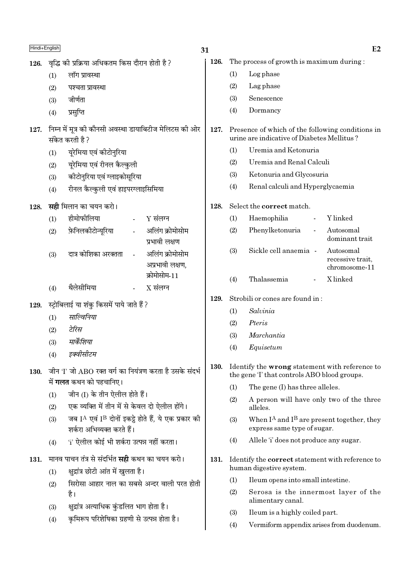| Hindi+English |                 |                                                                                               | 31                                 |      |                                                                                                     |                                                                                                | E2                                             |  |
|---------------|-----------------|-----------------------------------------------------------------------------------------------|------------------------------------|------|-----------------------------------------------------------------------------------------------------|------------------------------------------------------------------------------------------------|------------------------------------------------|--|
| 126.          |                 | वृद्धि की प्रक्रिया अधिकतम किस दौरान होती है ?                                                |                                    | 126. |                                                                                                     | The process of growth is maximum during:                                                       |                                                |  |
|               | (1)             | लॉग प्रावस्था                                                                                 |                                    |      | (1)                                                                                                 | Log phase                                                                                      |                                                |  |
|               | (2)             | पश्चता प्रावस्था                                                                              |                                    |      | (2)                                                                                                 | Lag phase                                                                                      |                                                |  |
|               | (3)             | जीर्णता                                                                                       |                                    |      | (3)                                                                                                 | Senescence                                                                                     |                                                |  |
|               | (4)             | प्रसुप्ति                                                                                     |                                    |      | (4)                                                                                                 | Dormancy                                                                                       |                                                |  |
| 127.          | संकेत करती है ? | निम्न में मूत्र की कौनसी अवस्था डायाबिटीज मेलिटस की ओर                                        |                                    | 127. |                                                                                                     | Presence of which of the following conditions in<br>urine are indicative of Diabetes Mellitus? |                                                |  |
|               | (1)             | यूरेमिया एवं कीटोनुरिया                                                                       |                                    |      | (1)                                                                                                 | Uremia and Ketonuria                                                                           |                                                |  |
|               | (2)             | यूरेमिया एवं रीनल कैल्कुली                                                                    |                                    |      | (2)                                                                                                 | Uremia and Renal Calculi                                                                       |                                                |  |
|               | (3)             | कीटोनुरिया एवं ग्लाइकोसूरिया                                                                  |                                    |      | (3)                                                                                                 | Ketonuria and Glycosuria                                                                       |                                                |  |
|               | (4)             | रीनल कैल्कुली एवं हाइपरग्लाइसिमिया                                                            |                                    |      | (4)                                                                                                 | Renal calculi and Hyperglycaemia                                                               |                                                |  |
| 128.          |                 | <b>सही</b> मिलान का चयन करो।                                                                  |                                    | 128. |                                                                                                     | Select the correct match.                                                                      |                                                |  |
|               | (1)             | हीमोफीलिया                                                                                    | $Y$ संलग्न                         |      | (1)                                                                                                 | Haemophilia<br>$\overline{\phantom{a}}$                                                        | Y linked                                       |  |
|               | (2)             | फ़ेनिलकीटोन्यूरिया                                                                            | अलिंग क्रोमोसोम<br>प्रभावी लक्षण   |      | (2)                                                                                                 | Phenylketonuria<br>$\blacksquare$                                                              | Autosomal<br>dominant trait                    |  |
|               | (3)             | दात्र कोशिका अरक्तता<br>$\omega_{\rm{eff}}$                                                   | अलिंग क्रोमोसोम<br>अप्रभावी लक्षण, |      | (3)                                                                                                 | Sickle cell anaemia -                                                                          | Autosomal<br>recessive trait,<br>chromosome-11 |  |
|               | (4)             | थैलेसीमिया<br>$\overline{\phantom{a}}$                                                        | क्रोमोसोम-11<br>$X$ संलग्न         |      | (4)                                                                                                 | Thalassemia                                                                                    | X linked                                       |  |
| 129.          |                 | स्ट्रोबिलाई या शंकु किसमें पाये जाते हैं ?                                                    |                                    | 129. |                                                                                                     | Strobili or cones are found in:                                                                |                                                |  |
|               | (1)             | साल्विनिया                                                                                    |                                    |      | (1)                                                                                                 | Salvinia                                                                                       |                                                |  |
|               | (2)             | टेरिस                                                                                         |                                    |      | (2)                                                                                                 | Pteris                                                                                         |                                                |  |
|               | (3)             | मार्केशिया                                                                                    |                                    |      | (3)                                                                                                 | Marchantia                                                                                     |                                                |  |
|               | (4)             | इक्वासाटम                                                                                     |                                    |      | (4)                                                                                                 | Equisetum                                                                                      |                                                |  |
| 130.          |                 | जीन 'I' जो ABO रक्त वर्ग का नियंत्रण करता है उसके संदर्भ                                      |                                    | 130. | Identify the <b>wrong</b> statement with reference to<br>the gene T that controls ABO blood groups. |                                                                                                |                                                |  |
|               |                 | में <b>गलत</b> कथन को पहचानिए।                                                                |                                    |      | (1)                                                                                                 | The gene (I) has three alleles.                                                                |                                                |  |
|               | (1)<br>(2)      | जीन (I) के तीन ऐलील होते हैं।<br>एक व्यक्ति में तीन में से केवल दो ऐलील होंगे।                |                                    |      | (2)                                                                                                 | A person will have only two of the three<br>alleles.                                           |                                                |  |
|               | (3)             | जब IA एवं IB दोनों इकट्ठे होते हैं, ये एक प्रकार की<br>शर्करा अभिव्यक्त करते हैं।             |                                    |      | (3)                                                                                                 | When $I^A$ and $I^B$ are present together, they<br>express same type of sugar.                 |                                                |  |
|               | (4)             | 'i' ऐलील कोई भी शर्करा उत्पन्न नहीं करता।                                                     |                                    |      | (4)                                                                                                 | Allele 'i' does not produce any sugar.                                                         |                                                |  |
| 131.          | (1)             | मानव पाचन तंत्र से संदर्भित <b>सही</b> कथन का चयन करो।<br>क्षुद्रांत्र छोटी आंत में खुलता है। |                                    | 131. |                                                                                                     | Identify the <b>correct</b> statement with reference to<br>human digestive system.             |                                                |  |
|               | (2)             | सिरोसा आहार नाल का सबसे अन्दर वाली परत होती                                                   |                                    |      | (1)                                                                                                 | Ileum opens into small intestine.                                                              |                                                |  |
|               |                 | है।                                                                                           |                                    |      | (2)                                                                                                 | Serosa is the innermost layer of the<br>alimentary canal.                                      |                                                |  |
|               | (3)             | क्षुद्रांत्र अत्याधिक कुंडलित भाग होता है।                                                    |                                    |      | (3)                                                                                                 | Ileum is a highly coiled part.                                                                 |                                                |  |
|               | (4)             | कृमिरूप परिशेषिका ग्रहणी से उत्पन्न होता है।                                                  |                                    |      | (4)                                                                                                 | Vermiform appendix arises from duodenum.                                                       |                                                |  |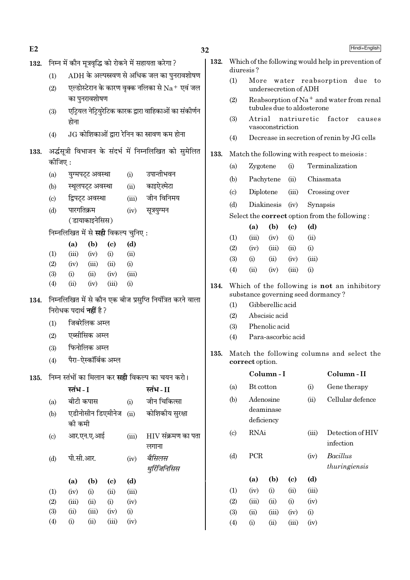| E2   |                           |                                                                        |                      |                |          |                                                            |  |  |
|------|---------------------------|------------------------------------------------------------------------|----------------------|----------------|----------|------------------------------------------------------------|--|--|
| 132. |                           |                                                                        |                      |                |          | निम्न में कौन मूत्रवृद्धि को रोकने में सहायता करेगा ?      |  |  |
|      | (1)                       | $ADH$ के अल्पस्रवण से अधिक जल का पुनरावशोषण                            |                      |                |          |                                                            |  |  |
|      | (2)                       | एल्डोस्टेरान के कारण वृक्क नलिका से $\rm Na^+$ एवं जल<br>का पुनरावशोषण |                      |                |          |                                                            |  |  |
|      | (3)                       | एट्रियल नेट्रियुरेटिक कारक द्वारा वाहिकाओं का संकीर्णन<br>होना         |                      |                |          |                                                            |  |  |
|      | (4)                       |                                                                        |                      |                |          | $JG$ कोशिकाओं द्वारा रेनिन का स्नावण कम होना               |  |  |
| 133. | कीजिए :                   |                                                                        |                      |                |          | अर्द्धसूत्री विभाजन के संदर्भ में निम्नलिखित को सुमेलित    |  |  |
|      | (a)                       |                                                                        | युग्मपट्ट अवस्था     |                | (i)      | उपान्तीभवन                                                 |  |  |
|      |                           | (b) स्थूलपट्ट अवस्था                                                   |                      |                | (ii)     | काइऐज़्मेटा                                                |  |  |
|      | (c)                       | द्विपट्ट अवस्था                                                        |                      |                |          | (iii) जीन विनिमय                                           |  |  |
|      | (d)                       | पारगतिक्रम                                                             |                      |                | (iv)     | सूत्रयुग्मन                                                |  |  |
|      |                           |                                                                        | (डायाकाइनेसिस)       |                |          |                                                            |  |  |
|      |                           | निम्नलिखित में से <b>सही</b> विकल्प चुनिए:                             |                      |                |          |                                                            |  |  |
|      |                           | (a)                                                                    | $(b)$ (c)            |                | (d)      |                                                            |  |  |
|      | (1)                       | (iii)                                                                  | (iv)                 | (i)            | (ii)     |                                                            |  |  |
|      | (2)                       | (iv)                                                                   | (iii)                | (ii)           | $\rm(i)$ |                                                            |  |  |
|      | (3)                       | (i)                                                                    | (ii)                 | $(iv)$ $(iii)$ |          |                                                            |  |  |
|      | (4)                       | (ii)                                                                   | (iv)                 | (iii)          | (i)      |                                                            |  |  |
| 134. |                           |                                                                        |                      |                |          | निम्नलिखित में से कौन एक बीज प्रसुप्ति नियंत्रित करने वाला |  |  |
|      |                           | निरोधक पदार्थ <b>नहीं</b> है ?                                         |                      |                |          |                                                            |  |  |
|      | (1)                       |                                                                        | जिबरेलिक अम्ल        |                |          |                                                            |  |  |
|      | (2)                       |                                                                        | एब्सीसिक अम्ल        |                |          |                                                            |  |  |
|      | (3)                       |                                                                        | फिनोलिक अम्ल         |                |          |                                                            |  |  |
|      | (4)                       |                                                                        | पैरा-ऐस्कॉर्बिक अम्ल |                |          |                                                            |  |  |
| 135. |                           |                                                                        |                      |                |          | निम्न स्तंभों का मिलान कर <b>सही</b> विकल्प का चयन करो।    |  |  |
|      |                           | स्तंभ - I                                                              |                      |                |          | स्तंभ - II                                                 |  |  |
|      | (a)                       | बीटी कपास                                                              |                      |                | (i)      | जीन चिकित्सा                                               |  |  |
|      | (b)                       | की कमी                                                                 | एडीनोसीन डिएमीनेज    |                | (ii)     | कोशिकीय सुरक्षा                                            |  |  |
|      | $\left( \text{c} \right)$ |                                                                        | आर.एन.ए.आई           |                | (iii)    | $\rm HIV$ संक्रमण का पता<br>लगाना                          |  |  |
|      | (d)                       | पी.सी.आर.                                                              |                      |                | (iv)     | बैसिलस<br>थुरिंजिनिसिस                                     |  |  |
|      |                           | (a)                                                                    | (b)                  | (c)            | (d)      |                                                            |  |  |
|      | (1)                       | (iv)                                                                   | $\rm(i)$             | (ii)           | (iii)    |                                                            |  |  |
|      | (2)                       | (iii)                                                                  | (ii)                 | (i)            | (iv)     |                                                            |  |  |
|      | (3)                       | (ii)                                                                   | (iii)                | (iv)           | (i)      |                                                            |  |  |
|      | (4)                       | (i)                                                                    | (ii)                 | (iii)          | (iv)     |                                                            |  |  |

132. Which of the following would help in prevention of diuresis?

 $32$ 

- $(1)$ More water reabsorption due to undersecretion of ADH
- Reabsorption of Na<sup>+</sup> and water from renal  $(2)$ tubules due to aldosterone
- $(3)$ Atrial natriuretic factor causes vasoconstriction
- $(4)$ Decrease in secretion of renin by JG cells
- 133. Match the following with respect to meiosis:
	- Zygotene  $(i)$ Terminalization  $(a)$ Chiasmata  $(b)$ Pachytene  $(ii)$  $\left( \mathrm{c}\right)$ Diplotene  $(iii)$ Crossing over Diakinesis  $(iv)$ Synapsis  $(d)$

Select the **correct** option from the following:

|     | (a)       | (b)    | (c)   | (d)                |
|-----|-----------|--------|-------|--------------------|
| (1) | (iii)     | (iv)   | (i)   | $\sin$             |
| (2) | (iv)      | (iii)  | (ii)  | (i)                |
| (3) | $\rm (i)$ | $\sin$ | (iv)  | (iii)              |
| (4) | (ii)      | (iv)   | (iii) | $\left( 1 \right)$ |

- 134. Which of the following is **not** an inhibitory substance governing seed dormancy?
	- $(1)$ Gibberellic acid
	- $(2)$ Abscisic acid
	- $(3)$ Phenolic acid
	- Para-ascorbic acid  $(4)$
- 135. Match the following columns and select the correct option.

|                             |                    | Column - I                           |                             |       | Column - II                   |
|-----------------------------|--------------------|--------------------------------------|-----------------------------|-------|-------------------------------|
| (a)                         | <b>Bt</b> cotton   |                                      |                             | (i)   | Gene therapy                  |
| (b)                         |                    | Adenosine<br>deaminase<br>deficiency |                             | (ii)  | Cellular defence              |
| $\left( \mathrm{c} \right)$ |                    | RNAi                                 |                             |       | Detection of HIV<br>infection |
| (d)                         | PCR                |                                      |                             | (iv)  | Bacillus<br>thuringiensis     |
|                             | (a)                | (b)                                  | $\left( \mathrm{c} \right)$ | (d)   |                               |
| (1)                         | (iv)               | (i)                                  | (ii)                        | (iii) |                               |
| (2)                         | (iii)              | (ii)                                 | (i)                         | (iv)  |                               |
| (3)                         | (ii)               | (iii)                                | (iv)                        | (i)   |                               |
| (4)                         | $\rm \textbf{(i)}$ | (ii)                                 | (iii)                       | (iv)  |                               |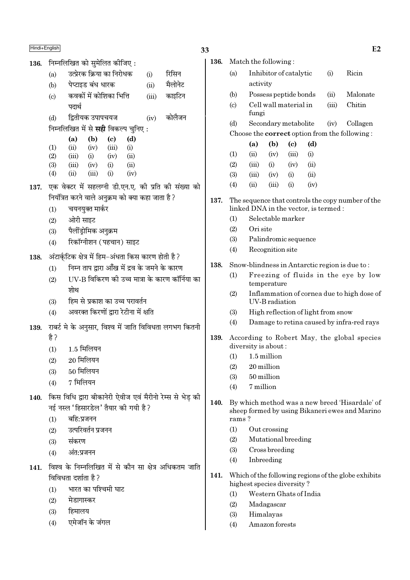136. निम्नलिखित को सुमेलित कीजिए:

| (a) | उत्प्रेरक क्रिया का निरोधक |  | रिसिन |
|-----|----------------------------|--|-------|
|     |                            |  |       |

- पेप्टाइड बंध धारक  $(b)$  $(ii)$ मैलोनेट कवकों में कोशिका भित्ति  $\left( \mathrm{c}\right)$  $(iii)$ काइटिन पदार्थ
- द्वितीयक उपापचयज कोलैजन  $(d)$  $(iv)$
- निम्नलिखित में से **सही** विकल्प चनिए :

|     | (a)   | (b)   | (c)      | (d)      |
|-----|-------|-------|----------|----------|
| (1) | (ii)  | (iv)  | (iii)    | $\rm(i)$ |
| (2) | (iii) | (i)   | (iv)     | (ii)     |
| (3) | (iii) | (iv)  | (i)      | (ii)     |
| (4) | (ii)  | (iii) | $\rm(i)$ | (iv)     |

- 137. एक वेक्टर में सहलग्नी डी.एन.ए. की प्रति की संख्या को नियंत्रित करने वाले अनक्रम को क्या कहा जाता है ?
	- चयनयुक्त मार्कर  $(1)$
	- $(2)$ ओरी साइट
	- पैलींडोमिक अनुक्रम  $(3)$
	- रिकॉग्नीशन (पहचान) साइट  $(4)$
- अंटार्कटिक क्षेत्र में हिम-अंधता किस कारण होती है ? 138.
	- निम्न ताप द्वारा आँख में द्रव के जमने के कारण  $(1)$
	- UV-B विकिरण की उच्च मात्रा के कारण कॉर्निया का  $(2)$ शोथ
	- हिम से प्रकाश का उच्च परावर्तन  $(3)$
	- अवरक्त किरणों द्वारा रेटीना में क्षति  $(4)$
- 139. राबर्ट मे के अनुसार, विश्व में जाति विविधता लगभग कितनी है?
	- 1.5 मिलियन  $(1)$
	- $20$  मिलियन  $(2)$
	- 50 मिलियन  $(3)$
	- 7 मिलियन  $(4)$
- 140. किस विधि द्वारा बीकानेरी ऐवीज एवं मैरीनो रेम्स से भेड की नई नस्ल 'हिसारडेल' तैयार की गयी है?
	- बहि:प्रजनन  $(1)$
	- उत्परिवर्तन प्रजनन  $(2)$
	- संकरण  $(3)$
	- अंत:प्रजनन  $(4)$
- 141. विश्व के निम्नलिखित में से कौन सा क्षेत्र अधिकतम जाति विविधता दर्शाता है?
	- भारत का पश्चिमी घाट  $(1)$
	- मेडागास्कर  $(2)$
	- हिमालय  $(3)$
	- एमेजॉन के जंगल  $(4)$

| ۰. |
|----|

|      |                            |                                                                                           |                  |                            |                                    |          | E2                                            |
|------|----------------------------|-------------------------------------------------------------------------------------------|------------------|----------------------------|------------------------------------|----------|-----------------------------------------------|
| 136. |                            | Match the following:                                                                      |                  |                            |                                    |          |                                               |
|      | (a)                        |                                                                                           |                  | Inhibitor of catalytic     | (i)                                | Ricin    |                                               |
|      |                            | activity                                                                                  |                  |                            |                                    |          |                                               |
|      | (b)                        |                                                                                           |                  | Possess peptide bonds      | (ii)                               | Malonate |                                               |
|      | $\left( \mathrm{c}\right)$ | fungi                                                                                     |                  | Cell wall material in      | (iii)                              | Chitin   |                                               |
|      | (d)                        |                                                                                           |                  | Secondary metabolite       | (iv)                               | Collagen |                                               |
|      |                            |                                                                                           |                  |                            |                                    |          | Choose the correct option from the following: |
|      |                            | (a)                                                                                       | (b)              | $\left( \mathrm{c}\right)$ | (d)                                |          |                                               |
|      | (1)                        | (ii)                                                                                      | (iv)             | (iii)                      | (i)                                |          |                                               |
|      | (2)                        | (iii)                                                                                     | (i)              | (iv)                       | (ii)                               |          |                                               |
|      | (3)                        | (iii)                                                                                     | (iv)             | (i)                        | (ii)                               |          |                                               |
|      | (4)                        | (ii)                                                                                      | (iii)            | (i)                        | (iv)                               |          |                                               |
| 137. |                            | The sequence that controls the copy number of the<br>linked DNA in the vector, is termed: |                  |                            |                                    |          |                                               |
|      | (1)                        |                                                                                           |                  | Selectable marker          |                                    |          |                                               |
|      | (2)                        | Ori site                                                                                  |                  |                            |                                    |          |                                               |
|      | (3)                        |                                                                                           |                  | Palindromic sequence       |                                    |          |                                               |
|      | (4)                        |                                                                                           | Recognition site |                            |                                    |          |                                               |
| 138. |                            |                                                                                           |                  |                            |                                    |          | Snow-blindness in Antarctic region is due to: |
|      | (1)                        |                                                                                           | temperature      |                            |                                    |          | Freezing of fluids in the eye by low          |
|      | (2)                        |                                                                                           | UV-B radiation   |                            |                                    |          | Inflammation of cornea due to high dose of    |
|      | (3)                        |                                                                                           |                  |                            | High reflection of light from snow |          |                                               |
|      | (4)                        |                                                                                           |                  |                            |                                    |          | Damage to retina caused by infra-red rays     |
| 139. |                            | diversity is about:                                                                       |                  |                            |                                    |          | According to Robert May, the global species   |
|      | (1)                        |                                                                                           | 1.5 million      |                            |                                    |          |                                               |
|      | (2)                        |                                                                                           | 20 million       |                            |                                    |          |                                               |
|      | (3)                        |                                                                                           | 50 million       |                            |                                    |          |                                               |
|      |                            |                                                                                           |                  |                            |                                    |          |                                               |

- $(4)$ 7 million
- 140. By which method was a new breed 'Hisardale' of sheep formed by using Bikaneri ewes and Marino rams?
	- $(1)$ Out crossing
	- $(2)$ Mutational breeding
	- $(3)$ Cross breeding
	- Inbreeding  $(4)$
- 141. Which of the following regions of the globe exhibits highest species diversity?
	- Western Ghats of India  $(1)$
	- $(2)$ Madagascar
	- $(3)$ Himalayas
	- $(4)$ Amazon forests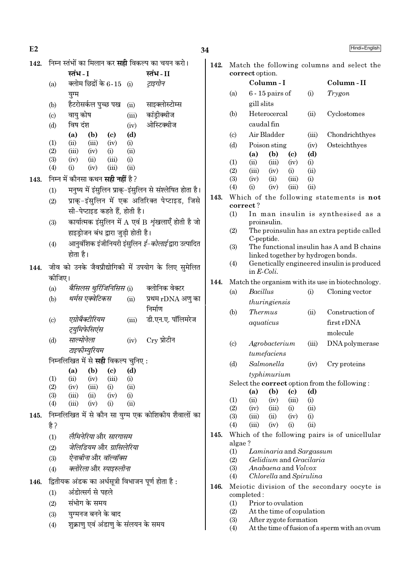+English

| E2   |            |                                                         |             |                                                           | 34   |                            |                      |                           |                            |             | Hindi+English                                                                    |
|------|------------|---------------------------------------------------------|-------------|-----------------------------------------------------------|------|----------------------------|----------------------|---------------------------|----------------------------|-------------|----------------------------------------------------------------------------------|
| 142. |            | निम्न स्तंभों का मिलान कर <b>सही</b> विकल्प का चयन करो। |             |                                                           | 142. |                            |                      |                           |                            |             | Match the following columns and select the                                       |
|      |            | स्तंभ - I                                               |             | स्तंभ-II                                                  |      |                            | correct option.      |                           |                            |             |                                                                                  |
|      | (a)        | क्लोम छिद्रों के 6-15 (i)                               |             | ट्राइगोन                                                  |      |                            |                      | Column-I                  |                            |             | Column-II                                                                        |
|      |            | युग्म                                                   |             |                                                           |      | (a)                        |                      | $6 - 15$ pairs of         |                            | (i)         | Trygon                                                                           |
|      | (b)        | हैटरोसर्कल पुच्छ पख                                     | (ii)        | साइक्लोस्टोम्स                                            |      |                            | gill slits           |                           |                            |             |                                                                                  |
|      | (c)        | वायु कोष                                                | (iii)       | कांड्रीक्थीज                                              |      | (b)                        |                      | Heterocercal              |                            | (ii)        | Cyclostomes                                                                      |
|      | (d)        | विष दंश                                                 | (iv)        | ओस्टिक्थीज                                                |      |                            |                      | caudal fin                |                            |             |                                                                                  |
|      |            | (a)<br>(b)<br>$\left( \mathbf{c} \right)$               | (d)         |                                                           |      | (c)                        |                      | Air Bladder               |                            | (iii)       | Chondrichthyes                                                                   |
|      | (1)        | (iii)<br>(iv)<br>(ii)                                   | (i)         |                                                           |      | (d)                        |                      | Poison sting              |                            | (iv)        | Osteichthyes                                                                     |
|      | (2)<br>(3) | (iii)<br>(iv)<br>(i)<br>(iv)<br>(iii)<br>(ii)           | (ii)<br>(i) |                                                           |      |                            | (a)                  | (b)                       | $\left( \mathrm{c}\right)$ | (d)         |                                                                                  |
|      | (4)        | (iv)<br>(iii)<br>(i)                                    | (ii)        |                                                           |      | (1)                        | (ii)                 | (iii)                     | (iv)                       | (i)         |                                                                                  |
| 143. |            | निम्न में कौनसा कथन <b>सही नहीं</b> है ?                |             |                                                           |      | (2)<br>(3)                 | (iii)<br>(iv)        | (iv)<br>(ii)              | (i)<br>(iii)               | (ii)<br>(i) |                                                                                  |
|      | (1)        |                                                         |             | मनुष्य में इंसुलिन प्राक्-इंसुलिन से संश्लेषित होता है।   |      | (4)                        | (i)                  | (iv)                      | (iii)                      | (ii)        |                                                                                  |
|      | (2)        |                                                         |             | प्राक्-इंसुलिन में एक अतिरिक्त पेप्टाइड, जिसे             | 143. |                            |                      |                           |                            |             | Which of the following statements is not                                         |
|      |            | सी-पेप्टाइड कहते हैं, होती है।                          |             |                                                           |      |                            | correct?             |                           |                            |             |                                                                                  |
|      |            |                                                         |             | कार्यात्मक इंसुलिन में A एवं B शृंखलाएँ होती है जो        |      | (1)                        |                      | proinsulin.               |                            |             | In man insulin is synthesised as a                                               |
|      | (3)        | हाइड्रोजन बंध द्वारा जुड़ी होती है।                     |             |                                                           |      | (2)                        |                      |                           |                            |             | The proinsulin has an extra peptide called                                       |
|      |            |                                                         |             |                                                           |      |                            |                      | C-peptide.                |                            |             |                                                                                  |
|      | (4)        |                                                         |             | आनुवंशिक इंजीनियरी इंसुलिन <i>ई-कोलाई</i> द्वारा उत्पादित |      | (3)                        |                      |                           |                            |             | The functional insulin has A and B chains                                        |
|      |            | होता है।                                                |             |                                                           |      | (4)                        |                      |                           |                            |             | linked together by hydrogen bonds.<br>Genetically engineered insulin is produced |
| 144. |            |                                                         |             | जीव को उनके जैवप्रौद्योगिकी में उपयोग के लिए सुमेलित      |      |                            | in $E\text{-}Coli$ . |                           |                            |             |                                                                                  |
|      | कीजिए।     |                                                         |             |                                                           | 144. |                            |                      |                           |                            |             | Match the organism with its use in biotechnology.                                |
|      | (a)        | बैसिलस थुरिंजिनिसिस (i)                                 |             | क्लोनिक वेक्टर                                            |      | (a)                        | <b>Bacillus</b>      |                           |                            | (i)         | Cloning vector                                                                   |
|      | (b)        | थर्मस एक्वेटिकस                                         | (ii)        | प्रथम rDNA अणु का                                         |      |                            |                      | thuringiensis             |                            |             |                                                                                  |
|      |            |                                                         |             | निर्माण                                                   |      | (b)                        | <b>Thermus</b>       |                           |                            | (ii)        | Construction of                                                                  |
|      | (c)        | एग्रोबैक्टीरियम                                         | (iii)       | डी.एन.ए. पॉलिमरेज                                         |      |                            | aquaticus            |                           |                            |             | first rDNA                                                                       |
|      |            | ट्युमिफेसिएंस                                           |             |                                                           |      |                            |                      |                           |                            |             | molecule                                                                         |
|      | (d)        | साल्मोनेला                                              | (iv)        | $Cry$ प्रोटीन                                             |      | $\left( \mathrm{c}\right)$ |                      | Agrobacterium             |                            | (iii)       | DNA polymerase                                                                   |
|      |            | टाइफीम्युरियम                                           |             |                                                           |      |                            |                      | tumefaciens               |                            |             |                                                                                  |
|      |            | निम्नलिखित में से <b>सही</b> विकल्प चुनिए :             |             |                                                           |      | (d)                        |                      | Salmonella                |                            | (iv)        | Cry proteins                                                                     |
|      |            | (a)<br>(b)<br>$\left( \mathbf{c} \right)$<br>(ii)       | (d)         |                                                           |      |                            |                      | typhimurium               |                            |             |                                                                                  |
|      | (1)<br>(2) | (iv)<br>(iii)<br>(iv)<br>(iii)<br>(i)                   | (i)<br>(ii) |                                                           |      |                            |                      |                           |                            |             | Select the correct option from the following:                                    |
|      | (3)        | (iv)<br>(iii)<br>(ii)                                   | (i)         |                                                           |      |                            | (a)                  | (b)                       | $\left( \mathrm{c}\right)$ | (d)         |                                                                                  |
|      | (4)        | (iii)<br>(iv)<br>(i)                                    | (ii)        |                                                           |      | (1)<br>(2)                 | (ii)<br>(iv)         | (iv)<br>(iii)             | (iii)<br>(i)               | (i)<br>(ii) |                                                                                  |
| 145. |            |                                                         |             | निम्नलिखित में से कौन सा युग्म एक कोशिकीय शैवालों का      |      | (3)                        | (iii)                | (ii)                      | (iv)                       | (i)         |                                                                                  |
|      | है ?       |                                                         |             |                                                           |      | (4)                        | (iii)                | (iv)                      | (i)                        | (ii)        |                                                                                  |
|      | (1)        | लैमिनेरिया और सारगासम                                   |             |                                                           | 145. |                            |                      |                           |                            |             | Which of the following pairs is of unicellular                                   |
|      | (2)        | जेलिडियम और ग्रासिलेरिया                                |             |                                                           |      | algae?<br>(1)              |                      | Laminaria and Sargassum   |                            |             |                                                                                  |
|      | (3)        | ऐनाबीनाओर वॉल्वॉक्स                                     |             |                                                           |      | (2)                        |                      | Gelidium and Gracilaria   |                            |             |                                                                                  |
|      | (4)        | क्लोरेला और स्पाइरुलीना                                 |             |                                                           |      | (3)                        |                      | Anabaena and Volvox       |                            |             |                                                                                  |
| 146. |            | द्वितीयक अंडक का अर्धसूत्री विभाजन पूर्ण होता है :      |             |                                                           |      | (4)                        |                      | Chlorella and Spirulina   |                            |             |                                                                                  |
|      | (1)        | अंडोत्सर्ग से पहले                                      |             |                                                           | 146. |                            |                      |                           |                            |             | Meiotic division of the secondary oocyte is                                      |
|      | (2)        | संभोग के समय                                            |             |                                                           |      | (1)                        | completed:           | Prior to ovulation        |                            |             |                                                                                  |
|      | (3)        | युग्मनज बनने के बाद                                     |             |                                                           |      | (2)                        |                      | At the time of copulation |                            |             |                                                                                  |
|      |            | शुक्राणु एवं अंडाणु के संलयन के समय                     |             |                                                           |      | (3)                        |                      | After zygote formation    |                            |             |                                                                                  |
|      | (4)        |                                                         |             |                                                           |      | (4)                        |                      |                           |                            |             | At the time of fusion of a sperm with an ovum                                    |

At the time of fusion of a sperm with an ovum  $(4)$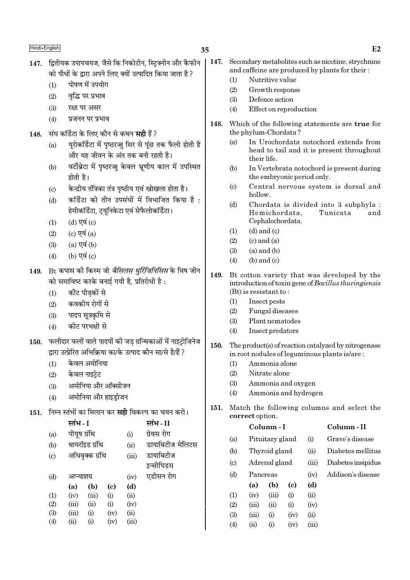- 147. द्वितीयक उपापचयज, जैसे कि निकोटीन, स्टिक्नीन और कैफीन को पौधों के द्वारा अपने लिए क्यों उत्पादित किया जाता है ?
	- पोषण में उपयोग  $(1)$
	- वृद्धि पर प्रभाव  $(2)$
	- $(3)$ रक्षा पर असर
	- $(4)$ प्रजनन पर प्रभाव
- संघ कॉर्डेटा के लिए कौन से कथन **सही** हैं ? 148.
	- यूरोकॉर्डेटा में पृष्ठरज्जू सिर से पूंछ तक फैली होती है  $(a)$ और यह जीवन के अंत तक बनी रहती है।
	- वर्टीब्रेटा में पष्ठरज्ज केवल भ्रणीय काल में उपस्थित  $(b)$ होती है।
	- केन्द्रीय तंत्रिका तंत्र पृष्ठीय एवं खोखला होता है।  $(c)$
	- कॉर्डेटा को तीन उपसंघों में विभाजित किया है:  $(d)$ हेमीकॉर्डेटा, ट्यूनिकेटा एवं सेफैलोकॉर्डेटा।
	- (d) एवं (c)  $(1)$
	- (c) एवं  $(a)$  $(2)$
	- $(a)$  एवं  $(b)$  $(3)$
	- (b) एवं (c)  $(4)$
- Bt कपास की किस्म जो *बैसिलस थुर्रिजिनिसिस* के विष जीन 149. को समाविष्ट करके बनाई गयी है, प्रतिरोधी है :
	- कीट पीडकों से  $(1)$
	- कवकीय रोगों से  $(2)$
	- $(3)$ पादप सूत्रकृमि से
	- कीट परभक्षी से  $(4)$
- फलीदार फलों वाले पादपों की जड ग्रन्थिकाओं में नाइटोजिनेज  $150.$ दारा उत्पेरित अभिकिया का/के उत्पाद कौन सा/से है/हैं ?
	- केवल अमोनिया  $(1)$
	- केवल नाइटेट  $(2)$
	- अमोनिया और ऑक्सीजन  $(3)$
	- अमोनिया और हाइडोजन  $(4)$
- 151. निम्न स्तंभों का मिलान कर **सद्दी** विकल्प का चयन करो।

|     | स्तंभ - I    |                 |      |       | स्तंभ - II       |
|-----|--------------|-----------------|------|-------|------------------|
| (a) | पीयूष ग्रंथि |                 |      | (i)   | ग्रेवस रोग       |
| (b) |              | थायरॉइड ग्रंथि  |      | (ii)  | डायाबिटीज मेलिटस |
| (c) |              | अधिवृक्क ग्रंथि |      |       | डायाबिटीज        |
|     |              |                 |      |       | इन्सीपिडस        |
| (d) | अग्न्याशय    |                 |      | (iv)  | एडीसन रोग        |
|     | (a)          | (b)             | (c)  | (d)   |                  |
| (1) | (iv)         | (iii)           | (i)  | (ii)  |                  |
| (2) | (iii)        | (ii)            | (i)  | (iv)  |                  |
| (3) | (iii)        | (i)             | (iv) | (ii)  |                  |
| (4) | (ii)         | $\rm(i)$        | (iv) | (iii) |                  |
|     |              |                 |      |       |                  |

- 147. Secondary metabolites such as nicotine, strychnine and caffeine are produced by plants for their:
	- $(1)$ Nutritive value
	- $(2)$ Growth response
	- $(3)$ Defence action
	- $(4)$ Effect on reproduction
- 148. Which of the following statements are true for the phylum-Chordata?
	- In Urochordata notochord extends from  $(a)$ head to tail and it is present throughout their life.
	- $(b)$ In Vertebrata notochord is present during the embryonic period only.
	- Central nervous system is dorsal and  $(c)$ hollow.
	- $(d)$ Chordata is divided into 3 subphyla : Tunicata Hemichordata, and Cephalochordata.
	- $(d)$  and  $(c)$  $(1)$
	- $(2)$  $(c)$  and  $(a)$
	- $(3)$  $(a)$  and  $(b)$
	- $(4)$  $(b)$  and  $(c)$
- 149. Bt cotton variety that was developed by the introduction of toxin gene of Bacillus thuringiensis  $(Bt)$  is resistant to:
	- $(1)$ Insect pests
	- $(2)$ Fungal diseases
	- $(3)$ Plant nematodes
	- Insect predators  $(4)$
- 150. The product(s) of reaction catalyzed by nitrogenase in root nodules of leguminous plants is/are:
	- $(1)$ Ammonia alone
	- $(2)$ Nitrate alone
	- $(3)$ Ammonia and oxygen
	- Ammonia and hydrogen  $(4)$
- 151. Match the following columns and select the correct option.

|                            |               | Column - I      |      |       | Column-II          |
|----------------------------|---------------|-----------------|------|-------|--------------------|
| (a)                        |               | Pituitary gland |      | (i)   | Grave's disease    |
| (b)                        | Thyroid gland |                 |      | (ii)  | Diabetes mellitus  |
| $\left( \mathrm{c}\right)$ | Adrenal gland |                 |      | (iii) | Diabetes insipidus |
| (d)                        | Pancreas      |                 |      | (iv)  | Addison's disease  |
|                            | (a)           | (b)             | (c)  | (d)   |                    |
| (1)                        | (iv)          | (iii)           | (i)  | (ii)  |                    |
| (2)                        | (iii)         | (ii)            | (i)  | (iv)  |                    |
| (3)                        | (iii)         | (i)             | (iv) | (ii)  |                    |
| $\left( 4\right)$          | $\rm (ii)$    | $\rm(i)$        | (iv) | (iii) |                    |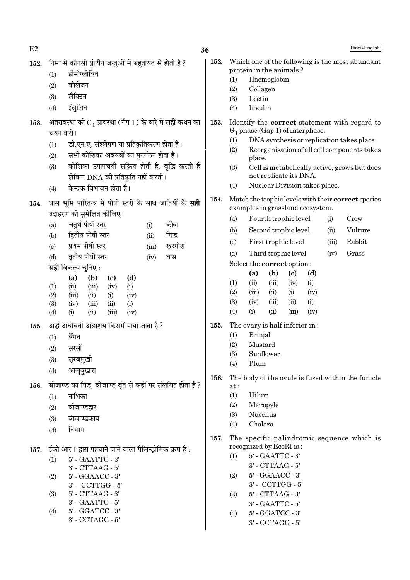| E2   |                                                                                                                                                                                                                                                                                                                                                                                                                                                                                                               | 36           | Hindi+English                                                                                                                                                                                                                                                                                                                                                                                                                                                                                                                                                 |
|------|---------------------------------------------------------------------------------------------------------------------------------------------------------------------------------------------------------------------------------------------------------------------------------------------------------------------------------------------------------------------------------------------------------------------------------------------------------------------------------------------------------------|--------------|---------------------------------------------------------------------------------------------------------------------------------------------------------------------------------------------------------------------------------------------------------------------------------------------------------------------------------------------------------------------------------------------------------------------------------------------------------------------------------------------------------------------------------------------------------------|
| 152. | निम्न में कौनसी प्रोटीन जन्तुओं में बहुतायत से होती है ?<br>हीमोग्लोबिन<br>(1)<br>कोलेजन<br>(2)<br>लैक्टिन<br>(3)<br>इंसुलिन<br>(4)                                                                                                                                                                                                                                                                                                                                                                           | 152.         | Which one of the following is the most abundant<br>protein in the animals?<br>Haemoglobin<br>(1)<br>(2)<br>Collagen<br>Lectin<br>(3)<br>(4)<br>Insulin                                                                                                                                                                                                                                                                                                                                                                                                        |
| 153. | अंतरावस्था को $\mathrm{G}_1$ प्रावस्था (गैप 1) के बारे में <b>सही</b> कथन का<br>चयन करो।<br>डी.एन.ए. संश्लेषण या प्रतिकृतिकरण होता है।<br>(1)<br>सभी कोशिका अवयवों का पुनर्गठन होता है।<br>(2)<br>कोशिका उपापचयी सक्रिय होती है, वृद्धि करती है<br>(3)<br>लेकिन DNA की प्रतिकृति नहीं करती।<br>केन्द्रक विभाजन होता है।<br>(4)                                                                                                                                                                                | 153.         | Identify the <b>correct</b> statement with regard to<br>$G_1$ phase (Gap 1) of interphase.<br>DNA synthesis or replication takes place.<br>(1)<br>Reorganisation of all cell components takes<br>(2)<br>place.<br>(3)<br>Cell is metabolically active, grows but does<br>not replicate its DNA.<br>Nuclear Division takes place.<br>(4)                                                                                                                                                                                                                       |
| 154. | घास भूमि पारितन्त्र में पोषी स्तरों के साथ जातियों के सही<br>उदाहरण को सुमेलित कीजिए।<br>चतुर्थ पोषी स्तर<br>कौवा<br>(a)<br>(i)<br>द्वितीय पोषी स्तर<br>गिद्ध<br>(b)<br>(ii)<br>प्रथम पोषी स्तर<br>खरगोश<br>(c)<br>(iii)<br>तृतीय पोषी स्तर<br>घास<br>(d)<br>(iv)<br><b>सही</b> विकल्प चुनिए:<br>(d)<br>(b)<br>(a)<br>$\left( \mathbf{c} \right)$<br>(1)<br>(ii)<br>(iii)<br>(iv)<br>(i)<br>(2)<br>(iii)<br>(ii)<br>(iv)<br>(i)<br>(3)<br>(iii)<br>(ii)<br>(i)<br>(iv)<br>(4)<br>(iii)<br>(iv)<br>(i)<br>(ii) | 154.         | Match the trophic levels with their correct species<br>examples in grassland ecosystem.<br>Fourth trophic level<br>(i)<br>Crow<br>(a)<br>Second trophic level<br>Vulture<br>(ii)<br>(b)<br>First trophic level<br>Rabbit<br>(iii)<br>$\left( \mathrm{c} \right)$<br>Third trophic level<br>Grass<br>(d)<br>(iv)<br>Select the correct option:<br>(a)<br>(b)<br>(d)<br>$\left( \mathrm{c} \right)$<br>(1)<br>(ii)<br>(iii)<br>(i)<br>(iv)<br>(2)<br>(iii)<br>(i)<br>(iv)<br>(ii)<br>(3)<br>(iii)<br>(ii)<br>(i)<br>(iv)<br>(4)<br>(i)<br>(ii)<br>(iii)<br>(iv) |
| 155. | अर्द्ध अधोवर्ती अंडाशय किसमें पाया जाता है ?<br>बैंगन<br>(1)<br>सरसों<br>(2)<br>सूरजमुखी<br>(3)<br>(4)<br>आलूबुखारा                                                                                                                                                                                                                                                                                                                                                                                           | 155.<br>156. | The ovary is half inferior in:<br>Brinjal<br>(1)<br>Mustard<br>(2)<br>(3)<br>Sunflower<br>Plum<br>(4)<br>The body of the ovule is fused within the funicle                                                                                                                                                                                                                                                                                                                                                                                                    |
| 156. | बीजाण्ड का पिंड, बीजाण्ड वृंत से कहाँ पर संलयित होता है?<br>नाभिका<br>(1)<br>बीजाण्डद्वार<br>(2)<br>बीजाण्डकाय<br>(3)<br>निभाग<br>(4)                                                                                                                                                                                                                                                                                                                                                                         | 157.         | at:<br>(1)<br>Hilum<br>(2)<br>Micropyle<br>Nucellus<br>(3)<br>Chalaza<br>(4)<br>The specific palindromic sequence which is                                                                                                                                                                                                                                                                                                                                                                                                                                    |
| 157. | ईको आर I द्वारा पहचाने जाने वाला पैलिन्ड्रोमिक क्रम है :<br>5' - GAATTC - 3'<br>(1)<br>3' - CTTAAG - 5'<br>$5'$ - $GGAACC$ - $3'$<br>(2)<br>3' - CCTTGG - 5'<br>$5'$ - $CTTAAG$ - $3'$<br>(3)<br>3' - GAATTC - 5'<br>5' - GGATCC - 3'<br>(4)<br>$3'$ - $\mathrm{CCTAGG}$ - $5'$                                                                                                                                                                                                                               |              | recognized by EcoRI is:<br>$5'$ - $\text{GAATTC}$ - $3'$<br>(1)<br>$3'$ - CTTAAG - $5'$<br>$5'$ - $GGAACC$ - $3'$<br>(2)<br>$3'$ - $\ensuremath{\mathrm{CCTTGG}}$ - $5'$<br>$5'$ - $CTTAAG$ - $3'$<br>(3)<br>$3'$ - $\text{GAATTC}$ - $5'$<br>5' - GGATCC - 3'<br>(4)<br>3' - CCTAGG - 5'                                                                                                                                                                                                                                                                     |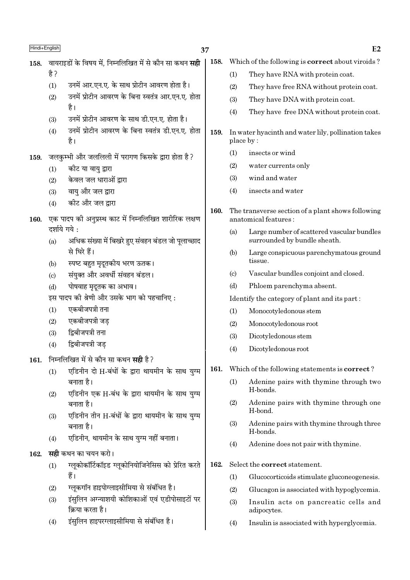| Hindi+English |                            |                                                                                                | 37   |                        | E2                                                                        |
|---------------|----------------------------|------------------------------------------------------------------------------------------------|------|------------------------|---------------------------------------------------------------------------|
| 158.          |                            | वायराइडों के विषय में, निम्नलिखित में से कौन सा कथन <b>सही</b>                                 | 158. |                        | Which of the following is <b>correct</b> about viroids?                   |
|               | है ?                       |                                                                                                |      | (1)                    | They have RNA with protein coat.                                          |
|               | (1)                        | उनमें आर.एन.ए. के साथ प्रोटीन आवरण होता है।                                                    |      | (2)                    | They have free RNA without protein coat.                                  |
|               | (2)                        | उनमें प्रोटीन आवरण के बिना स्वतंत्र आर.एन.ए. होता                                              |      | (3)                    | They have DNA with protein coat.                                          |
|               |                            | है।                                                                                            |      | (4)                    | They have free DNA without protein coat.                                  |
|               | (3)                        | उनमें प्रोटीन आवरण के साथ डी.एन.ए. होता है।                                                    |      |                        |                                                                           |
|               | (4)                        | उनमें प्रोटीन आवरण के बिना स्वतंत्र डी.एन.ए. होता<br>है।                                       | 159. |                        | In water hyacinth and water lily, pollination takes<br>place by:          |
| 159.          |                            | जलकुम्भी और जललिली में परागण किसके द्वारा होता है?                                             |      | (1)                    | insects or wind                                                           |
|               | (1)                        | कीट या वायु द्वारा                                                                             |      | (2)                    | water currents only                                                       |
|               | (2)                        | केवल जल धाराओं द्वारा                                                                          |      | (3)                    | wind and water                                                            |
|               | (3)                        | वायु और जल द्वारा                                                                              |      | (4)                    | insects and water                                                         |
|               | (4)                        | कीट और जल द्वारा                                                                               |      |                        |                                                                           |
| 160.          |                            | एक पादप की अनुप्रस्थ काट में निम्नलिखित शारीरिक लक्षण                                          | 160. |                        | The transverse section of a plant shows following<br>anatomical features: |
|               | दर्शाये गये:               |                                                                                                |      | (a)                    | Large number of scattered vascular bundles                                |
|               | (a)                        | अधिक संख्या में बिखरे हुए संवहन बंडल जो पूलाच्छाद                                              |      |                        | surrounded by bundle sheath.                                              |
|               |                            | से घिरे हैं।                                                                                   |      | (b)                    | Large conspicuous parenchymatous ground                                   |
|               | (b)                        | स्पष्ट बहुत मृदूतकीय भरण ऊतक।                                                                  |      |                        | tissue.                                                                   |
|               | $\left( \mathrm{c}\right)$ | संयुक्त और अवर्धी संवहन बंडल।                                                                  |      | $\left( \circ \right)$ | Vascular bundles conjoint and closed.                                     |
|               | (d)                        | पोषवाह मृदूतक का अभाव।                                                                         |      | (d)                    | Phloem parenchyma absent.                                                 |
|               |                            | इस पादप की श्रेणी और उसके भाग को पहचानिए:<br>एकबीजपत्री तना                                    |      |                        | Identify the category of plant and its part:                              |
|               | (1)<br>(2)                 | एकबीजपत्री जड़                                                                                 |      | (1)                    | Monocotyledonous stem                                                     |
|               | (3)                        | द्विबीजपत्री तना                                                                               |      | (2)                    | Monocotyledonous root                                                     |
|               | (4)                        | द्विबीजपत्री जड़                                                                               |      | (3)                    | Dicotyledonous stem                                                       |
|               |                            |                                                                                                |      | (4)                    | Dicotyledonous root                                                       |
| 161.          |                            | निम्नलिखित में से कौन सा कथन <b>सही</b> है?<br>एडिनीन दो H-बंधों के द्वारा थायमीन के साथ युग्म | 161. |                        | Which of the following statements is <b>correct</b> ?                     |
|               | (1)                        | बनाता है।                                                                                      |      | (1)                    | Adenine pairs with thymine through two                                    |
|               | (2)                        | एडिनीन एक H-बंध के द्वारा थायमीन के साथ युग्म                                                  |      |                        | H-bonds.                                                                  |
|               |                            | बनाता है।                                                                                      |      | (2)                    | Adenine pairs with thymine through one                                    |
|               | (3)                        | एडिनीन तीन H-बंधों के द्वारा थायमीन के साथ युग्म                                               |      |                        | H-bond.                                                                   |
|               |                            | बनाता है।                                                                                      |      | (3)                    | Adenine pairs with thymine through three<br>H-bonds.                      |
|               | (4)                        | एडिनीन, थायमीन के साथ युग्म नहीं बनाता।                                                        |      | (4)                    | Adenine does not pair with thymine.                                       |
| 162.          |                            | <b>सही</b> कथन का चयन करो।                                                                     |      |                        |                                                                           |
|               | (1)                        | ग्लूकोकॉर्टिकॉइड ग्लूकोनियोजिनेसिस को प्रेरित करते                                             | 162. |                        | Select the correct statement.                                             |
|               |                            | हैं।                                                                                           |      | (1)                    | Glucocorticoids stimulate gluconeogenesis.                                |

- $(2)$
- ग्लूकगॉन हाइपोग्लाइसीमिया से संबंधित है।<br>इंसुलिन अग्न्याशयी कोशिकाओं एवं एडीपोसाइटों पर<br>क्रिया करता है।  $(3)$
- .<br>इंसुलिन हाइपरग्लाइसीमिया से संबंधित है।  $(4)$
- $(4)$ Insulin is associated with hyperglycemia.

 $(2)$ 

 $(3)$ 

adipocytes.

Glucagon is associated with hypoglycemia.

Insulin acts on pancreatic cells and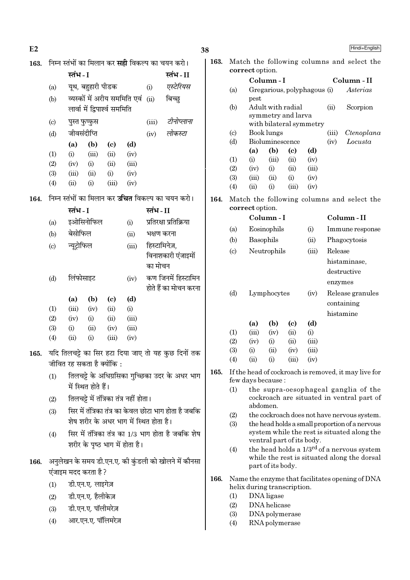| E2   |                           |                                                          |          |                        | 38   |                        |                                     |                                    |                                            |         | Hindi+English                                                                     |
|------|---------------------------|----------------------------------------------------------|----------|------------------------|------|------------------------|-------------------------------------|------------------------------------|--------------------------------------------|---------|-----------------------------------------------------------------------------------|
| 163. |                           | निम्न स्तंभों का मिलान कर <b>सही</b> विकल्प का चयन करो।  | 163.     |                        |      |                        |                                     |                                    | Match the following columns and select the |         |                                                                                   |
|      |                           | स्तंभ - I<br>स्तंभ-II                                    |          |                        |      |                        | correct option.                     |                                    |                                            |         |                                                                                   |
|      | (a)                       | यूथ, बहुहारी पीडक                                        | (i)      | एस्टेरियस              |      |                        | Column-I                            |                                    |                                            |         | Column - II                                                                       |
|      |                           | व्यस्कों में अरीय सममिति एवं                             | (ii)     | बिच्छ्                 |      | (a)                    | Gregarious, polyphagous (i)<br>pest |                                    |                                            |         | Asterias                                                                          |
|      | (b)                       | लार्वा में द्विपार्श्व सममिति                            |          |                        |      | (b)                    | Adult with radial                   |                                    |                                            | (ii)    | Scorpion                                                                          |
|      |                           |                                                          |          |                        |      |                        | symmetry and larva                  |                                    |                                            |         |                                                                                   |
|      | $\left( \text{c} \right)$ | पुस्त फुप्फुस                                            | (iii)    | टीनोप्लाना             |      |                        | with bilateral symmetry             |                                    |                                            |         |                                                                                   |
|      | (d)                       | जीवसंदीप्ति                                              | (iv)     | लोकस्टा                |      | $\left( \circ \right)$ | Book lungs                          |                                    |                                            | (iii)   | Ctenoplana                                                                        |
|      |                           | (a)<br>(b)<br>(d)<br>$\left( \mathbf{c} \right)$         |          |                        |      | (d)                    | Bioluminescence<br>(a)<br>(b)       | $\left( \mathbf{c} \right)$        | (d)                                        | (iv)    | Locusta                                                                           |
|      | (1)                       | (iii)<br>(iv)<br>(i)<br>(ii)                             |          |                        |      | (1)                    | (i)<br>(iii)                        | (ii)                               | (iv)                                       |         |                                                                                   |
|      | (2)                       | (i)<br>(iv)<br>(ii)                                      | (iii)    |                        |      | (2)                    | (iv)<br>(i)                         | (ii)                               | (iii)                                      |         |                                                                                   |
|      | (3)                       | (iii)<br>(ii)<br>(i)                                     | (iv)     |                        |      | (3)                    | (iii)<br>(ii)                       | (i)                                | (iv)                                       |         |                                                                                   |
|      | (4)                       | (ii)<br>(i)<br>(iii)<br>(iv)                             |          |                        |      | (4)                    | (ii)<br>(i)                         | (iii)                              | (iv)                                       |         |                                                                                   |
| 164. |                           | निम्न स्तंभों का मिलान कर <b>उचित</b> विकल्प का चयन करो। |          |                        | 164. |                        |                                     |                                    |                                            |         | Match the following columns and select the                                        |
|      |                           | स्तंभ - I                                                | स्तंभ-II |                        |      |                        | correct option.                     |                                    |                                            |         |                                                                                   |
|      | (a)                       | इओसिनोफिल<br>(i)                                         |          | प्रतिरक्षा प्रतिक्रिया |      |                        | Column-I                            |                                    |                                            |         | Column-II                                                                         |
|      | (b)                       | बेसोफिल<br>(ii)                                          |          | भक्षण करना             |      | (a)                    | Eosinophils                         |                                    | (i)                                        |         | Immune response                                                                   |
|      | (c)                       | न्यूट्रोफिल                                              | (iii)    | हिस्टामिनेज़,          |      | (b)                    | Basophils                           |                                    | (ii)                                       |         | Phagocytosis                                                                      |
|      |                           |                                                          |          | विनाशकारी एंजाइमों     |      | $\left( \circ \right)$ | Neutrophils                         |                                    | (iii)                                      | Release |                                                                                   |
|      |                           |                                                          | का मोचन  |                        |      |                        |                                     |                                    |                                            |         | histaminase,                                                                      |
|      | (d)                       | लिंफोसाइट<br>(iv)                                        |          | कण जिनमें हिस्टामिन    |      |                        |                                     |                                    |                                            |         | destructive                                                                       |
|      |                           |                                                          |          | होते हैं का मोचन करना  |      |                        |                                     |                                    |                                            | enzymes |                                                                                   |
|      |                           | (d)<br>(a)<br>(b)<br>$\left( \mathrm{c}\right)$          |          |                        |      | (d)                    | Lymphocytes                         |                                    | (iv)                                       |         | Release granules                                                                  |
|      | (1)                       | (iii)<br>(iv)<br>(ii)<br>(i)                             |          |                        |      |                        |                                     |                                    |                                            |         | containing                                                                        |
|      | (2)                       | (i)<br>(ii)<br>(iv)                                      | (iii)    |                        |      |                        |                                     |                                    |                                            |         | histamine                                                                         |
|      | (3)                       | (ii)<br>(iii)<br>(i)<br>(iv)                             |          |                        |      | (1)                    | (b)<br>(a)<br>(iii)<br>(iv)         | $\left( \mathrm{c}\right)$<br>(ii) | (d)<br>(i)                                 |         |                                                                                   |
|      | (4)                       | (i)<br>(ii)<br>(iii)<br>(iv)                             |          |                        |      | (2)                    | (iv)<br>(i)                         | (ii)                               | (iii)                                      |         |                                                                                   |
| 165. |                           | यदि तिलचट्टे का सिर हटा दिया जाए तो यह कुछ दिनों तक      |          |                        |      | (3)                    | (i)<br>(ii)                         | (iv)                               | (iii)                                      |         |                                                                                   |
|      |                           | जीवित रह सकता है क्योंकि :                               |          |                        |      | (4)                    | (ii)<br>(i)                         | (iii)                              | (iv)                                       |         |                                                                                   |
|      | (1)                       | तिलचट्टे के अधिग्रसिका गुच्छिका उदर के अधर भाग           |          |                        | 165. |                        |                                     |                                    |                                            |         | If the head of cockroach is removed, it may live for                              |
|      |                           | में स्थित होते हैं।                                      |          |                        |      |                        | few days because:                   |                                    |                                            |         |                                                                                   |
|      |                           |                                                          |          |                        |      | (1)                    |                                     |                                    |                                            |         | the supra-oesophageal ganglia of the<br>cockroach are situated in ventral part of |
|      | (2)                       | तिलचट्टे में तंत्रिका तंत्र नहीं होता।                   |          |                        |      |                        | abdomen.                            |                                    |                                            |         |                                                                                   |
|      | (3)                       | सिर में तंत्रिका तंत्र का केवल छोटा भाग होता है जबकि     |          |                        |      | (2)                    |                                     |                                    |                                            |         | the cockroach does not have nervous system.                                       |
|      |                           | शेष शरीर के अधर भाग में स्थित होता है।                   |          |                        |      | (3)                    |                                     |                                    |                                            |         | the head holds a small proportion of a nervous                                    |
|      | (4)                       | सिर में तंत्रिका तंत्र का 1/3 भाग होता है जबकि शेष       |          |                        |      |                        | ventral part of its body.           |                                    |                                            |         | system while the rest is situated along the                                       |
|      |                           | शरीर के पृष्ठ भाग में होता है।                           |          |                        |      | (4)                    |                                     |                                    |                                            |         | the head holds a $1/3^{rd}$ of a nervous system                                   |
| 166. |                           | अनुलेखन के समय डी.एन.ए. की कुंडली को खोलने में कौनसा     |          |                        |      |                        |                                     |                                    |                                            |         | while the rest is situated along the dorsal                                       |
|      |                           | एंजाइम मदद करता है ?                                     |          |                        |      |                        | part of its body.                   |                                    |                                            |         |                                                                                   |
|      | (1)                       | डी.एन.ए. लाइगेज़                                         |          |                        | 166. |                        |                                     |                                    |                                            |         | Name the enzyme that facilitates opening of DNA                                   |
|      |                           |                                                          |          |                        |      |                        | helix during transcription.         |                                    |                                            |         |                                                                                   |
|      | (2)                       | डी.एन.ए. हैलीकेज़                                        |          |                        |      | (1)<br>(2)             | DNA ligase<br>DNA helicase          |                                    |                                            |         |                                                                                   |
|      | (3)                       | डी.एन.ए. पॉलीमरेज़                                       |          |                        |      | (3)                    | DNA polymerase                      |                                    |                                            |         |                                                                                   |
|      | (4)                       | आर.एन.ए. पॉलिमरेज़                                       |          |                        |      | (4)                    | RNA polymerase                      |                                    |                                            |         |                                                                                   |
|      |                           |                                                          |          |                        |      |                        |                                     |                                    |                                            |         |                                                                                   |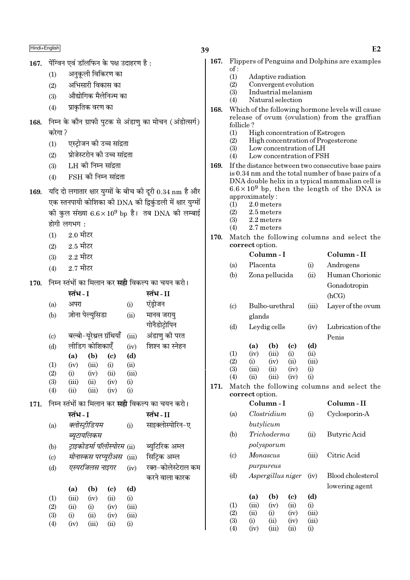- 167. पेंग्विन एवं डॉलफिन के पक्ष उदाहरण है:
	- अनुकूली विकिरण का  $(1)$
	- अभिसारी विकास का  $(2)$
	- औद्योगिक मैलेनिज्म का  $(3)$
	- प्राकृतिक वरण का  $(4)$
- 168. निम्न के कौन ग्राफी पुटक से अंडाणु का मोचन (अंडोत्सर्ग) करेगा?
	- एस्ट्रोजन की उच्च सांद्रता  $(1)$
	- प्रोजेस्टरोन की उच्च सांद्रता  $(2)$
	- $(3)$ LH को निम्न सांद्रता
	- $FSH$  की निम्न सांद्रता  $(4)$
- 169. यदि दो लगातार क्षार युग्मों के बीच की दूरी  $0.34 \text{ nm}$  है और एक स्तनपायी कोशिका की DNA की द्विकंडली में क्षार युग्मों की कुल संख्या  $6.6 \times 10^9$  bp है। तब DNA की लम्बाई होगी लगभग:
	- $2.0$  मीटर  $(1)$
	- $(2)$  $2.5$  मीटर
	- $2.2$  मीटर  $(3)$
	- $2.7$  मीटर  $(4)$

171.

170. निम्न स्तंभों का मिलान कर संद्वी विकल्प का चयन करो।

|                             | स्तंभ - I |                          |                              |       | स्तंभ - II                                              |
|-----------------------------|-----------|--------------------------|------------------------------|-------|---------------------------------------------------------|
| (a)                         | अपरा      |                          |                              | (i)   | एंड्रोजन                                                |
| (b)                         |           | ज़ोना पेल्युसिडा         |                              | (ii)  | मानव जरायु                                              |
|                             |           |                          |                              |       | गोनैडोट्रोपिन                                           |
| $\left( \mathrm{c} \right)$ |           | बल्बो-यूरेथ्रल ग्रंथियाँ |                              | (iii) | अंडाणु की परत                                           |
| (d)                         |           | लीडिग कोशिकाएँ           |                              | (iv)  | शिश्न का स्नेहन                                         |
|                             | (a)       | (b)                      | (c)                          | (d)   |                                                         |
| (1)                         | (iv)      | (iii)                    | (i)                          | (ii)  |                                                         |
| (2)                         | (i)       | (iv)                     | (ii)                         | (iii) |                                                         |
| (3)                         | (iii)     | (ii)                     | (iv)                         | (i)   |                                                         |
| (4)                         | (ii)      | (iii)                    | (iv)                         | (i)   |                                                         |
|                             |           |                          |                              |       | निम्न स्तंभों का मिलान कर <b>सही</b> विकल्प का चयन करो। |
|                             |           |                          |                              |       |                                                         |
|                             | स्तंभ - I |                          |                              |       | स्तंभ - II                                              |
| (a)                         |           | क्लोस्ट्रीडियम           |                              | (i)   | साइक्लोस्पोरिन-ए                                        |
|                             |           | ब्यूटायलिकम              |                              |       |                                                         |
| (b)                         |           |                          | ट्राइकोडर्मा पॉलीस्पोरम (ii) |       | ब्युटिरिक अम्ल                                          |
| $\left( c\right)$           |           |                          | मोनास्कस परप्यूरीअस          | (iii) | सिट्रिक अम्ल                                            |
| (d)                         |           | एस्परजिलस नाइगर          |                              | (iv)  | रक्त-कोलेस्टेराल कम                                     |
|                             |           |                          |                              |       | करने वाला कारक                                          |
|                             | (a)       | (b)                      | (c)                          | (d)   |                                                         |
| (1)                         | (iii)     | (iv)                     | (ii)                         | (i)   |                                                         |
| (2)                         | (ii)      | (i)                      | (iv)                         | (iii) |                                                         |
| (3)                         | (i)       | (ii)                     | (iv)                         | (iii) |                                                         |
| (4)                         | (iv)      | (iii)                    | (ii)                         | (i)   |                                                         |

- Flippers of Penguins and Dolphins are examples 167.  $of:$ 
	- $(1)$ Adaptive radiation
	- $(2)$ Convergent evolution
	- Industrial melanism  $(3)$
	- $(4)$ Natural selection
- 168. Which of the following hormone levels will cause release of ovum (ovulation) from the graffian follicle?
	- $(1)$ High concentration of Estrogen
	- $(2)$ High concentration of Progesterone
	- Low concentration of LH  $(3)$
	- $(4)$ Low concentration of FSH
- 169. If the distance between two consecutive base pairs is 0.34 nm and the total number of base pairs of a DNA double helix in a typical mammalian cell is  $6.6 \times 10^9$  bp, then the length of the DNA is approximately:
	- 2.0 meters  $(1)$
	- $(2)$ 2.5 meters
	- $(3)$ 2.2 meters
	- 2.7 meters  $(4)$

171.

 $(4)$ 

 $(iv)$ 

 $(iii)$ 

(ii)

170. Match the following columns and select the correct option.

|                             |                     | Column-I       |                   |       | Column-II                                  |
|-----------------------------|---------------------|----------------|-------------------|-------|--------------------------------------------|
| (a)                         | Placenta            |                |                   | (i)   | Androgens                                  |
| (b)                         |                     | Zona pellucida |                   | (ii)  | Human Chorionic                            |
|                             |                     |                |                   |       | Gonadotropin                               |
|                             |                     |                |                   |       | (hCG)                                      |
|                             |                     |                |                   |       |                                            |
| $\left( \mathrm{c} \right)$ |                     | Bulbo-urethral |                   | (iii) | Layer of the ovum                          |
|                             | glands              |                |                   |       |                                            |
| (d)                         |                     | Leydig cells   |                   | (iv)  | Lubrication of the                         |
|                             |                     |                |                   |       | Penis                                      |
|                             | (a)                 | (b)            | (c)               | (d)   |                                            |
| (1)                         | (iv)                | (iii)          | (i)               | (ii)  |                                            |
| (2)                         | (i)                 | (iv)           | (ii)              | (iii) |                                            |
| (3)                         | (iii)               | (ii)           | (iv)              | (i)   |                                            |
| (4)                         | (ii)                | (iii)          | (iv)              | (i)   |                                            |
|                             | correct option.     |                |                   |       | Match the following columns and select the |
|                             |                     | Column - I     |                   |       | Column-II                                  |
| (a)                         |                     | Clostridium    |                   | (i)   | Cyclosporin-A                              |
|                             |                     | butylicum      |                   |       |                                            |
| (b)                         |                     | Trichoderma    |                   | (ii)  | Butyric Acid                               |
|                             |                     | polysporum     |                   |       |                                            |
| $\left( \mathrm{c} \right)$ |                     | Monascus       |                   | (iii) | Citric Acid                                |
|                             |                     | purpureus      |                   |       |                                            |
| (d)                         |                     |                | Aspergillus niger | (iv)  | Blood cholesterol                          |
|                             |                     |                |                   |       | lowering agent                             |
|                             | (a)                 | (b)            | (c)               | (d)   |                                            |
| (1)                         | (iii)               | (iv)           | (ii)              | (i)   |                                            |
| (2)                         | (ii)                | (i)            | (iv)              | (iii) |                                            |
| (3)                         | (i)<br>(ii)<br>(iv) |                |                   | (iii) |                                            |

 $(i)$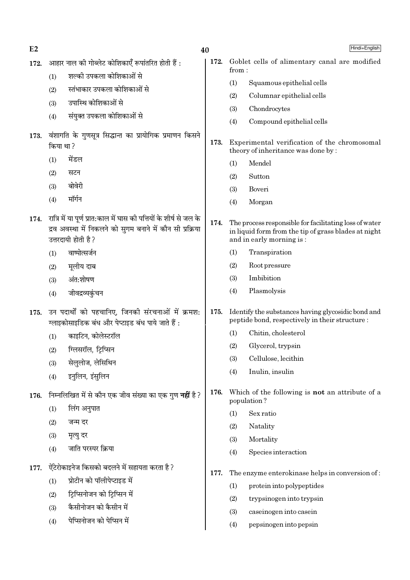| E2   |           | 40                                                                                                                                                      |      |       | Hindi+English                                                                                                                              |
|------|-----------|---------------------------------------------------------------------------------------------------------------------------------------------------------|------|-------|--------------------------------------------------------------------------------------------------------------------------------------------|
| 172. |           | आहार नाल की गोब्लेट कोशिकाएँ रूपांतरित होती हैं :                                                                                                       | 172. | from: | Goblet cells of alimentary canal are modified                                                                                              |
|      | (1)       | शल्की उपकला कोशिकाओं से                                                                                                                                 |      | (1)   | Squamous epithelial cells                                                                                                                  |
|      | (2)       | स्तंभाकार उपकला कोशिकाओं से                                                                                                                             |      | (2)   | Columnar epithelial cells                                                                                                                  |
|      | (3)       | उपास्थि कोशिकाओं से                                                                                                                                     |      | (3)   | Chondrocytes                                                                                                                               |
|      | (4)       | संयुक्त उपकला कोशिकाओं से                                                                                                                               |      | (4)   | Compound epithelial cells                                                                                                                  |
| 173. |           | वंशागति के गुणसूत्र सिद्धान्त का प्रायोगिक प्रमाणन किसने                                                                                                |      |       |                                                                                                                                            |
|      | किया था ? |                                                                                                                                                         | 173. |       | Experimental verification of the chromosomal<br>theory of inheritance was done by:                                                         |
|      | (1)       | मेंडल                                                                                                                                                   |      | (1)   | Mendel                                                                                                                                     |
|      | (2)       | सटन                                                                                                                                                     |      | (2)   | Sutton                                                                                                                                     |
|      | (3)       | बोवेरी                                                                                                                                                  |      | (3)   | Boveri                                                                                                                                     |
|      | (4)       | मॉर्गन                                                                                                                                                  |      | (4)   | Morgan                                                                                                                                     |
| 174. |           | रात्रि में या पूर्ण प्रात:काल में घास की पत्तियों के शीर्ष से जल के<br>द्रव अवस्था में निकलने को सुगम बनाने में कौन सी प्रक्रिया<br>उत्तरदायी होती है ? | 174. |       | The process responsible for facilitating loss of water<br>in liquid form from the tip of grass blades at night<br>and in early morning is: |
|      | (1)       | वाष्पोत्सर्जन                                                                                                                                           |      | (1)   | Transpiration                                                                                                                              |
|      | (2)       | मूलीय दाब                                                                                                                                               |      | (2)   | Root pressure                                                                                                                              |
|      | (3)       | अंत:शोषण                                                                                                                                                |      | (3)   | Imbibition                                                                                                                                 |
|      | (4)       | जीवद्रव्यकुंचन                                                                                                                                          |      | (4)   | Plasmolysis                                                                                                                                |
| 175. |           | उन पदार्थों को पहचानिए, जिनकी संरचनाओं में क्रमश:<br>ग्लाइकोसाइडिक बंध और पेप्टाइड बंध पाये जाते हैं :                                                  | 175. |       | Identify the substances having glycosidic bond and<br>peptide bond, respectively in their structure :                                      |
|      | (1)       | काइटिन, कोलेस्टरॉल                                                                                                                                      |      | (1)   | Chitin, cholesterol                                                                                                                        |
|      | (2)       | ग्लिसरॉल, ट्रिप्सिन                                                                                                                                     |      | (2)   | Glycerol, trypsin                                                                                                                          |
|      | (3)       | सेलुलोज, लेसिथिन                                                                                                                                        |      | (3)   | Cellulose, lecithin                                                                                                                        |
|      | (4)       | इनुलिन, इंसुलिन                                                                                                                                         |      | (4)   | Inulin, insulin                                                                                                                            |
| 176. |           | निम्नलिखित में से कौन एक जीव संख्या का एक गुण <b>नहीं</b> है ?                                                                                          | 176. |       | Which of the following is <b>not</b> an attribute of a<br>population?                                                                      |
|      | (1)       | लिंग अनुपात                                                                                                                                             |      | (1)   | Sex ratio                                                                                                                                  |
|      | (2)       | जन्म दर                                                                                                                                                 |      | (2)   | Natality                                                                                                                                   |
|      | (3)       | मृत्यु दर                                                                                                                                               |      | (3)   | Mortality                                                                                                                                  |
|      | (4)       | जाति परस्पर क्रिया                                                                                                                                      |      | (4)   | Species interaction                                                                                                                        |
| 177. |           | ऐंटेरोकाइनेज किसको बदलने में सहायता करता है ?                                                                                                           | 177. |       | The enzyme enterokinase helps in conversion of:                                                                                            |
|      | (1)       | प्रोटीन को पॉलीपेप्टाइड में                                                                                                                             |      | (1)   | protein into polypeptides                                                                                                                  |
|      | (2)       | ट्रिप्सिनोजन को ट्रिप्सिन में                                                                                                                           |      | (2)   | trypsinogen into trypsin                                                                                                                   |
|      | (3)       | कैसीनोजन को कैसीन में                                                                                                                                   |      | (3)   | caseinogen into casein                                                                                                                     |
|      | (4)       | पेप्सिनोजन को पेप्सिन में                                                                                                                               |      | (4)   | pepsinogen into pepsin                                                                                                                     |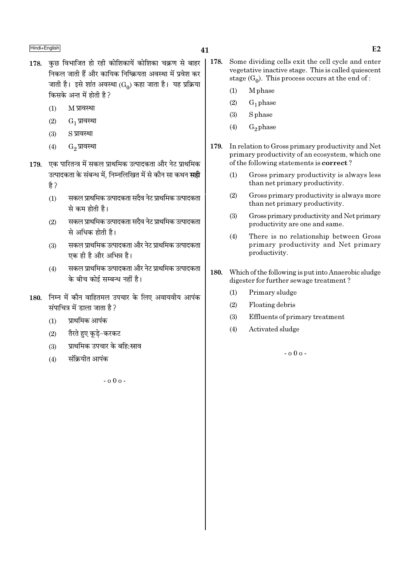- 178. कछ विभाजित हो रही कोशिकायें कोशिका चक्रण से बाहर निकल जाती हैं और कायिक निष्क्रियता अवस्था में प्रवेश कर जाती है। इसे शांत अवस्था (Go) कहा जाता है। यह प्रक्रिया किसके अन्त में होती है ?
	- $(1)$ M प्रावस्था
	- $(2)$  $G_1$  प्रावस्था
	- S प्रावस्था  $(3)$
	- $(4)$ G<sub>2</sub> प्रावस्था
- 179. एक पारितन्त्र में सकल प्राथमिक उत्पादकता और नेट प्राथमिक उत्पादकता के संबन्ध में. निम्नलिखित में से कौन सा कथन **सही** है ?
	- सकल प्राथमिक उत्पादकता सदैव नेट प्राथमिक उत्पादकता  $(1)$ से कम होती है।
	- सकल प्राथमिक उत्पादकता सदैव नेट प्राथमिक उत्पादकता  $(2)$ से अधिक होती है।
	- सकल प्राथमिक उत्पादकता और नेट प्राथमिक उत्पादकता  $(3)$ एक ही है और अभिन्न है।
	- सकल प्राथमिक उत्पादकता और नेट प्राथमिक उत्पादकता  $(4)$ के बीच कोई सम्बन्ध नहीं है।
- 180. निम्न में कौन वाहितमल उपचार के लिए अवायवीय आपंक संपाचित्र में डाला जाता है?
	- प्राथमिक आपंक  $(1)$
	- तैरते हुए कुडे-करकट  $(2)$
	- प्राथमिक उपचार के बहि:स्राव  $(3)$
	- संक्रियीत आपंक  $(4)$

 $-000 -$ 

- 178. Some dividing cells exit the cell cycle and enter vegetative inactive stage. This is called quiescent stage  $(G_0)$ . This process occurs at the end of:
	- M<sub>phase</sub>  $(1)$
	- $(2)$  $G_1$  phase
	- $(3)$ S phase
	- $(4)$  $G<sub>2</sub>$  phase
- 179. In relation to Gross primary productivity and Net primary productivity of an ecosystem, which one of the following statements is **correct**?
	- Gross primary productivity is always less  $(1)$ than net primary productivity.
	- $(2)$ Gross primary productivity is always more than net primary productivity.
	- Gross primary productivity and Net primary  $(3)$ productivity are one and same.
	- There is no relationship between Gross  $(4)$ primary productivity and Net primary productivity.
- 180. Which of the following is put into Anaerobic sludge digester for further sewage treatment?
	- Primary sludge  $(1)$
	- $(2)$ Floating debris
	- $(3)$ Effluents of primary treatment
	- Activated sludge  $(4)$

 $-000 -$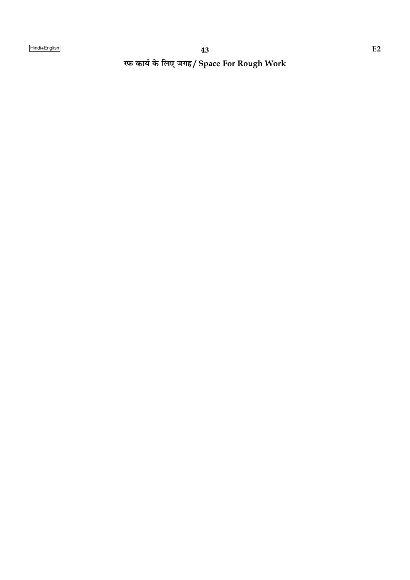रफ कार्य के लिए जगह/ Space For Rough Work